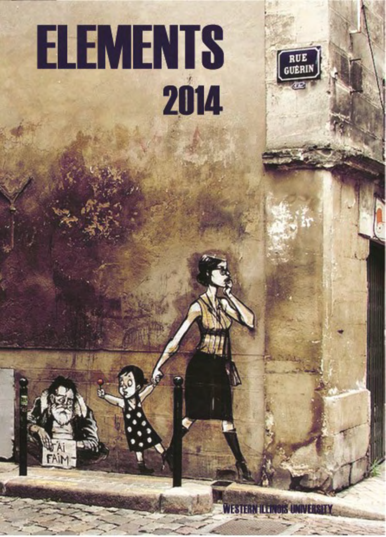

FAIM



**RUE**<br>GUÊRIN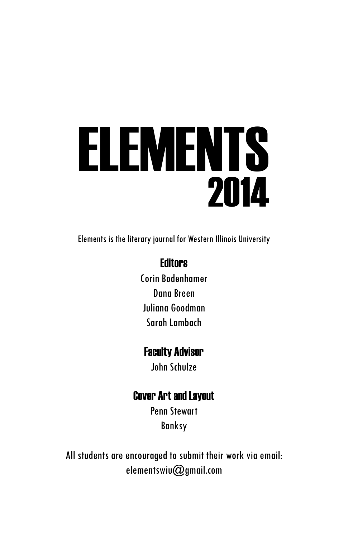# ELEMENTS 2014

Elements is the literary journal for Western Illinois University

#### **Fditors**

Corin Bodenhamer Dana Breen Juliana Goodman Sarah Lambach

#### Faculty Advisor

John Schulze

#### Cover Art and Layout

Penn Stewart Banksy

All students are encouraged to submit their work via email: elementswiu@gmail.com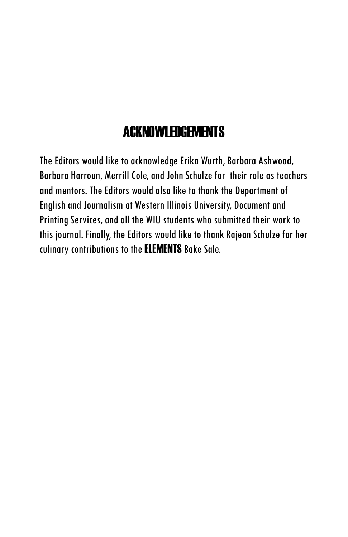### ACKNOWLEDGEMENTS

The Editors would like to acknowledge Erika Wurth, Barbara Ashwood, Barbara Harroun, Merrill Cole, and John Schulze for their role as teachers and mentors. The Editors would also like to thank the Department of English and Journalism at Western Illinois University, Document and Printing Services, and all the WIU students who submitted their work to this journal. Finally, the Editors would like to thank Rajean Schulze for her culinary contributions to the ELEMENTS Bake Sale.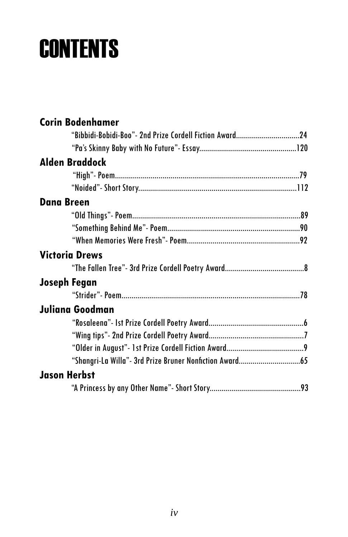## **CONTENTS**

| <b>Corin Bodenhamer</b>                                  |  |
|----------------------------------------------------------|--|
| "Bibbidi-Bobidi-Boo" - 2nd Prize Cordell Fiction Award24 |  |
|                                                          |  |
| <b>Alden Braddock</b>                                    |  |
|                                                          |  |
|                                                          |  |
| <b>Dana Breen</b>                                        |  |
|                                                          |  |
|                                                          |  |
|                                                          |  |
| <b>Victoria Drews</b>                                    |  |
|                                                          |  |
| Joseph Fegan                                             |  |
|                                                          |  |
| Juliana Goodman                                          |  |
|                                                          |  |
|                                                          |  |
|                                                          |  |
|                                                          |  |
| <b>Jason Herbst</b>                                      |  |
|                                                          |  |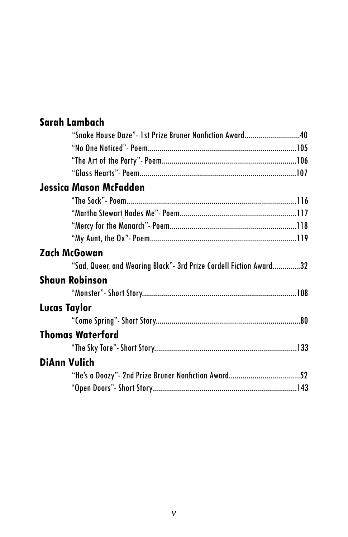#### **Sarah Lambach**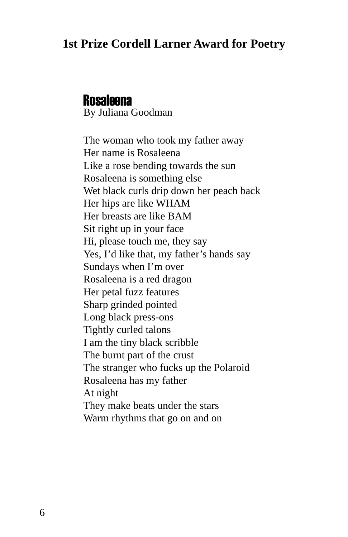#### **1st Prize Cordell Larner Award for Poetry**

#### **Rosaleena**

By Juliana Goodman

The woman who took my father away Her name is Rosaleena Like a rose bending towards the sun Rosaleena is something else Wet black curls drip down her peach back Her hips are like WHAM Her breasts are like BAM Sit right up in your face Hi, please touch me, they say Yes, I'd like that, my father's hands say Sundays when I'm over Rosaleena is a red dragon Her petal fuzz features Sharp grinded pointed Long black press-ons Tightly curled talons I am the tiny black scribble The burnt part of the crust The stranger who fucks up the Polaroid Rosaleena has my father At night They make beats under the stars Warm rhythms that go on and on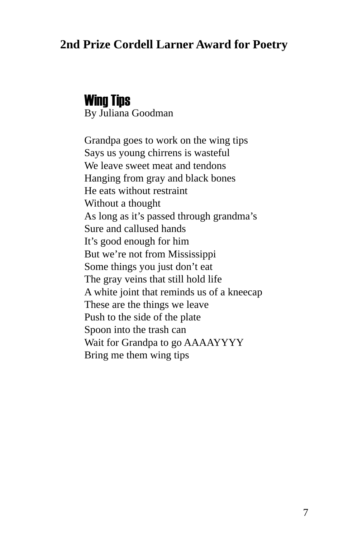#### **2nd Prize Cordell Larner Award for Poetry**

#### Wing Tips By Juliana Goodman

Grandpa goes to work on the wing tips Says us young chirrens is wasteful We leave sweet meat and tendons Hanging from gray and black bones He eats without restraint Without a thought As long as it's passed through grandma's Sure and callused hands It's good enough for him But we're not from Mississippi Some things you just don't eat The gray veins that still hold life A white joint that reminds us of a kneecap These are the things we leave Push to the side of the plate Spoon into the trash can Wait for Grandpa to go AAAAYYYY Bring me them wing tips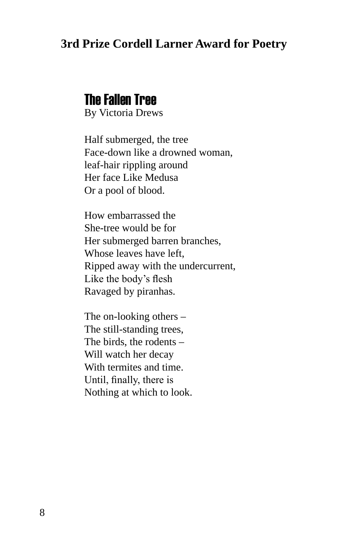#### **3rd Prize Cordell Larner Award for Poetry**

#### The Fallen Tree

By Victoria Drews

Half submerged, the tree Face-down like a drowned woman, leaf-hair rippling around Her face Like Medusa Or a pool of blood.

How embarrassed the She-tree would be for Her submerged barren branches, Whose leaves have left, Ripped away with the undercurrent, Like the body's flesh Ravaged by piranhas.

The on-looking others – The still-standing trees, The birds, the rodents – Will watch her decay With termites and time. Until, finally, there is Nothing at which to look.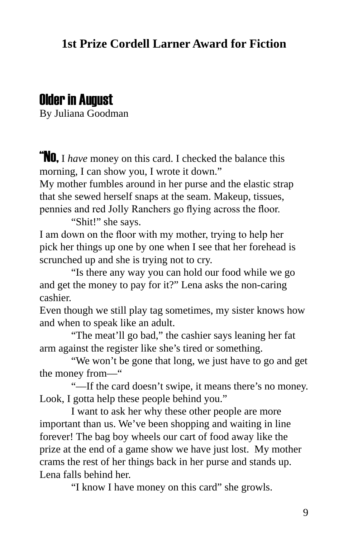#### **1st Prize Cordell Larner Award for Fiction**

#### Older in August

By Juliana Goodman

**No.** I have money on this card. I checked the balance this morning, I can show you, I wrote it down."

My mother fumbles around in her purse and the elastic strap that she sewed herself snaps at the seam. Makeup, tissues, pennies and red Jolly Ranchers go flying across the floor.

"Shit!" she says.

I am down on the floor with my mother, trying to help her pick her things up one by one when I see that her forehead is scrunched up and she is trying not to cry.

"Is there any way you can hold our food while we go and get the money to pay for it?" Lena asks the non-caring cashier.

Even though we still play tag sometimes, my sister knows how and when to speak like an adult.

"The meat'll go bad," the cashier says leaning her fat arm against the register like she's tired or something.

"We won't be gone that long, we just have to go and get the money from—"

"—If the card doesn't swipe, it means there's no money. Look, I gotta help these people behind you."

I want to ask her why these other people are more important than us. We've been shopping and waiting in line forever! The bag boy wheels our cart of food away like the prize at the end of a game show we have just lost. My mother crams the rest of her things back in her purse and stands up. Lena falls behind her.

"I know I have money on this card" she growls.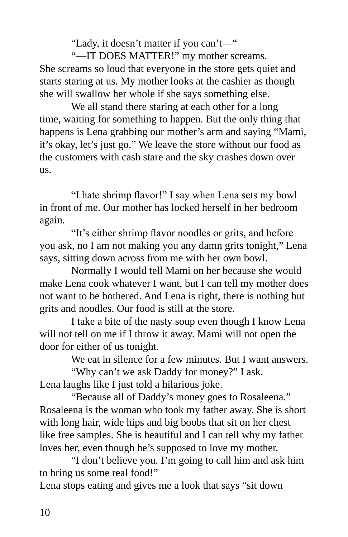"Lady, it doesn't matter if you can't—"

"—IT DOES MATTER!" my mother screams. She screams so loud that everyone in the store gets quiet and starts staring at us. My mother looks at the cashier as though she will swallow her whole if she says something else.

We all stand there staring at each other for a long time, waiting for something to happen. But the only thing that happens is Lena grabbing our mother's arm and saying "Mami, it's okay, let's just go." We leave the store without our food as the customers with cash stare and the sky crashes down over us.

"I hate shrimp flavor!" I say when Lena sets my bowl in front of me. Our mother has locked herself in her bedroom again.

"It's either shrimp flavor noodles or grits, and before you ask, no I am not making you any damn grits tonight," Lena says, sitting down across from me with her own bowl.

Normally I would tell Mami on her because she would make Lena cook whatever I want, but I can tell my mother does not want to be bothered. And Lena is right, there is nothing but grits and noodles. Our food is still at the store.

I take a bite of the nasty soup even though I know Lena will not tell on me if I throw it away. Mami will not open the door for either of us tonight.

We eat in silence for a few minutes. But I want answers.

"Why can't we ask Daddy for money?" I ask. Lena laughs like I just told a hilarious joke.

"Because all of Daddy's money goes to Rosaleena." Rosaleena is the woman who took my father away. She is short with long hair, wide hips and big boobs that sit on her chest like free samples. She is beautiful and I can tell why my father loves her, even though he's supposed to love my mother.

"I don't believe you. I'm going to call him and ask him to bring us some real food!"

Lena stops eating and gives me a look that says "sit down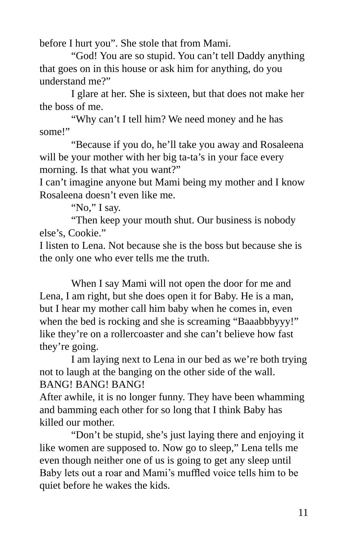before I hurt you". She stole that from Mami.

"God! You are so stupid. You can't tell Daddy anything that goes on in this house or ask him for anything, do you understand me?"

I glare at her. She is sixteen, but that does not make her the boss of me.

"Why can't I tell him? We need money and he has some!"

"Because if you do, he'll take you away and Rosaleena will be your mother with her big ta-ta's in your face every morning. Is that what you want?"

I can't imagine anyone but Mami being my mother and I know Rosaleena doesn't even like me.

"No," I say.

"Then keep your mouth shut. Our business is nobody else's, Cookie."

I listen to Lena. Not because she is the boss but because she is the only one who ever tells me the truth.

When I say Mami will not open the door for me and Lena, I am right, but she does open it for Baby. He is a man, but I hear my mother call him baby when he comes in, even when the bed is rocking and she is screaming "Baaabbbyyy!" like they're on a rollercoaster and she can't believe how fast they're going.

I am laying next to Lena in our bed as we're both trying not to laugh at the banging on the other side of the wall. BANG! BANG! BANG!

After awhile, it is no longer funny. They have been whamming and bamming each other for so long that I think Baby has killed our mother.

"Don't be stupid, she's just laying there and enjoying it like women are supposed to. Now go to sleep," Lena tells me even though neither one of us is going to get any sleep until Baby lets out a roar and Mami's muffled voice tells him to be quiet before he wakes the kids.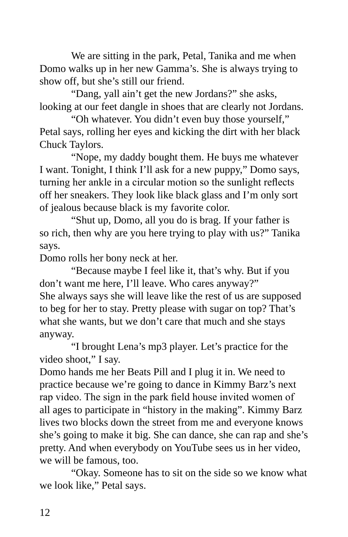We are sitting in the park, Petal, Tanika and me when Domo walks up in her new Gamma's. She is always trying to show off, but she's still our friend.

"Dang, yall ain't get the new Jordans?" she asks, looking at our feet dangle in shoes that are clearly not Jordans.

"Oh whatever. You didn't even buy those yourself," Petal says, rolling her eyes and kicking the dirt with her black Chuck Taylors.

"Nope, my daddy bought them. He buys me whatever I want. Tonight, I think I'll ask for a new puppy," Domo says, turning her ankle in a circular motion so the sunlight reflects off her sneakers. They look like black glass and I'm only sort of jealous because black is my favorite color.

"Shut up, Domo, all you do is brag. If your father is so rich, then why are you here trying to play with us?" Tanika says.

Domo rolls her bony neck at her.

"Because maybe I feel like it, that's why. But if you don't want me here, I'll leave. Who cares anyway?" She always says she will leave like the rest of us are supposed to beg for her to stay. Pretty please with sugar on top? That's what she wants, but we don't care that much and she stays anyway.

"I brought Lena's mp3 player. Let's practice for the video shoot," I say.

Domo hands me her Beats Pill and I plug it in. We need to practice because we're going to dance in Kimmy Barz's next rap video. The sign in the park field house invited women of all ages to participate in "history in the making". Kimmy Barz lives two blocks down the street from me and everyone knows she's going to make it big. She can dance, she can rap and she's pretty. And when everybody on YouTube sees us in her video, we will be famous, too.

"Okay. Someone has to sit on the side so we know what we look like," Petal says.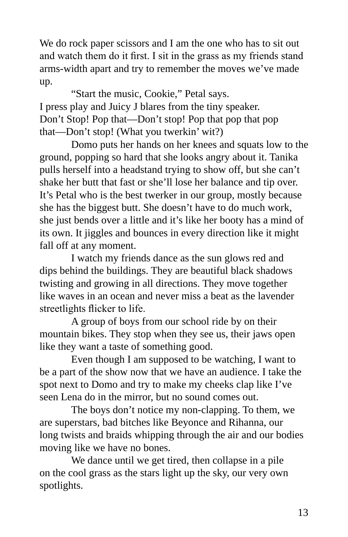We do rock paper scissors and I am the one who has to sit out and watch them do it first. I sit in the grass as my friends stand arms-width apart and try to remember the moves we've made up.

"Start the music, Cookie," Petal says. I press play and Juicy J blares from the tiny speaker. Don't Stop! Pop that—Don't stop! Pop that pop that pop that—Don't stop! (What you twerkin' wit?)

Domo puts her hands on her knees and squats low to the ground, popping so hard that she looks angry about it. Tanika pulls herself into a headstand trying to show off, but she can't shake her butt that fast or she'll lose her balance and tip over. It's Petal who is the best twerker in our group, mostly because she has the biggest butt. She doesn't have to do much work, she just bends over a little and it's like her booty has a mind of its own. It jiggles and bounces in every direction like it might fall off at any moment.

I watch my friends dance as the sun glows red and dips behind the buildings. They are beautiful black shadows twisting and growing in all directions. They move together like waves in an ocean and never miss a beat as the lavender streetlights flicker to life.

A group of boys from our school ride by on their mountain bikes. They stop when they see us, their jaws open like they want a taste of something good.

Even though I am supposed to be watching, I want to be a part of the show now that we have an audience. I take the spot next to Domo and try to make my cheeks clap like I've seen Lena do in the mirror, but no sound comes out.

The boys don't notice my non-clapping. To them, we are superstars, bad bitches like Beyonce and Rihanna, our long twists and braids whipping through the air and our bodies moving like we have no bones.

We dance until we get tired, then collapse in a pile on the cool grass as the stars light up the sky, our very own spotlights.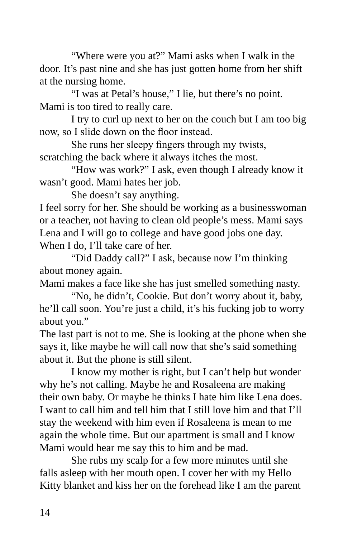"Where were you at?" Mami asks when I walk in the door. It's past nine and she has just gotten home from her shift at the nursing home.

"I was at Petal's house," I lie, but there's no point. Mami is too tired to really care.

I try to curl up next to her on the couch but I am too big now, so I slide down on the floor instead.

She runs her sleepy fingers through my twists, scratching the back where it always itches the most.

"How was work?" I ask, even though I already know it wasn't good. Mami hates her job.

She doesn't say anything.

I feel sorry for her. She should be working as a businesswoman or a teacher, not having to clean old people's mess. Mami says Lena and I will go to college and have good jobs one day. When I do, I'll take care of her.

"Did Daddy call?" I ask, because now I'm thinking about money again.

Mami makes a face like she has just smelled something nasty.

"No, he didn't, Cookie. But don't worry about it, baby, he'll call soon. You're just a child, it's his fucking job to worry about you."

The last part is not to me. She is looking at the phone when she says it, like maybe he will call now that she's said something about it. But the phone is still silent.

I know my mother is right, but I can't help but wonder why he's not calling. Maybe he and Rosaleena are making their own baby. Or maybe he thinks I hate him like Lena does. I want to call him and tell him that I still love him and that I'll stay the weekend with him even if Rosaleena is mean to me again the whole time. But our apartment is small and I know Mami would hear me say this to him and be mad.

She rubs my scalp for a few more minutes until she falls asleep with her mouth open. I cover her with my Hello Kitty blanket and kiss her on the forehead like I am the parent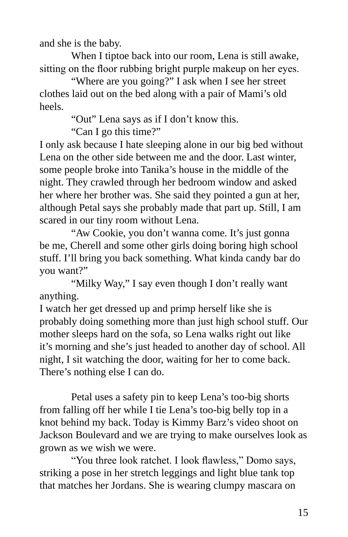and she is the baby.

When I tiptoe back into our room, Lena is still awake, sitting on the floor rubbing bright purple makeup on her eyes.

"Where are you going?" I ask when I see her street clothes laid out on the bed along with a pair of Mami's old heels.

"Out" Lena says as if I don't know this.

"Can I go this time?"

I only ask because I hate sleeping alone in our big bed without Lena on the other side between me and the door. Last winter, some people broke into Tanika's house in the middle of the night. They crawled through her bedroom window and asked her where her brother was. She said they pointed a gun at her, although Petal says she probably made that part up. Still, I am scared in our tiny room without Lena.

"Aw Cookie, you don't wanna come. It's just gonna be me, Cherell and some other girls doing boring high school stuff. I'll bring you back something. What kinda candy bar do you want?"

"Milky Way," I say even though I don't really want anything.

I watch her get dressed up and primp herself like she is probably doing something more than just high school stuff. Our mother sleeps hard on the sofa, so Lena walks right out like it's morning and she's just headed to another day of school. All night, I sit watching the door, waiting for her to come back. There's nothing else I can do.

Petal uses a safety pin to keep Lena's too-big shorts from falling off her while I tie Lena's too-big belly top in a knot behind my back. Today is Kimmy Barz's video shoot on Jackson Boulevard and we are trying to make ourselves look as grown as we wish we were.

"You three look ratchet. I look flawless," Domo says, striking a pose in her stretch leggings and light blue tank top that matches her Jordans. She is wearing clumpy mascara on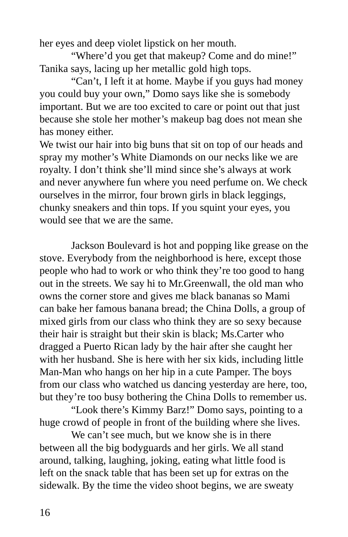her eyes and deep violet lipstick on her mouth.

"Where'd you get that makeup? Come and do mine!" Tanika says, lacing up her metallic gold high tops.

"Can't, I left it at home. Maybe if you guys had money you could buy your own," Domo says like she is somebody important. But we are too excited to care or point out that just because she stole her mother's makeup bag does not mean she has money either.

We twist our hair into big buns that sit on top of our heads and spray my mother's White Diamonds on our necks like we are royalty. I don't think she'll mind since she's always at work and never anywhere fun where you need perfume on. We check ourselves in the mirror, four brown girls in black leggings, chunky sneakers and thin tops. If you squint your eyes, you would see that we are the same.

Jackson Boulevard is hot and popping like grease on the stove. Everybody from the neighborhood is here, except those people who had to work or who think they're too good to hang out in the streets. We say hi to Mr.Greenwall, the old man who owns the corner store and gives me black bananas so Mami can bake her famous banana bread; the China Dolls, a group of mixed girls from our class who think they are so sexy because their hair is straight but their skin is black; Ms.Carter who dragged a Puerto Rican lady by the hair after she caught her with her husband. She is here with her six kids, including little Man-Man who hangs on her hip in a cute Pamper. The boys from our class who watched us dancing yesterday are here, too, but they're too busy bothering the China Dolls to remember us.

"Look there's Kimmy Barz!" Domo says, pointing to a huge crowd of people in front of the building where she lives.

We can't see much, but we know she is in there between all the big bodyguards and her girls. We all stand around, talking, laughing, joking, eating what little food is left on the snack table that has been set up for extras on the sidewalk. By the time the video shoot begins, we are sweaty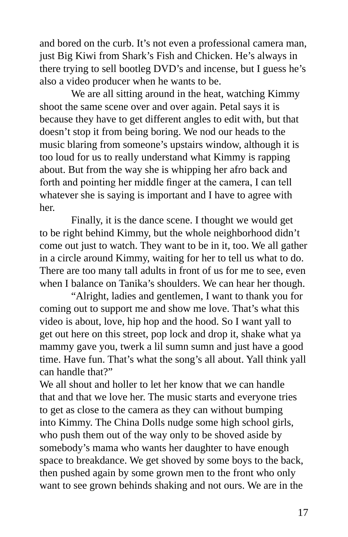and bored on the curb. It's not even a professional camera man, just Big Kiwi from Shark's Fish and Chicken. He's always in there trying to sell bootleg DVD's and incense, but I guess he's also a video producer when he wants to be.

We are all sitting around in the heat, watching Kimmy shoot the same scene over and over again. Petal says it is because they have to get different angles to edit with, but that doesn't stop it from being boring. We nod our heads to the music blaring from someone's upstairs window, although it is too loud for us to really understand what Kimmy is rapping about. But from the way she is whipping her afro back and forth and pointing her middle finger at the camera, I can tell whatever she is saying is important and I have to agree with her.

Finally, it is the dance scene. I thought we would get to be right behind Kimmy, but the whole neighborhood didn't come out just to watch. They want to be in it, too. We all gather in a circle around Kimmy, waiting for her to tell us what to do. There are too many tall adults in front of us for me to see, even when I balance on Tanika's shoulders. We can hear her though.

"Alright, ladies and gentlemen, I want to thank you for coming out to support me and show me love. That's what this video is about, love, hip hop and the hood. So I want yall to get out here on this street, pop lock and drop it, shake what ya mammy gave you, twerk a lil sumn sumn and just have a good time. Have fun. That's what the song's all about. Yall think yall can handle that?"

We all shout and holler to let her know that we can handle that and that we love her. The music starts and everyone tries to get as close to the camera as they can without bumping into Kimmy. The China Dolls nudge some high school girls, who push them out of the way only to be shoved aside by somebody's mama who wants her daughter to have enough space to breakdance. We get shoved by some boys to the back, then pushed again by some grown men to the front who only want to see grown behinds shaking and not ours. We are in the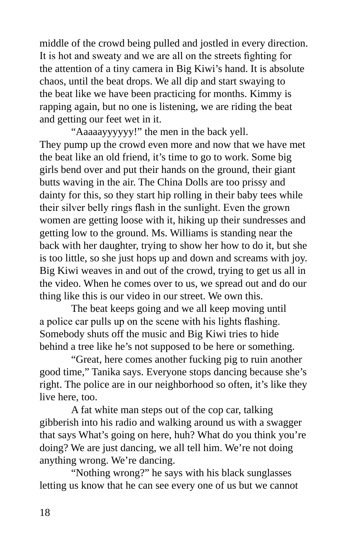middle of the crowd being pulled and jostled in every direction. It is hot and sweaty and we are all on the streets fighting for the attention of a tiny camera in Big Kiwi's hand. It is absolute chaos, until the beat drops. We all dip and start swaying to the beat like we have been practicing for months. Kimmy is rapping again, but no one is listening, we are riding the beat and getting our feet wet in it.

"Aaaaayyyyyy!" the men in the back yell. They pump up the crowd even more and now that we have met the beat like an old friend, it's time to go to work. Some big girls bend over and put their hands on the ground, their giant butts waving in the air. The China Dolls are too prissy and dainty for this, so they start hip rolling in their baby tees while their silver belly rings flash in the sunlight. Even the grown women are getting loose with it, hiking up their sundresses and getting low to the ground. Ms. Williams is standing near the back with her daughter, trying to show her how to do it, but she is too little, so she just hops up and down and screams with joy. Big Kiwi weaves in and out of the crowd, trying to get us all in the video. When he comes over to us, we spread out and do our thing like this is our video in our street. We own this.

The beat keeps going and we all keep moving until a police car pulls up on the scene with his lights flashing. Somebody shuts off the music and Big Kiwi tries to hide behind a tree like he's not supposed to be here or something.

"Great, here comes another fucking pig to ruin another good time," Tanika says. Everyone stops dancing because she's right. The police are in our neighborhood so often, it's like they live here, too.

A fat white man steps out of the cop car, talking gibberish into his radio and walking around us with a swagger that says What's going on here, huh? What do you think you're doing? We are just dancing, we all tell him. We're not doing anything wrong. We're dancing.

"Nothing wrong?" he says with his black sunglasses letting us know that he can see every one of us but we cannot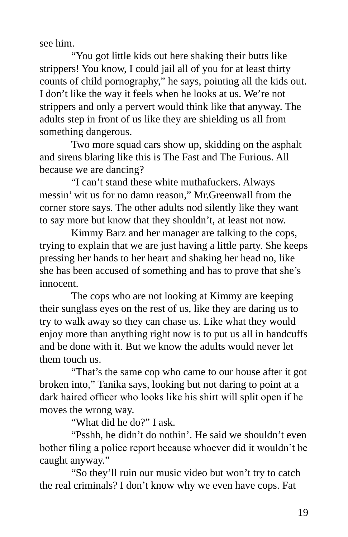see him.

"You got little kids out here shaking their butts like strippers! You know, I could jail all of you for at least thirty counts of child pornography," he says, pointing all the kids out. I don't like the way it feels when he looks at us. We're not strippers and only a pervert would think like that anyway. The adults step in front of us like they are shielding us all from something dangerous.

Two more squad cars show up, skidding on the asphalt and sirens blaring like this is The Fast and The Furious. All because we are dancing?

"I can't stand these white muthafuckers. Always messin' wit us for no damn reason," Mr.Greenwall from the corner store says. The other adults nod silently like they want to say more but know that they shouldn't, at least not now.

Kimmy Barz and her manager are talking to the cops, trying to explain that we are just having a little party. She keeps pressing her hands to her heart and shaking her head no, like she has been accused of something and has to prove that she's innocent.

The cops who are not looking at Kimmy are keeping their sunglass eyes on the rest of us, like they are daring us to try to walk away so they can chase us. Like what they would enjoy more than anything right now is to put us all in handcuffs and be done with it. But we know the adults would never let them touch us.

"That's the same cop who came to our house after it got broken into," Tanika says, looking but not daring to point at a dark haired officer who looks like his shirt will split open if he moves the wrong way.

"What did he do?" I ask.

"Psshh, he didn't do nothin'. He said we shouldn't even bother filing a police report because whoever did it wouldn't be caught anyway."

"So they'll ruin our music video but won't try to catch the real criminals? I don't know why we even have cops. Fat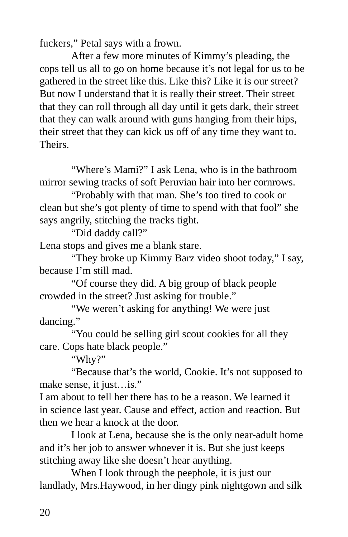fuckers," Petal says with a frown.

After a few more minutes of Kimmy's pleading, the cops tell us all to go on home because it's not legal for us to be gathered in the street like this. Like this? Like it is our street? But now I understand that it is really their street. Their street that they can roll through all day until it gets dark, their street that they can walk around with guns hanging from their hips, their street that they can kick us off of any time they want to. Theirs.

"Where's Mami?" I ask Lena, who is in the bathroom mirror sewing tracks of soft Peruvian hair into her cornrows.

"Probably with that man. She's too tired to cook or clean but she's got plenty of time to spend with that fool" she says angrily, stitching the tracks tight.

"Did daddy call?"

Lena stops and gives me a blank stare.

"They broke up Kimmy Barz video shoot today," I say, because I'm still mad.

"Of course they did. A big group of black people crowded in the street? Just asking for trouble."

"We weren't asking for anything! We were just dancing."

"You could be selling girl scout cookies for all they care. Cops hate black people."

"Why?"

"Because that's the world, Cookie. It's not supposed to make sense, it just…is."

I am about to tell her there has to be a reason. We learned it in science last year. Cause and effect, action and reaction. But then we hear a knock at the door.

I look at Lena, because she is the only near-adult home and it's her job to answer whoever it is. But she just keeps stitching away like she doesn't hear anything.

When I look through the peephole, it is just our landlady, Mrs.Haywood, in her dingy pink nightgown and silk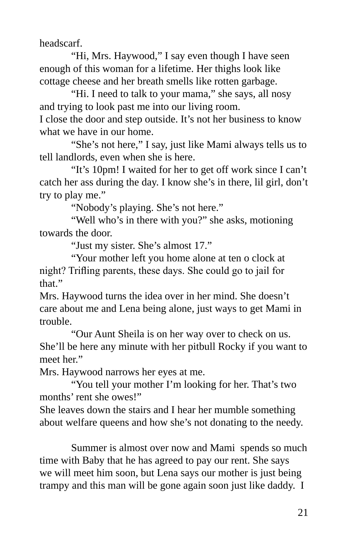headscarf.

"Hi, Mrs. Haywood," I say even though I have seen enough of this woman for a lifetime. Her thighs look like cottage cheese and her breath smells like rotten garbage.

"Hi. I need to talk to your mama," she says, all nosy and trying to look past me into our living room.

I close the door and step outside. It's not her business to know what we have in our home.

"She's not here," I say, just like Mami always tells us to tell landlords, even when she is here.

"It's 10pm! I waited for her to get off work since I can't catch her ass during the day. I know she's in there, lil girl, don't try to play me."

"Nobody's playing. She's not here."

"Well who's in there with you?" she asks, motioning towards the door.

"Just my sister. She's almost 17."

"Your mother left you home alone at ten o clock at night? Trifling parents, these days. She could go to jail for that."

Mrs. Haywood turns the idea over in her mind. She doesn't care about me and Lena being alone, just ways to get Mami in trouble.

"Our Aunt Sheila is on her way over to check on us. She'll be here any minute with her pitbull Rocky if you want to meet her."

Mrs. Haywood narrows her eyes at me.

"You tell your mother I'm looking for her. That's two months' rent she owes!"

She leaves down the stairs and I hear her mumble something about welfare queens and how she's not donating to the needy.

Summer is almost over now and Mami spends so much time with Baby that he has agreed to pay our rent. She says we will meet him soon, but Lena says our mother is just being trampy and this man will be gone again soon just like daddy. I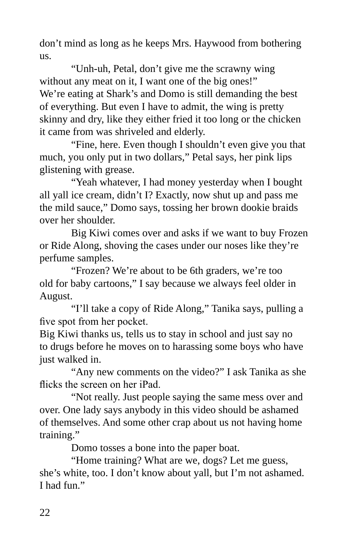don't mind as long as he keeps Mrs. Haywood from bothering us.

"Unh-uh, Petal, don't give me the scrawny wing without any meat on it, I want one of the big ones!" We're eating at Shark's and Domo is still demanding the best of everything. But even I have to admit, the wing is pretty skinny and dry, like they either fried it too long or the chicken it came from was shriveled and elderly.

"Fine, here. Even though I shouldn't even give you that much, you only put in two dollars," Petal says, her pink lips glistening with grease.

"Yeah whatever, I had money yesterday when I bought all yall ice cream, didn't I? Exactly, now shut up and pass me the mild sauce," Domo says, tossing her brown dookie braids over her shoulder.

Big Kiwi comes over and asks if we want to buy Frozen or Ride Along, shoving the cases under our noses like they're perfume samples.

"Frozen? We're about to be 6th graders, we're too old for baby cartoons," I say because we always feel older in August.

"I'll take a copy of Ride Along," Tanika says, pulling a five spot from her pocket.

Big Kiwi thanks us, tells us to stay in school and just say no to drugs before he moves on to harassing some boys who have just walked in.

"Any new comments on the video?" I ask Tanika as she flicks the screen on her iPad.

"Not really. Just people saying the same mess over and over. One lady says anybody in this video should be ashamed of themselves. And some other crap about us not having home training."

Domo tosses a bone into the paper boat.

"Home training? What are we, dogs? Let me guess, she's white, too. I don't know about yall, but I'm not ashamed. I had fun<sup>"</sup>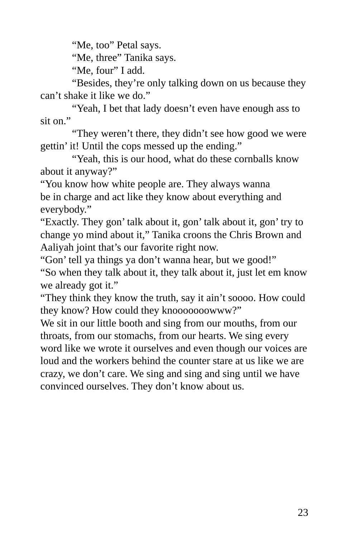"Me, too" Petal says.

"Me, three" Tanika says.

"Me, four" I add.

"Besides, they're only talking down on us because they can't shake it like we do."

"Yeah, I bet that lady doesn't even have enough ass to sit on."

"They weren't there, they didn't see how good we were gettin' it! Until the cops messed up the ending."

"Yeah, this is our hood, what do these cornballs know about it anyway?"

"You know how white people are. They always wanna be in charge and act like they know about everything and everybody."

"Exactly. They gon' talk about it, gon' talk about it, gon' try to change yo mind about it," Tanika croons the Chris Brown and Aaliyah joint that's our favorite right now.

"Gon' tell ya things ya don't wanna hear, but we good!"

"So when they talk about it, they talk about it, just let em know we already got it."

"They think they know the truth, say it ain't soooo. How could they know? How could they knooooooowww?"

We sit in our little booth and sing from our mouths, from our throats, from our stomachs, from our hearts. We sing every word like we wrote it ourselves and even though our voices are loud and the workers behind the counter stare at us like we are crazy, we don't care. We sing and sing and sing until we have convinced ourselves. They don't know about us.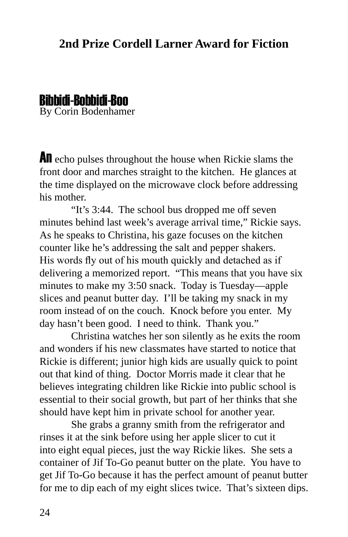#### **2nd Prize Cordell Larner Award for Fiction**

#### By Corin Bodenhamer Bibbidi-Bobbidi-Boo

An echo pulses throughout the house when Rickie slams the front door and marches straight to the kitchen. He glances at the time displayed on the microwave clock before addressing his mother.

"It's 3:44. The school bus dropped me off seven minutes behind last week's average arrival time," Rickie says. As he speaks to Christina, his gaze focuses on the kitchen counter like he's addressing the salt and pepper shakers. His words fly out of his mouth quickly and detached as if delivering a memorized report. "This means that you have six minutes to make my 3:50 snack. Today is Tuesday—apple slices and peanut butter day. I'll be taking my snack in my room instead of on the couch. Knock before you enter. My day hasn't been good. I need to think. Thank you."

Christina watches her son silently as he exits the room and wonders if his new classmates have started to notice that Rickie is different; junior high kids are usually quick to point out that kind of thing. Doctor Morris made it clear that he believes integrating children like Rickie into public school is essential to their social growth, but part of her thinks that she should have kept him in private school for another year.

She grabs a granny smith from the refrigerator and rinses it at the sink before using her apple slicer to cut it into eight equal pieces, just the way Rickie likes. She sets a container of Jif To-Go peanut butter on the plate. You have to get Jif To-Go because it has the perfect amount of peanut butter for me to dip each of my eight slices twice. That's sixteen dips.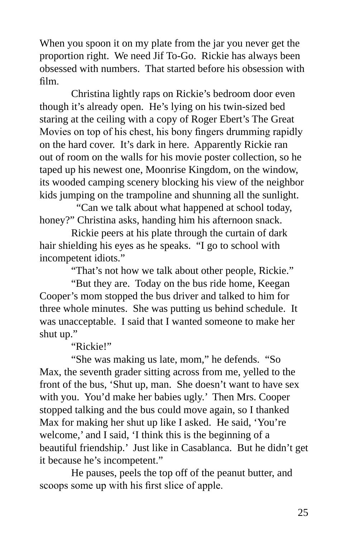When you spoon it on my plate from the jar you never get the proportion right. We need Jif To-Go. Rickie has always been obsessed with numbers. That started before his obsession with film.

Christina lightly raps on Rickie's bedroom door even though it's already open. He's lying on his twin-sized bed staring at the ceiling with a copy of Roger Ebert's The Great Movies on top of his chest, his bony fingers drumming rapidly on the hard cover. It's dark in here. Apparently Rickie ran out of room on the walls for his movie poster collection, so he taped up his newest one, Moonrise Kingdom, on the window, its wooded camping scenery blocking his view of the neighbor kids jumping on the trampoline and shunning all the sunlight.

 "Can we talk about what happened at school today, honey?" Christina asks, handing him his afternoon snack.

Rickie peers at his plate through the curtain of dark hair shielding his eyes as he speaks. "I go to school with incompetent idiots."

"That's not how we talk about other people, Rickie."

"But they are. Today on the bus ride home, Keegan Cooper's mom stopped the bus driver and talked to him for three whole minutes. She was putting us behind schedule. It was unacceptable. I said that I wanted someone to make her shut up."

"Rickie!"

"She was making us late, mom," he defends. "So Max, the seventh grader sitting across from me, yelled to the front of the bus, 'Shut up, man. She doesn't want to have sex with you. You'd make her babies ugly.' Then Mrs. Cooper stopped talking and the bus could move again, so I thanked Max for making her shut up like I asked. He said, 'You're welcome,' and I said, 'I think this is the beginning of a beautiful friendship.' Just like in Casablanca. But he didn't get it because he's incompetent."

He pauses, peels the top off of the peanut butter, and scoops some up with his first slice of apple.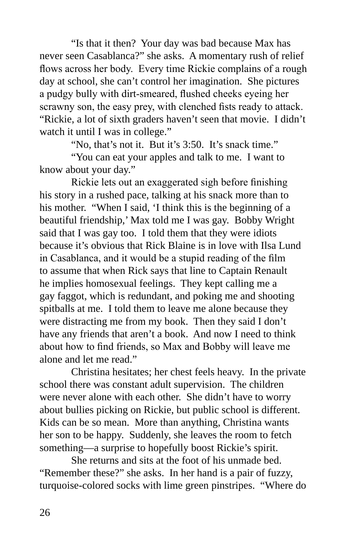"Is that it then? Your day was bad because Max has never seen Casablanca?" she asks. A momentary rush of relief flows across her body. Every time Rickie complains of a rough day at school, she can't control her imagination. She pictures a pudgy bully with dirt-smeared, flushed cheeks eyeing her scrawny son, the easy prey, with clenched fists ready to attack. "Rickie, a lot of sixth graders haven't seen that movie. I didn't watch it until I was in college."

"No, that's not it. But it's 3:50. It's snack time."

"You can eat your apples and talk to me. I want to know about your day."

Rickie lets out an exaggerated sigh before finishing his story in a rushed pace, talking at his snack more than to his mother. "When I said, 'I think this is the beginning of a beautiful friendship,' Max told me I was gay. Bobby Wright said that I was gay too. I told them that they were idiots because it's obvious that Rick Blaine is in love with Ilsa Lund in Casablanca, and it would be a stupid reading of the film to assume that when Rick says that line to Captain Renault he implies homosexual feelings. They kept calling me a gay faggot, which is redundant, and poking me and shooting spitballs at me. I told them to leave me alone because they were distracting me from my book. Then they said I don't have any friends that aren't a book. And now I need to think about how to find friends, so Max and Bobby will leave me alone and let me read."

Christina hesitates; her chest feels heavy. In the private school there was constant adult supervision. The children were never alone with each other. She didn't have to worry about bullies picking on Rickie, but public school is different. Kids can be so mean. More than anything, Christina wants her son to be happy. Suddenly, she leaves the room to fetch something—a surprise to hopefully boost Rickie's spirit.

She returns and sits at the foot of his unmade bed. "Remember these?" she asks. In her hand is a pair of fuzzy, turquoise-colored socks with lime green pinstripes. "Where do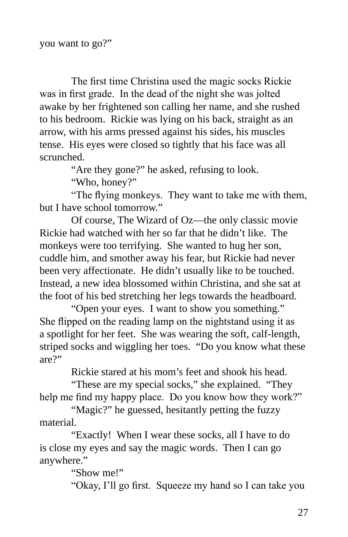The first time Christina used the magic socks Rickie was in first grade. In the dead of the night she was jolted awake by her frightened son calling her name, and she rushed to his bedroom. Rickie was lying on his back, straight as an arrow, with his arms pressed against his sides, his muscles tense. His eyes were closed so tightly that his face was all scrunched.

"Are they gone?" he asked, refusing to look.

"Who, honey?"

"The flying monkeys. They want to take me with them, but I have school tomorrow."

Of course, The Wizard of Oz—the only classic movie Rickie had watched with her so far that he didn't like. The monkeys were too terrifying. She wanted to hug her son, cuddle him, and smother away his fear, but Rickie had never been very affectionate. He didn't usually like to be touched. Instead, a new idea blossomed within Christina, and she sat at the foot of his bed stretching her legs towards the headboard.

"Open your eyes. I want to show you something." She flipped on the reading lamp on the nightstand using it as a spotlight for her feet. She was wearing the soft, calf-length, striped socks and wiggling her toes. "Do you know what these are?"

Rickie stared at his mom's feet and shook his head.

"These are my special socks," she explained. "They help me find my happy place. Do you know how they work?"

"Magic?" he guessed, hesitantly petting the fuzzy material.

"Exactly! When I wear these socks, all I have to do is close my eyes and say the magic words. Then I can go anywhere."

"Show me!"

"Okay, I'll go first. Squeeze my hand so I can take you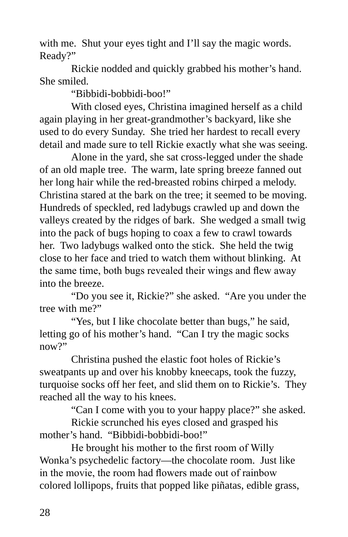with me. Shut your eyes tight and I'll say the magic words. Ready?"

Rickie nodded and quickly grabbed his mother's hand. She smiled.

"Bibbidi-bobbidi-boo!"

With closed eyes, Christina imagined herself as a child again playing in her great-grandmother's backyard, like she used to do every Sunday. She tried her hardest to recall every detail and made sure to tell Rickie exactly what she was seeing.

Alone in the yard, she sat cross-legged under the shade of an old maple tree. The warm, late spring breeze fanned out her long hair while the red-breasted robins chirped a melody. Christina stared at the bark on the tree; it seemed to be moving. Hundreds of speckled, red ladybugs crawled up and down the valleys created by the ridges of bark. She wedged a small twig into the pack of bugs hoping to coax a few to crawl towards her. Two ladybugs walked onto the stick. She held the twig close to her face and tried to watch them without blinking. At the same time, both bugs revealed their wings and flew away into the breeze.

"Do you see it, Rickie?" she asked. "Are you under the tree with me?"

"Yes, but I like chocolate better than bugs," he said, letting go of his mother's hand. "Can I try the magic socks now?"

Christina pushed the elastic foot holes of Rickie's sweatpants up and over his knobby kneecaps, took the fuzzy, turquoise socks off her feet, and slid them on to Rickie's. They reached all the way to his knees.

"Can I come with you to your happy place?" she asked.

Rickie scrunched his eyes closed and grasped his mother's hand. "Bibbidi-bobbidi-boo!"

He brought his mother to the first room of Willy Wonka's psychedelic factory—the chocolate room. Just like in the movie, the room had flowers made out of rainbow colored lollipops, fruits that popped like piñatas, edible grass,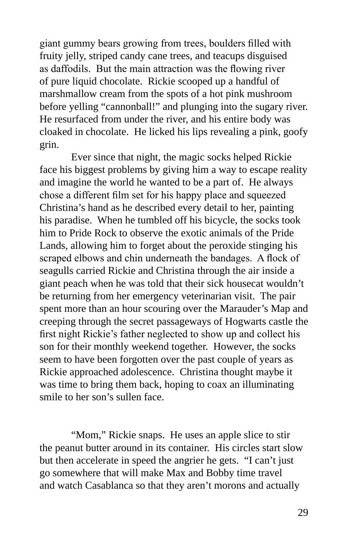giant gummy bears growing from trees, boulders filled with fruity jelly, striped candy cane trees, and teacups disguised as daffodils. But the main attraction was the flowing river of pure liquid chocolate. Rickie scooped up a handful of marshmallow cream from the spots of a hot pink mushroom before yelling "cannonball!" and plunging into the sugary river. He resurfaced from under the river, and his entire body was cloaked in chocolate. He licked his lips revealing a pink, goofy grin.

Ever since that night, the magic socks helped Rickie face his biggest problems by giving him a way to escape reality and imagine the world he wanted to be a part of. He always chose a different film set for his happy place and squeezed Christina's hand as he described every detail to her, painting his paradise. When he tumbled off his bicycle, the socks took him to Pride Rock to observe the exotic animals of the Pride Lands, allowing him to forget about the peroxide stinging his scraped elbows and chin underneath the bandages. A flock of seagulls carried Rickie and Christina through the air inside a giant peach when he was told that their sick housecat wouldn't be returning from her emergency veterinarian visit. The pair spent more than an hour scouring over the Marauder's Map and creeping through the secret passageways of Hogwarts castle the first night Rickie's father neglected to show up and collect his son for their monthly weekend together. However, the socks seem to have been forgotten over the past couple of years as Rickie approached adolescence. Christina thought maybe it was time to bring them back, hoping to coax an illuminating smile to her son's sullen face.

"Mom," Rickie snaps. He uses an apple slice to stir the peanut butter around in its container. His circles start slow but then accelerate in speed the angrier he gets. "I can't just go somewhere that will make Max and Bobby time travel and watch Casablanca so that they aren't morons and actually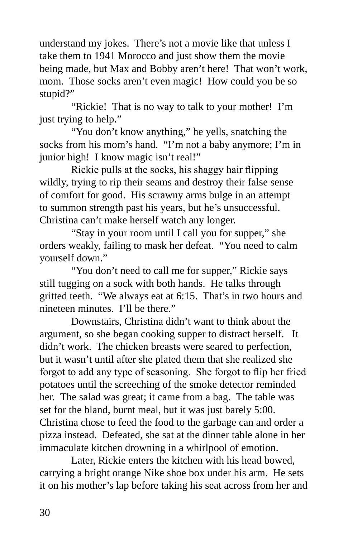understand my jokes. There's not a movie like that unless I take them to 1941 Morocco and just show them the movie being made, but Max and Bobby aren't here! That won't work, mom. Those socks aren't even magic! How could you be so stupid?"

"Rickie! That is no way to talk to your mother! I'm just trying to help."

"You don't know anything," he yells, snatching the socks from his mom's hand. "I'm not a baby anymore; I'm in junior high! I know magic isn't real!"

Rickie pulls at the socks, his shaggy hair flipping wildly, trying to rip their seams and destroy their false sense of comfort for good. His scrawny arms bulge in an attempt to summon strength past his years, but he's unsuccessful. Christina can't make herself watch any longer.

"Stay in your room until I call you for supper," she orders weakly, failing to mask her defeat. "You need to calm yourself down."

"You don't need to call me for supper," Rickie says still tugging on a sock with both hands. He talks through gritted teeth. "We always eat at 6:15. That's in two hours and nineteen minutes. I'll be there."

Downstairs, Christina didn't want to think about the argument, so she began cooking supper to distract herself. It didn't work. The chicken breasts were seared to perfection, but it wasn't until after she plated them that she realized she forgot to add any type of seasoning. She forgot to flip her fried potatoes until the screeching of the smoke detector reminded her. The salad was great; it came from a bag. The table was set for the bland, burnt meal, but it was just barely 5:00. Christina chose to feed the food to the garbage can and order a pizza instead. Defeated, she sat at the dinner table alone in her immaculate kitchen drowning in a whirlpool of emotion.

Later, Rickie enters the kitchen with his head bowed, carrying a bright orange Nike shoe box under his arm. He sets it on his mother's lap before taking his seat across from her and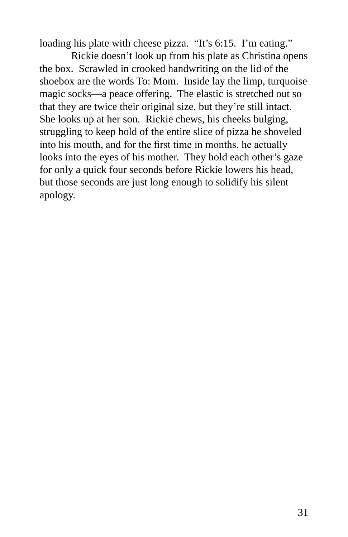loading his plate with cheese pizza. "It's 6:15. I'm eating."

Rickie doesn't look up from his plate as Christina opens the box. Scrawled in crooked handwriting on the lid of the shoebox are the words To: Mom. Inside lay the limp, turquoise magic socks—a peace offering. The elastic is stretched out so that they are twice their original size, but they're still intact. She looks up at her son. Rickie chews, his cheeks bulging, struggling to keep hold of the entire slice of pizza he shoveled into his mouth, and for the first time in months, he actually looks into the eyes of his mother. They hold each other's gaze for only a quick four seconds before Rickie lowers his head, but those seconds are just long enough to solidify his silent apology.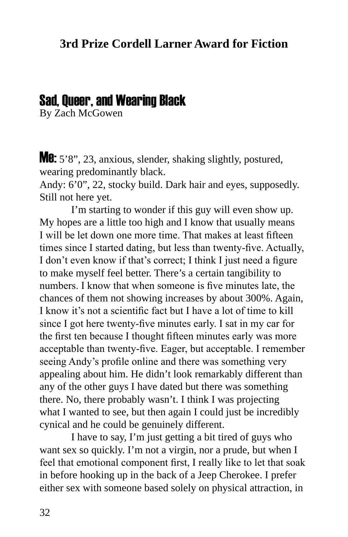#### Sad, Queer, and Wearing Black

By Zach McGowen

**Me:** 5'8", 23, anxious, slender, shaking slightly, postured, wearing predominantly black.

Andy: 6'0", 22, stocky build. Dark hair and eyes, supposedly. Still not here yet.

I'm starting to wonder if this guy will even show up. My hopes are a little too high and I know that usually means I will be let down one more time. That makes at least fifteen times since I started dating, but less than twenty-five. Actually, I don't even know if that's correct; I think I just need a figure to make myself feel better. There's a certain tangibility to numbers. I know that when someone is five minutes late, the chances of them not showing increases by about 300%. Again, I know it's not a scientific fact but I have a lot of time to kill since I got here twenty-five minutes early. I sat in my car for the first ten because I thought fifteen minutes early was more acceptable than twenty-five. Eager, but acceptable. I remember seeing Andy's profile online and there was something very appealing about him. He didn't look remarkably different than any of the other guys I have dated but there was something there. No, there probably wasn't. I think I was projecting what I wanted to see, but then again I could just be incredibly cynical and he could be genuinely different.

I have to say, I'm just getting a bit tired of guys who want sex so quickly. I'm not a virgin, nor a prude, but when I feel that emotional component first, I really like to let that soak in before hooking up in the back of a Jeep Cherokee. I prefer either sex with someone based solely on physical attraction, in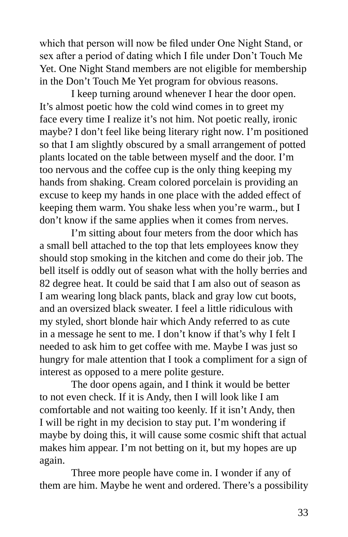which that person will now be filed under One Night Stand, or sex after a period of dating which I file under Don't Touch Me Yet. One Night Stand members are not eligible for membership in the Don't Touch Me Yet program for obvious reasons.

I keep turning around whenever I hear the door open. It's almost poetic how the cold wind comes in to greet my face every time I realize it's not him. Not poetic really, ironic maybe? I don't feel like being literary right now. I'm positioned so that I am slightly obscured by a small arrangement of potted plants located on the table between myself and the door. I'm too nervous and the coffee cup is the only thing keeping my hands from shaking. Cream colored porcelain is providing an excuse to keep my hands in one place with the added effect of keeping them warm. You shake less when you're warm., but I don't know if the same applies when it comes from nerves.

I'm sitting about four meters from the door which has a small bell attached to the top that lets employees know they should stop smoking in the kitchen and come do their job. The bell itself is oddly out of season what with the holly berries and 82 degree heat. It could be said that I am also out of season as I am wearing long black pants, black and gray low cut boots, and an oversized black sweater. I feel a little ridiculous with my styled, short blonde hair which Andy referred to as cute in a message he sent to me. I don't know if that's why I felt I needed to ask him to get coffee with me. Maybe I was just so hungry for male attention that I took a compliment for a sign of interest as opposed to a mere polite gesture.

The door opens again, and I think it would be better to not even check. If it is Andy, then I will look like I am comfortable and not waiting too keenly. If it isn't Andy, then I will be right in my decision to stay put. I'm wondering if maybe by doing this, it will cause some cosmic shift that actual makes him appear. I'm not betting on it, but my hopes are up again.

Three more people have come in. I wonder if any of them are him. Maybe he went and ordered. There's a possibility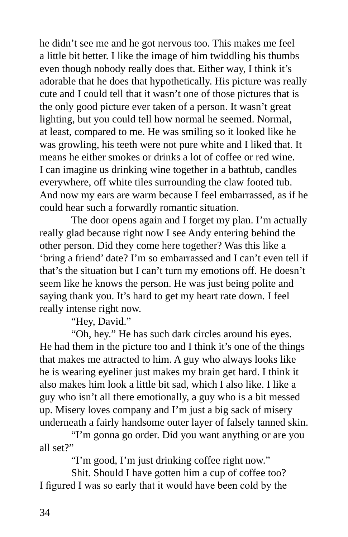he didn't see me and he got nervous too. This makes me feel a little bit better. I like the image of him twiddling his thumbs even though nobody really does that. Either way, I think it's adorable that he does that hypothetically. His picture was really cute and I could tell that it wasn't one of those pictures that is the only good picture ever taken of a person. It wasn't great lighting, but you could tell how normal he seemed. Normal, at least, compared to me. He was smiling so it looked like he was growling, his teeth were not pure white and I liked that. It means he either smokes or drinks a lot of coffee or red wine. I can imagine us drinking wine together in a bathtub, candles everywhere, off white tiles surrounding the claw footed tub. And now my ears are warm because I feel embarrassed, as if he could hear such a forwardly romantic situation.

The door opens again and I forget my plan. I'm actually really glad because right now I see Andy entering behind the other person. Did they come here together? Was this like a 'bring a friend' date? I'm so embarrassed and I can't even tell if that's the situation but I can't turn my emotions off. He doesn't seem like he knows the person. He was just being polite and saying thank you. It's hard to get my heart rate down. I feel really intense right now.

"Hey, David."

"Oh, hey." He has such dark circles around his eyes. He had them in the picture too and I think it's one of the things that makes me attracted to him. A guy who always looks like he is wearing eyeliner just makes my brain get hard. I think it also makes him look a little bit sad, which I also like. I like a guy who isn't all there emotionally, a guy who is a bit messed up. Misery loves company and I'm just a big sack of misery underneath a fairly handsome outer layer of falsely tanned skin.

"I'm gonna go order. Did you want anything or are you all set?"

"I'm good, I'm just drinking coffee right now."

Shit. Should I have gotten him a cup of coffee too? I figured I was so early that it would have been cold by the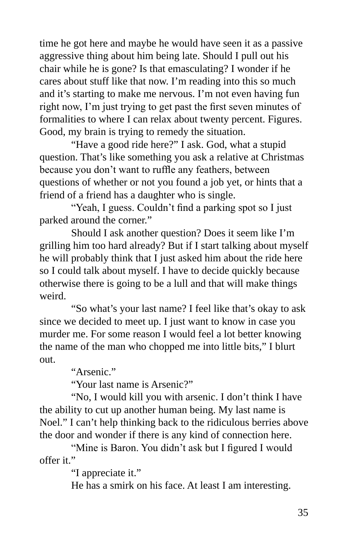time he got here and maybe he would have seen it as a passive aggressive thing about him being late. Should I pull out his chair while he is gone? Is that emasculating? I wonder if he cares about stuff like that now. I'm reading into this so much and it's starting to make me nervous. I'm not even having fun right now, I'm just trying to get past the first seven minutes of formalities to where I can relax about twenty percent. Figures. Good, my brain is trying to remedy the situation.

"Have a good ride here?" I ask. God, what a stupid question. That's like something you ask a relative at Christmas because you don't want to ruffle any feathers, between questions of whether or not you found a job yet, or hints that a friend of a friend has a daughter who is single.

"Yeah, I guess. Couldn't find a parking spot so I just parked around the corner."

Should I ask another question? Does it seem like I'm grilling him too hard already? But if I start talking about myself he will probably think that I just asked him about the ride here so I could talk about myself. I have to decide quickly because otherwise there is going to be a lull and that will make things weird.

"So what's your last name? I feel like that's okay to ask since we decided to meet up. I just want to know in case you murder me. For some reason I would feel a lot better knowing the name of the man who chopped me into little bits," I blurt out.

"Arsenic."

"Your last name is Arsenic?"

"No, I would kill you with arsenic. I don't think I have the ability to cut up another human being. My last name is Noel." I can't help thinking back to the ridiculous berries above the door and wonder if there is any kind of connection here.

"Mine is Baron. You didn't ask but I figured I would offer it."

"I appreciate it."

He has a smirk on his face. At least I am interesting.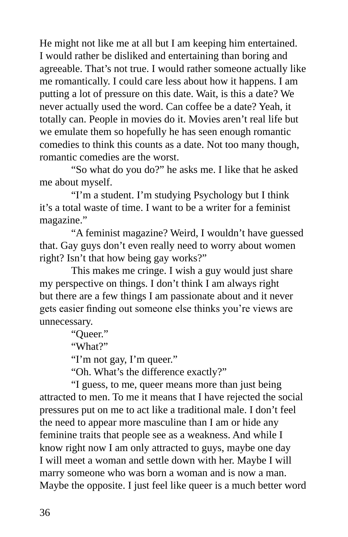He might not like me at all but I am keeping him entertained. I would rather be disliked and entertaining than boring and agreeable. That's not true. I would rather someone actually like me romantically. I could care less about how it happens. I am putting a lot of pressure on this date. Wait, is this a date? We never actually used the word. Can coffee be a date? Yeah, it totally can. People in movies do it. Movies aren't real life but we emulate them so hopefully he has seen enough romantic comedies to think this counts as a date. Not too many though, romantic comedies are the worst.

"So what do you do?" he asks me. I like that he asked me about myself.

"I'm a student. I'm studying Psychology but I think it's a total waste of time. I want to be a writer for a feminist magazine."

"A feminist magazine? Weird, I wouldn't have guessed that. Gay guys don't even really need to worry about women right? Isn't that how being gay works?"

This makes me cringe. I wish a guy would just share my perspective on things. I don't think I am always right but there are a few things I am passionate about and it never gets easier finding out someone else thinks you're views are unnecessary.

"Queer."

"What?"

"I'm not gay, I'm queer."

"Oh. What's the difference exactly?"

"I guess, to me, queer means more than just being attracted to men. To me it means that I have rejected the social pressures put on me to act like a traditional male. I don't feel the need to appear more masculine than I am or hide any feminine traits that people see as a weakness. And while I know right now I am only attracted to guys, maybe one day I will meet a woman and settle down with her. Maybe I will marry someone who was born a woman and is now a man. Maybe the opposite. I just feel like queer is a much better word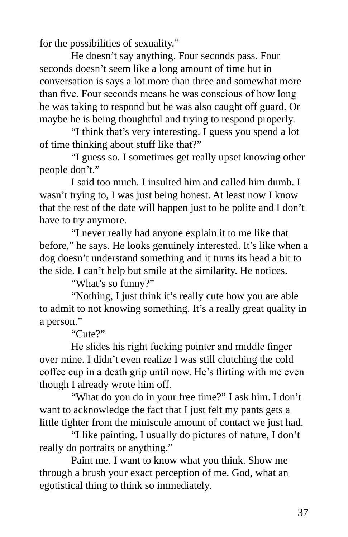for the possibilities of sexuality."

He doesn't say anything. Four seconds pass. Four seconds doesn't seem like a long amount of time but in conversation is says a lot more than three and somewhat more than five. Four seconds means he was conscious of how long he was taking to respond but he was also caught off guard. Or maybe he is being thoughtful and trying to respond properly.

"I think that's very interesting. I guess you spend a lot of time thinking about stuff like that?"

"I guess so. I sometimes get really upset knowing other people don't."

I said too much. I insulted him and called him dumb. I wasn't trying to, I was just being honest. At least now I know that the rest of the date will happen just to be polite and I don't have to try anymore.

"I never really had anyone explain it to me like that before," he says. He looks genuinely interested. It's like when a dog doesn't understand something and it turns its head a bit to the side. I can't help but smile at the similarity. He notices.

"What's so funny?"

"Nothing, I just think it's really cute how you are able to admit to not knowing something. It's a really great quality in a person."

"Cute?"

He slides his right fucking pointer and middle finger over mine. I didn't even realize I was still clutching the cold coffee cup in a death grip until now. He's flirting with me even though I already wrote him off.

"What do you do in your free time?" I ask him. I don't want to acknowledge the fact that I just felt my pants gets a little tighter from the miniscule amount of contact we just had.

"I like painting. I usually do pictures of nature, I don't really do portraits or anything."

Paint me. I want to know what you think. Show me through a brush your exact perception of me. God, what an egotistical thing to think so immediately.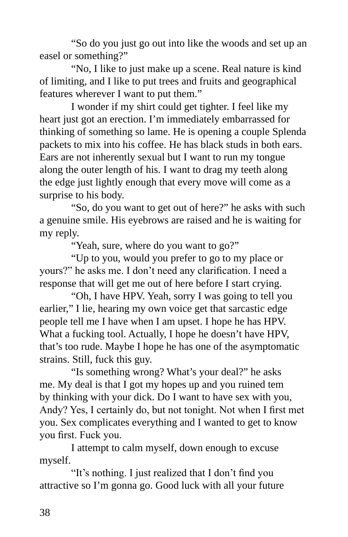"So do you just go out into like the woods and set up an easel or something?"

"No, I like to just make up a scene. Real nature is kind of limiting, and I like to put trees and fruits and geographical features wherever I want to put them."

I wonder if my shirt could get tighter. I feel like my heart just got an erection. I'm immediately embarrassed for thinking of something so lame. He is opening a couple Splenda packets to mix into his coffee. He has black studs in both ears. Ears are not inherently sexual but I want to run my tongue along the outer length of his. I want to drag my teeth along the edge just lightly enough that every move will come as a surprise to his body.

"So, do you want to get out of here?" he asks with such a genuine smile. His eyebrows are raised and he is waiting for my reply.

"Yeah, sure, where do you want to go?"

"Up to you, would you prefer to go to my place or yours?" he asks me. I don't need any clarification. I need a response that will get me out of here before I start crying.

"Oh, I have HPV. Yeah, sorry I was going to tell you earlier," I lie, hearing my own voice get that sarcastic edge people tell me I have when I am upset. I hope he has HPV. What a fucking tool. Actually, I hope he doesn't have HPV, that's too rude. Maybe I hope he has one of the asymptomatic strains. Still, fuck this guy.

"Is something wrong? What's your deal?" he asks me. My deal is that I got my hopes up and you ruined tem by thinking with your dick. Do I want to have sex with you, Andy? Yes, I certainly do, but not tonight. Not when I first met you. Sex complicates everything and I wanted to get to know you first. Fuck you.

I attempt to calm myself, down enough to excuse myself.

"It's nothing. I just realized that I don't find you attractive so I'm gonna go. Good luck with all your future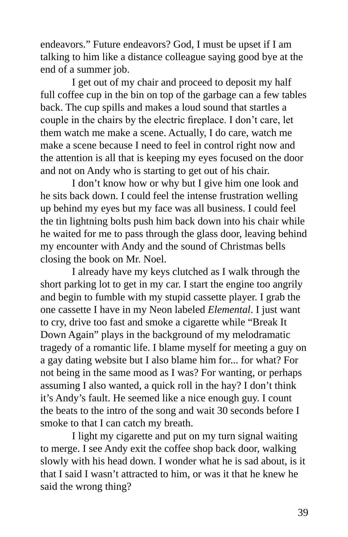endeavors." Future endeavors? God, I must be upset if I am talking to him like a distance colleague saying good bye at the end of a summer job.

I get out of my chair and proceed to deposit my half full coffee cup in the bin on top of the garbage can a few tables back. The cup spills and makes a loud sound that startles a couple in the chairs by the electric fireplace. I don't care, let them watch me make a scene. Actually, I do care, watch me make a scene because I need to feel in control right now and the attention is all that is keeping my eyes focused on the door and not on Andy who is starting to get out of his chair.

I don't know how or why but I give him one look and he sits back down. I could feel the intense frustration welling up behind my eyes but my face was all business. I could feel the tin lightning bolts push him back down into his chair while he waited for me to pass through the glass door, leaving behind my encounter with Andy and the sound of Christmas bells closing the book on Mr. Noel.

I already have my keys clutched as I walk through the short parking lot to get in my car. I start the engine too angrily and begin to fumble with my stupid cassette player. I grab the one cassette I have in my Neon labeled *Elemental*. I just want to cry, drive too fast and smoke a cigarette while "Break It Down Again" plays in the background of my melodramatic tragedy of a romantic life. I blame myself for meeting a guy on a gay dating website but I also blame him for... for what? For not being in the same mood as I was? For wanting, or perhaps assuming I also wanted, a quick roll in the hay? I don't think it's Andy's fault. He seemed like a nice enough guy. I count the beats to the intro of the song and wait 30 seconds before I smoke to that I can catch my breath.

I light my cigarette and put on my turn signal waiting to merge. I see Andy exit the coffee shop back door, walking slowly with his head down. I wonder what he is sad about, is it that I said I wasn't attracted to him, or was it that he knew he said the wrong thing?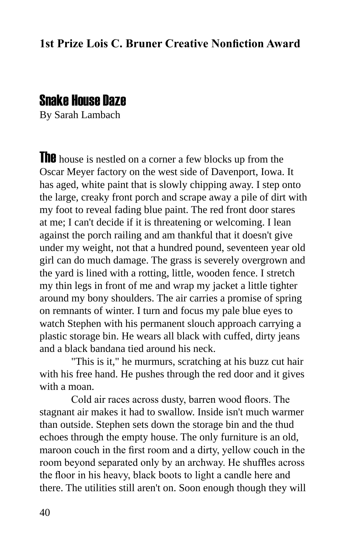## Snake House Daze

By Sarah Lambach

The house is nestled on a corner a few blocks up from the Oscar Meyer factory on the west side of Davenport, Iowa. It has aged, white paint that is slowly chipping away. I step onto the large, creaky front porch and scrape away a pile of dirt with my foot to reveal fading blue paint. The red front door stares at me; I can't decide if it is threatening or welcoming. I lean against the porch railing and am thankful that it doesn't give under my weight, not that a hundred pound, seventeen year old girl can do much damage. The grass is severely overgrown and the yard is lined with a rotting, little, wooden fence. I stretch my thin legs in front of me and wrap my jacket a little tighter around my bony shoulders. The air carries a promise of spring on remnants of winter. I turn and focus my pale blue eyes to watch Stephen with his permanent slouch approach carrying a plastic storage bin. He wears all black with cuffed, dirty jeans and a black bandana tied around his neck.

"This is it," he murmurs, scratching at his buzz cut hair with his free hand. He pushes through the red door and it gives with a moan.

Cold air races across dusty, barren wood floors. The stagnant air makes it had to swallow. Inside isn't much warmer than outside. Stephen sets down the storage bin and the thud echoes through the empty house. The only furniture is an old, maroon couch in the first room and a dirty, yellow couch in the room beyond separated only by an archway. He shuffles across the floor in his heavy, black boots to light a candle here and there. The utilities still aren't on. Soon enough though they will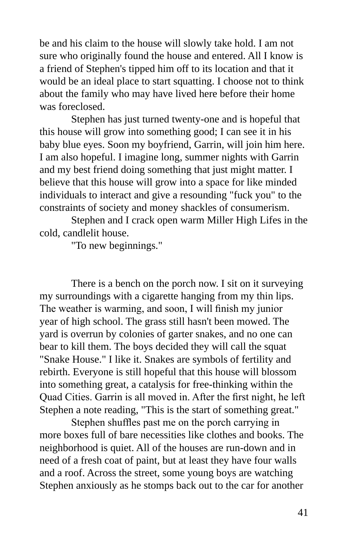be and his claim to the house will slowly take hold. I am not sure who originally found the house and entered. All I know is a friend of Stephen's tipped him off to its location and that it would be an ideal place to start squatting. I choose not to think about the family who may have lived here before their home was foreclosed.

Stephen has just turned twenty-one and is hopeful that this house will grow into something good; I can see it in his baby blue eyes. Soon my boyfriend, Garrin, will join him here. I am also hopeful. I imagine long, summer nights with Garrin and my best friend doing something that just might matter. I believe that this house will grow into a space for like minded individuals to interact and give a resounding "fuck you" to the constraints of society and money shackles of consumerism.

Stephen and I crack open warm Miller High Lifes in the cold, candlelit house.

"To new beginnings."

There is a bench on the porch now. I sit on it surveying my surroundings with a cigarette hanging from my thin lips. The weather is warming, and soon, I will finish my junior year of high school. The grass still hasn't been mowed. The yard is overrun by colonies of garter snakes, and no one can bear to kill them. The boys decided they will call the squat "Snake House." I like it. Snakes are symbols of fertility and rebirth. Everyone is still hopeful that this house will blossom into something great, a catalysis for free-thinking within the Quad Cities. Garrin is all moved in. After the first night, he left Stephen a note reading, "This is the start of something great."

Stephen shuffles past me on the porch carrying in more boxes full of bare necessities like clothes and books. The neighborhood is quiet. All of the houses are run-down and in need of a fresh coat of paint, but at least they have four walls and a roof. Across the street, some young boys are watching Stephen anxiously as he stomps back out to the car for another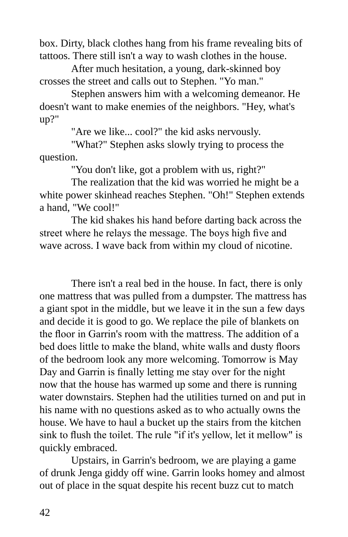box. Dirty, black clothes hang from his frame revealing bits of tattoos. There still isn't a way to wash clothes in the house.

After much hesitation, a young, dark-skinned boy crosses the street and calls out to Stephen. "Yo man."

Stephen answers him with a welcoming demeanor. He doesn't want to make enemies of the neighbors. "Hey, what's up?"

"Are we like... cool?" the kid asks nervously.

"What?" Stephen asks slowly trying to process the question.

"You don't like, got a problem with us, right?"

The realization that the kid was worried he might be a white power skinhead reaches Stephen. "Oh!" Stephen extends a hand, "We cool!"

The kid shakes his hand before darting back across the street where he relays the message. The boys high five and wave across. I wave back from within my cloud of nicotine.

There isn't a real bed in the house. In fact, there is only one mattress that was pulled from a dumpster. The mattress has a giant spot in the middle, but we leave it in the sun a few days and decide it is good to go. We replace the pile of blankets on the floor in Garrin's room with the mattress. The addition of a bed does little to make the bland, white walls and dusty floors of the bedroom look any more welcoming. Tomorrow is May Day and Garrin is finally letting me stay over for the night now that the house has warmed up some and there is running water downstairs. Stephen had the utilities turned on and put in his name with no questions asked as to who actually owns the house. We have to haul a bucket up the stairs from the kitchen sink to flush the toilet. The rule "if it's yellow, let it mellow" is quickly embraced.

Upstairs, in Garrin's bedroom, we are playing a game of drunk Jenga giddy off wine. Garrin looks homey and almost out of place in the squat despite his recent buzz cut to match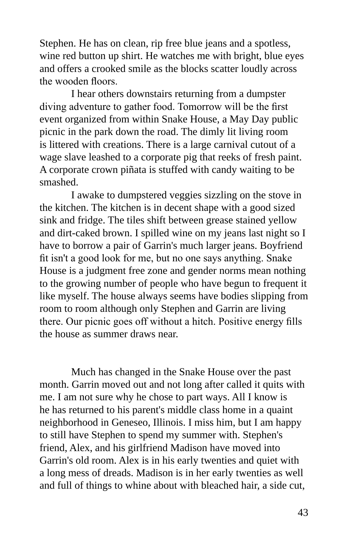Stephen. He has on clean, rip free blue jeans and a spotless, wine red button up shirt. He watches me with bright, blue eyes and offers a crooked smile as the blocks scatter loudly across the wooden floors.

I hear others downstairs returning from a dumpster diving adventure to gather food. Tomorrow will be the first event organized from within Snake House, a May Day public picnic in the park down the road. The dimly lit living room is littered with creations. There is a large carnival cutout of a wage slave leashed to a corporate pig that reeks of fresh paint. A corporate crown piñata is stuffed with candy waiting to be smashed.

I awake to dumpstered veggies sizzling on the stove in the kitchen. The kitchen is in decent shape with a good sized sink and fridge. The tiles shift between grease stained yellow and dirt-caked brown. I spilled wine on my jeans last night so I have to borrow a pair of Garrin's much larger jeans. Boyfriend fit isn't a good look for me, but no one says anything. Snake House is a judgment free zone and gender norms mean nothing to the growing number of people who have begun to frequent it like myself. The house always seems have bodies slipping from room to room although only Stephen and Garrin are living there. Our picnic goes off without a hitch. Positive energy fills the house as summer draws near.

Much has changed in the Snake House over the past month. Garrin moved out and not long after called it quits with me. I am not sure why he chose to part ways. All I know is he has returned to his parent's middle class home in a quaint neighborhood in Geneseo, Illinois. I miss him, but I am happy to still have Stephen to spend my summer with. Stephen's friend, Alex, and his girlfriend Madison have moved into Garrin's old room. Alex is in his early twenties and quiet with a long mess of dreads. Madison is in her early twenties as well and full of things to whine about with bleached hair, a side cut,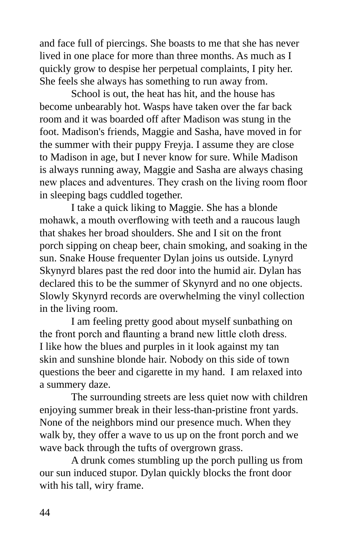and face full of piercings. She boasts to me that she has never lived in one place for more than three months. As much as I quickly grow to despise her perpetual complaints, I pity her. She feels she always has something to run away from.

School is out, the heat has hit, and the house has become unbearably hot. Wasps have taken over the far back room and it was boarded off after Madison was stung in the foot. Madison's friends, Maggie and Sasha, have moved in for the summer with their puppy Freyja. I assume they are close to Madison in age, but I never know for sure. While Madison is always running away, Maggie and Sasha are always chasing new places and adventures. They crash on the living room floor in sleeping bags cuddled together.

I take a quick liking to Maggie. She has a blonde mohawk, a mouth overflowing with teeth and a raucous laugh that shakes her broad shoulders. She and I sit on the front porch sipping on cheap beer, chain smoking, and soaking in the sun. Snake House frequenter Dylan joins us outside. Lynyrd Skynyrd blares past the red door into the humid air. Dylan has declared this to be the summer of Skynyrd and no one objects. Slowly Skynyrd records are overwhelming the vinyl collection in the living room.

I am feeling pretty good about myself sunbathing on the front porch and flaunting a brand new little cloth dress. I like how the blues and purples in it look against my tan skin and sunshine blonde hair. Nobody on this side of town questions the beer and cigarette in my hand. I am relaxed into a summery daze.

The surrounding streets are less quiet now with children enjoying summer break in their less-than-pristine front yards. None of the neighbors mind our presence much. When they walk by, they offer a wave to us up on the front porch and we wave back through the tufts of overgrown grass.

A drunk comes stumbling up the porch pulling us from our sun induced stupor. Dylan quickly blocks the front door with his tall, wiry frame.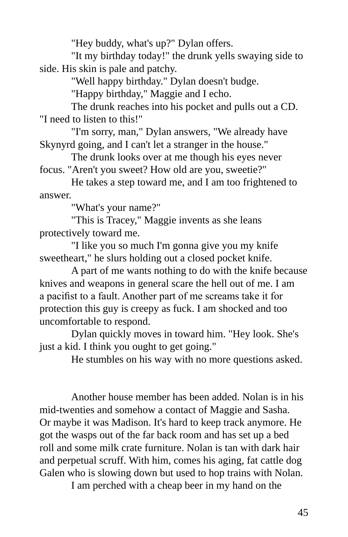"Hey buddy, what's up?" Dylan offers.

"It my birthday today!" the drunk yells swaying side to side. His skin is pale and patchy.

"Well happy birthday." Dylan doesn't budge.

"Happy birthday," Maggie and I echo.

The drunk reaches into his pocket and pulls out a CD. "I need to listen to this!"

"I'm sorry, man," Dylan answers, "We already have Skynyrd going, and I can't let a stranger in the house."

The drunk looks over at me though his eyes never focus. "Aren't you sweet? How old are you, sweetie?"

He takes a step toward me, and I am too frightened to answer.

"What's your name?"

"This is Tracey," Maggie invents as she leans protectively toward me.

"I like you so much I'm gonna give you my knife sweetheart," he slurs holding out a closed pocket knife.

A part of me wants nothing to do with the knife because knives and weapons in general scare the hell out of me. I am a pacifist to a fault. Another part of me screams take it for protection this guy is creepy as fuck. I am shocked and too uncomfortable to respond.

Dylan quickly moves in toward him. "Hey look. She's just a kid. I think you ought to get going."

He stumbles on his way with no more questions asked.

Another house member has been added. Nolan is in his mid-twenties and somehow a contact of Maggie and Sasha. Or maybe it was Madison. It's hard to keep track anymore. He got the wasps out of the far back room and has set up a bed roll and some milk crate furniture. Nolan is tan with dark hair and perpetual scruff. With him, comes his aging, fat cattle dog Galen who is slowing down but used to hop trains with Nolan.

I am perched with a cheap beer in my hand on the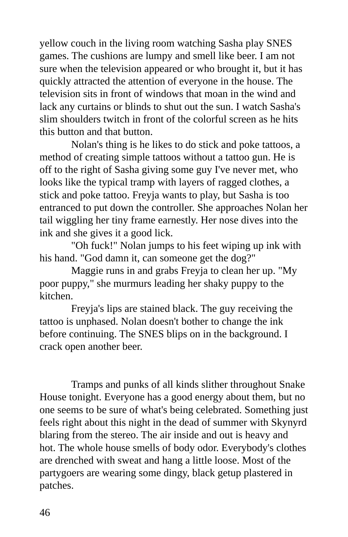yellow couch in the living room watching Sasha play SNES games. The cushions are lumpy and smell like beer. I am not sure when the television appeared or who brought it, but it has quickly attracted the attention of everyone in the house. The television sits in front of windows that moan in the wind and lack any curtains or blinds to shut out the sun. I watch Sasha's slim shoulders twitch in front of the colorful screen as he hits this button and that button.

Nolan's thing is he likes to do stick and poke tattoos, a method of creating simple tattoos without a tattoo gun. He is off to the right of Sasha giving some guy I've never met, who looks like the typical tramp with layers of ragged clothes, a stick and poke tattoo. Freyja wants to play, but Sasha is too entranced to put down the controller. She approaches Nolan her tail wiggling her tiny frame earnestly. Her nose dives into the ink and she gives it a good lick.

"Oh fuck!" Nolan jumps to his feet wiping up ink with his hand. "God damn it, can someone get the dog?"

Maggie runs in and grabs Freyja to clean her up. "My poor puppy," she murmurs leading her shaky puppy to the kitchen.

Freyja's lips are stained black. The guy receiving the tattoo is unphased. Nolan doesn't bother to change the ink before continuing. The SNES blips on in the background. I crack open another beer.

Tramps and punks of all kinds slither throughout Snake House tonight. Everyone has a good energy about them, but no one seems to be sure of what's being celebrated. Something just feels right about this night in the dead of summer with Skynyrd blaring from the stereo. The air inside and out is heavy and hot. The whole house smells of body odor. Everybody's clothes are drenched with sweat and hang a little loose. Most of the partygoers are wearing some dingy, black getup plastered in patches.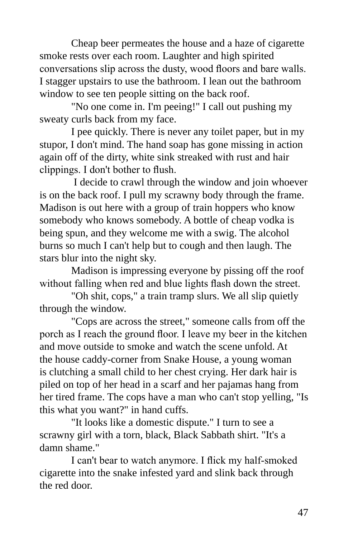Cheap beer permeates the house and a haze of cigarette smoke rests over each room. Laughter and high spirited conversations slip across the dusty, wood floors and bare walls. I stagger upstairs to use the bathroom. I lean out the bathroom window to see ten people sitting on the back roof.

"No one come in. I'm peeing!" I call out pushing my sweaty curls back from my face.

I pee quickly. There is never any toilet paper, but in my stupor, I don't mind. The hand soap has gone missing in action again off of the dirty, white sink streaked with rust and hair clippings. I don't bother to flush.

 I decide to crawl through the window and join whoever is on the back roof. I pull my scrawny body through the frame. Madison is out here with a group of train hoppers who know somebody who knows somebody. A bottle of cheap vodka is being spun, and they welcome me with a swig. The alcohol burns so much I can't help but to cough and then laugh. The stars blur into the night sky.

Madison is impressing everyone by pissing off the roof without falling when red and blue lights flash down the street.

"Oh shit, cops," a train tramp slurs. We all slip quietly through the window.

"Cops are across the street," someone calls from off the porch as I reach the ground floor. I leave my beer in the kitchen and move outside to smoke and watch the scene unfold. At the house caddy-corner from Snake House, a young woman is clutching a small child to her chest crying. Her dark hair is piled on top of her head in a scarf and her pajamas hang from her tired frame. The cops have a man who can't stop yelling, "Is this what you want?" in hand cuffs.

"It looks like a domestic dispute." I turn to see a scrawny girl with a torn, black, Black Sabbath shirt. "It's a damn shame."

I can't bear to watch anymore. I flick my half-smoked cigarette into the snake infested yard and slink back through the red door.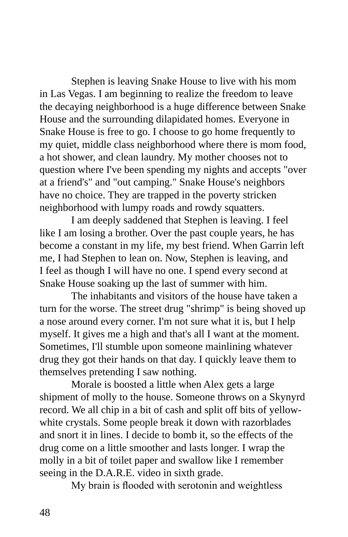Stephen is leaving Snake House to live with his mom in Las Vegas. I am beginning to realize the freedom to leave the decaying neighborhood is a huge difference between Snake House and the surrounding dilapidated homes. Everyone in Snake House is free to go. I choose to go home frequently to my quiet, middle class neighborhood where there is mom food, a hot shower, and clean laundry. My mother chooses not to question where I've been spending my nights and accepts "over at a friend's" and "out camping." Snake House's neighbors have no choice. They are trapped in the poverty stricken neighborhood with lumpy roads and rowdy squatters.

I am deeply saddened that Stephen is leaving. I feel like I am losing a brother. Over the past couple years, he has become a constant in my life, my best friend. When Garrin left me, I had Stephen to lean on. Now, Stephen is leaving, and I feel as though I will have no one. I spend every second at Snake House soaking up the last of summer with him.

The inhabitants and visitors of the house have taken a turn for the worse. The street drug "shrimp" is being shoved up a nose around every corner. I'm not sure what it is, but I help myself. It gives me a high and that's all I want at the moment. Sometimes, I'll stumble upon someone mainlining whatever drug they got their hands on that day. I quickly leave them to themselves pretending I saw nothing.

Morale is boosted a little when Alex gets a large shipment of molly to the house. Someone throws on a Skynyrd record. We all chip in a bit of cash and split off bits of yellowwhite crystals. Some people break it down with razorblades and snort it in lines. I decide to bomb it, so the effects of the drug come on a little smoother and lasts longer. I wrap the molly in a bit of toilet paper and swallow like I remember seeing in the D.A.R.E. video in sixth grade.

My brain is flooded with serotonin and weightless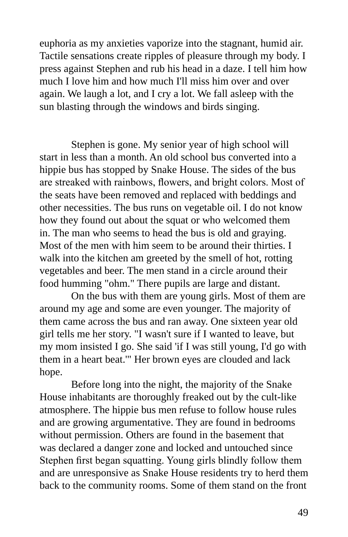euphoria as my anxieties vaporize into the stagnant, humid air. Tactile sensations create ripples of pleasure through my body. I press against Stephen and rub his head in a daze. I tell him how much I love him and how much I'll miss him over and over again. We laugh a lot, and I cry a lot. We fall asleep with the sun blasting through the windows and birds singing.

Stephen is gone. My senior year of high school will start in less than a month. An old school bus converted into a hippie bus has stopped by Snake House. The sides of the bus are streaked with rainbows, flowers, and bright colors. Most of the seats have been removed and replaced with beddings and other necessities. The bus runs on vegetable oil. I do not know how they found out about the squat or who welcomed them in. The man who seems to head the bus is old and graying. Most of the men with him seem to be around their thirties. I walk into the kitchen am greeted by the smell of hot, rotting vegetables and beer. The men stand in a circle around their food humming "ohm." There pupils are large and distant.

On the bus with them are young girls. Most of them are around my age and some are even younger. The majority of them came across the bus and ran away. One sixteen year old girl tells me her story. "I wasn't sure if I wanted to leave, but my mom insisted I go. She said 'if I was still young, I'd go with them in a heart beat.'" Her brown eyes are clouded and lack hope.

Before long into the night, the majority of the Snake House inhabitants are thoroughly freaked out by the cult-like atmosphere. The hippie bus men refuse to follow house rules and are growing argumentative. They are found in bedrooms without permission. Others are found in the basement that was declared a danger zone and locked and untouched since Stephen first began squatting. Young girls blindly follow them and are unresponsive as Snake House residents try to herd them back to the community rooms. Some of them stand on the front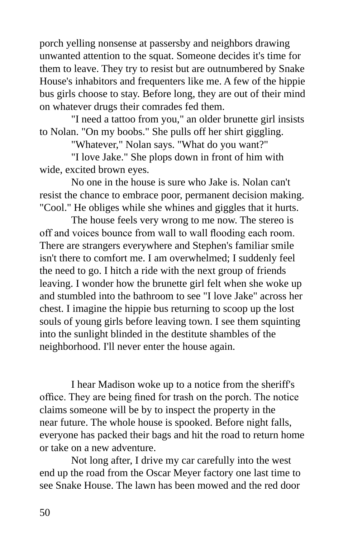porch yelling nonsense at passersby and neighbors drawing unwanted attention to the squat. Someone decides it's time for them to leave. They try to resist but are outnumbered by Snake House's inhabitors and frequenters like me. A few of the hippie bus girls choose to stay. Before long, they are out of their mind on whatever drugs their comrades fed them.

"I need a tattoo from you," an older brunette girl insists to Nolan. "On my boobs." She pulls off her shirt giggling.

"Whatever," Nolan says. "What do you want?"

"I love Jake." She plops down in front of him with wide, excited brown eyes.

No one in the house is sure who Jake is. Nolan can't resist the chance to embrace poor, permanent decision making. "Cool." He obliges while she whines and giggles that it hurts.

The house feels very wrong to me now. The stereo is off and voices bounce from wall to wall flooding each room. There are strangers everywhere and Stephen's familiar smile isn't there to comfort me. I am overwhelmed; I suddenly feel the need to go. I hitch a ride with the next group of friends leaving. I wonder how the brunette girl felt when she woke up and stumbled into the bathroom to see "I love Jake" across her chest. I imagine the hippie bus returning to scoop up the lost souls of young girls before leaving town. I see them squinting into the sunlight blinded in the destitute shambles of the neighborhood. I'll never enter the house again.

I hear Madison woke up to a notice from the sheriff's office. They are being fined for trash on the porch. The notice claims someone will be by to inspect the property in the near future. The whole house is spooked. Before night falls, everyone has packed their bags and hit the road to return home or take on a new adventure.

Not long after, I drive my car carefully into the west end up the road from the Oscar Meyer factory one last time to see Snake House. The lawn has been mowed and the red door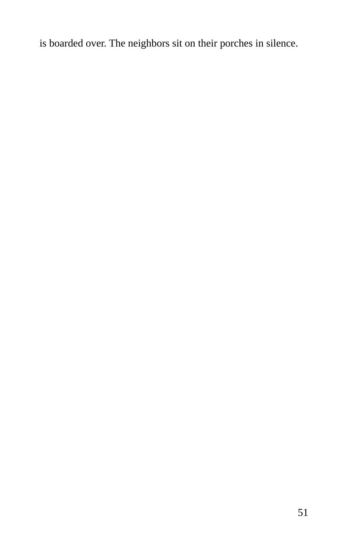is boarded over. The neighbors sit on their porches in silence.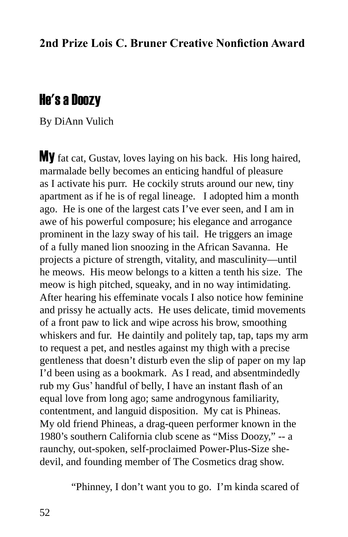## He's a Doozy

By DiAnn Vulich

My fat cat, Gustav, loves laying on his back. His long haired, marmalade belly becomes an enticing handful of pleasure as I activate his purr. He cockily struts around our new, tiny apartment as if he is of regal lineage. I adopted him a month ago. He is one of the largest cats I've ever seen, and I am in awe of his powerful composure; his elegance and arrogance prominent in the lazy sway of his tail. He triggers an image of a fully maned lion snoozing in the African Savanna. He projects a picture of strength, vitality, and masculinity—until he meows. His meow belongs to a kitten a tenth his size. The meow is high pitched, squeaky, and in no way intimidating. After hearing his effeminate vocals I also notice how feminine and prissy he actually acts. He uses delicate, timid movements of a front paw to lick and wipe across his brow, smoothing whiskers and fur. He daintily and politely tap, tap, taps my arm to request a pet, and nestles against my thigh with a precise gentleness that doesn't disturb even the slip of paper on my lap I'd been using as a bookmark. As I read, and absentmindedly rub my Gus' handful of belly, I have an instant flash of an equal love from long ago; same androgynous familiarity, contentment, and languid disposition. My cat is Phineas. My old friend Phineas, a drag-queen performer known in the 1980's southern California club scene as "Miss Doozy," -- a raunchy, out-spoken, self-proclaimed Power-Plus-Size shedevil, and founding member of The Cosmetics drag show.

"Phinney, I don't want you to go. I'm kinda scared of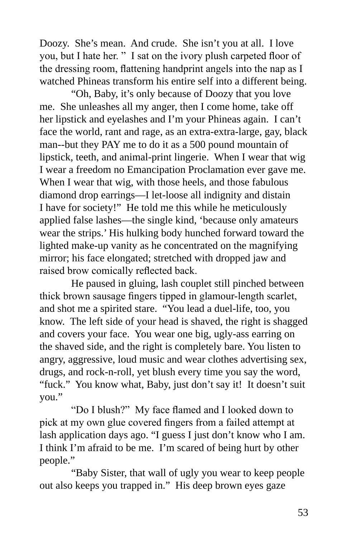Doozy. She's mean. And crude. She isn't you at all. I love you, but I hate her. " I sat on the ivory plush carpeted floor of the dressing room, flattening handprint angels into the nap as I watched Phineas transform his entire self into a different being.

"Oh, Baby, it's only because of Doozy that you love me. She unleashes all my anger, then I come home, take off her lipstick and eyelashes and I'm your Phineas again. I can't face the world, rant and rage, as an extra-extra-large, gay, black man--but they PAY me to do it as a 500 pound mountain of lipstick, teeth, and animal-print lingerie. When I wear that wig I wear a freedom no Emancipation Proclamation ever gave me. When I wear that wig, with those heels, and those fabulous diamond drop earrings—I let-loose all indignity and distain I have for society!" He told me this while he meticulously applied false lashes—the single kind, 'because only amateurs wear the strips.' His hulking body hunched forward toward the lighted make-up vanity as he concentrated on the magnifying mirror; his face elongated; stretched with dropped jaw and raised brow comically reflected back.

He paused in gluing, lash couplet still pinched between thick brown sausage fingers tipped in glamour-length scarlet, and shot me a spirited stare. "You lead a duel-life, too, you know. The left side of your head is shaved, the right is shagged and covers your face. You wear one big, ugly-ass earring on the shaved side, and the right is completely bare. You listen to angry, aggressive, loud music and wear clothes advertising sex, drugs, and rock-n-roll, yet blush every time you say the word, "fuck." You know what, Baby, just don't say it! It doesn't suit you."

"Do I blush?" My face flamed and I looked down to pick at my own glue covered fingers from a failed attempt at lash application days ago. "I guess I just don't know who I am. I think I'm afraid to be me. I'm scared of being hurt by other people."

"Baby Sister, that wall of ugly you wear to keep people out also keeps you trapped in." His deep brown eyes gaze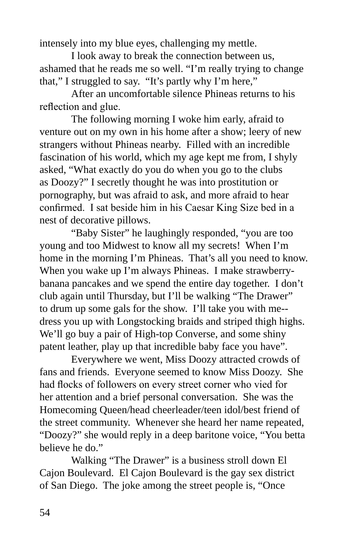intensely into my blue eyes, challenging my mettle.

I look away to break the connection between us, ashamed that he reads me so well. "I'm really trying to change that," I struggled to say. "It's partly why I'm here,"

After an uncomfortable silence Phineas returns to his reflection and glue.

The following morning I woke him early, afraid to venture out on my own in his home after a show; leery of new strangers without Phineas nearby. Filled with an incredible fascination of his world, which my age kept me from, I shyly asked, "What exactly do you do when you go to the clubs as Doozy?" I secretly thought he was into prostitution or pornography, but was afraid to ask, and more afraid to hear confirmed. I sat beside him in his Caesar King Size bed in a nest of decorative pillows.

"Baby Sister" he laughingly responded, "you are too young and too Midwest to know all my secrets! When I'm home in the morning I'm Phineas. That's all you need to know. When you wake up I'm always Phineas. I make strawberrybanana pancakes and we spend the entire day together. I don't club again until Thursday, but I'll be walking "The Drawer" to drum up some gals for the show. I'll take you with me- dress you up with Longstocking braids and striped thigh highs. We'll go buy a pair of High-top Converse, and some shiny patent leather, play up that incredible baby face you have".

Everywhere we went, Miss Doozy attracted crowds of fans and friends. Everyone seemed to know Miss Doozy. She had flocks of followers on every street corner who vied for her attention and a brief personal conversation. She was the Homecoming Queen/head cheerleader/teen idol/best friend of the street community. Whenever she heard her name repeated, "Doozy?" she would reply in a deep baritone voice, "You betta believe he do."

Walking "The Drawer" is a business stroll down El Cajon Boulevard. El Cajon Boulevard is the gay sex district of San Diego. The joke among the street people is, "Once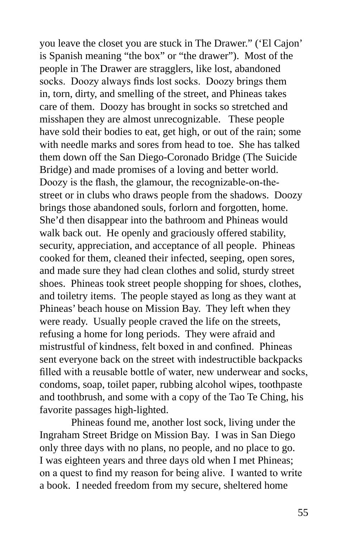you leave the closet you are stuck in The Drawer." ('El Cajon' is Spanish meaning "the box" or "the drawer"). Most of the people in The Drawer are stragglers, like lost, abandoned socks. Doozy always finds lost socks. Doozy brings them in, torn, dirty, and smelling of the street, and Phineas takes care of them. Doozy has brought in socks so stretched and misshapen they are almost unrecognizable. These people have sold their bodies to eat, get high, or out of the rain; some with needle marks and sores from head to toe. She has talked them down off the San Diego-Coronado Bridge (The Suicide Bridge) and made promises of a loving and better world. Doozy is the flash, the glamour, the recognizable-on-thestreet or in clubs who draws people from the shadows. Doozy brings those abandoned souls, forlorn and forgotten, home. She'd then disappear into the bathroom and Phineas would walk back out. He openly and graciously offered stability, security, appreciation, and acceptance of all people. Phineas cooked for them, cleaned their infected, seeping, open sores, and made sure they had clean clothes and solid, sturdy street shoes. Phineas took street people shopping for shoes, clothes, and toiletry items. The people stayed as long as they want at Phineas' beach house on Mission Bay. They left when they were ready. Usually people craved the life on the streets, refusing a home for long periods. They were afraid and mistrustful of kindness, felt boxed in and confined. Phineas sent everyone back on the street with indestructible backpacks filled with a reusable bottle of water, new underwear and socks, condoms, soap, toilet paper, rubbing alcohol wipes, toothpaste and toothbrush, and some with a copy of the Tao Te Ching, his favorite passages high-lighted.

Phineas found me, another lost sock, living under the Ingraham Street Bridge on Mission Bay. I was in San Diego only three days with no plans, no people, and no place to go. I was eighteen years and three days old when I met Phineas; on a quest to find my reason for being alive. I wanted to write a book. I needed freedom from my secure, sheltered home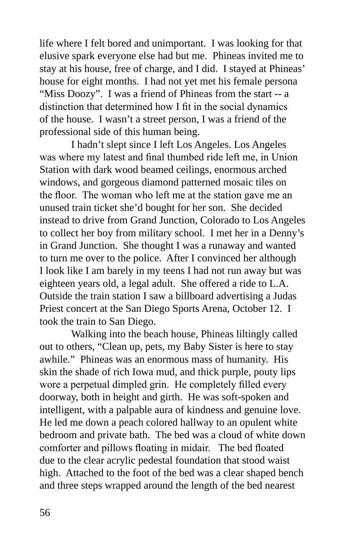life where I felt bored and unimportant. I was looking for that elusive spark everyone else had but me. Phineas invited me to stay at his house, free of charge, and I did. I stayed at Phineas' house for eight months. I had not yet met his female persona "Miss Doozy". I was a friend of Phineas from the start -- a distinction that determined how I fit in the social dynamics of the house. I wasn't a street person, I was a friend of the professional side of this human being.

I hadn't slept since I left Los Angeles. Los Angeles was where my latest and final thumbed ride left me, in Union Station with dark wood beamed ceilings, enormous arched windows, and gorgeous diamond patterned mosaic tiles on the floor. The woman who left me at the station gave me an unused train ticket she'd bought for her son. She decided instead to drive from Grand Junction, Colorado to Los Angeles to collect her boy from military school. I met her in a Denny's in Grand Junction. She thought I was a runaway and wanted to turn me over to the police. After I convinced her although I look like I am barely in my teens I had not run away but was eighteen years old, a legal adult. She offered a ride to L.A. Outside the train station I saw a billboard advertising a Judas Priest concert at the San Diego Sports Arena, October 12. I took the train to San Diego.

Walking into the beach house, Phineas liltingly called out to others, "Clean up, pets, my Baby Sister is here to stay awhile." Phineas was an enormous mass of humanity. His skin the shade of rich Iowa mud, and thick purple, pouty lips wore a perpetual dimpled grin. He completely filled every doorway, both in height and girth. He was soft-spoken and intelligent, with a palpable aura of kindness and genuine love. He led me down a peach colored hallway to an opulent white bedroom and private bath. The bed was a cloud of white down comforter and pillows floating in midair. The bed floated due to the clear acrylic pedestal foundation that stood waist high. Attached to the foot of the bed was a clear shaped bench and three steps wrapped around the length of the bed nearest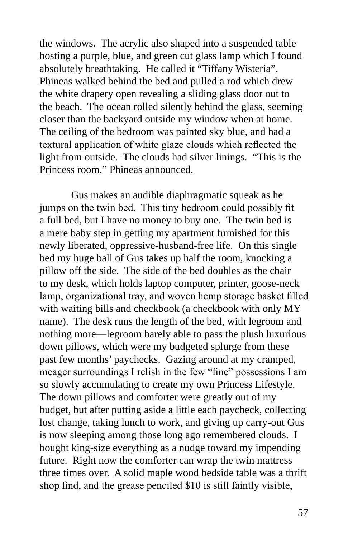the windows. The acrylic also shaped into a suspended table hosting a purple, blue, and green cut glass lamp which I found absolutely breathtaking. He called it "Tiffany Wisteria". Phineas walked behind the bed and pulled a rod which drew the white drapery open revealing a sliding glass door out to the beach. The ocean rolled silently behind the glass, seeming closer than the backyard outside my window when at home. The ceiling of the bedroom was painted sky blue, and had a textural application of white glaze clouds which reflected the light from outside. The clouds had silver linings. "This is the Princess room," Phineas announced.

Gus makes an audible diaphragmatic squeak as he jumps on the twin bed. This tiny bedroom could possibly fit a full bed, but I have no money to buy one. The twin bed is a mere baby step in getting my apartment furnished for this newly liberated, oppressive-husband-free life. On this single bed my huge ball of Gus takes up half the room, knocking a pillow off the side. The side of the bed doubles as the chair to my desk, which holds laptop computer, printer, goose-neck lamp, organizational tray, and woven hemp storage basket filled with waiting bills and checkbook (a checkbook with only MY name). The desk runs the length of the bed, with legroom and nothing more—legroom barely able to pass the plush luxurious down pillows, which were my budgeted splurge from these past few months' paychecks. Gazing around at my cramped, meager surroundings I relish in the few "fine" possessions I am so slowly accumulating to create my own Princess Lifestyle. The down pillows and comforter were greatly out of my budget, but after putting aside a little each paycheck, collecting lost change, taking lunch to work, and giving up carry-out Gus is now sleeping among those long ago remembered clouds. I bought king-size everything as a nudge toward my impending future. Right now the comforter can wrap the twin mattress three times over. A solid maple wood bedside table was a thrift shop find, and the grease penciled \$10 is still faintly visible,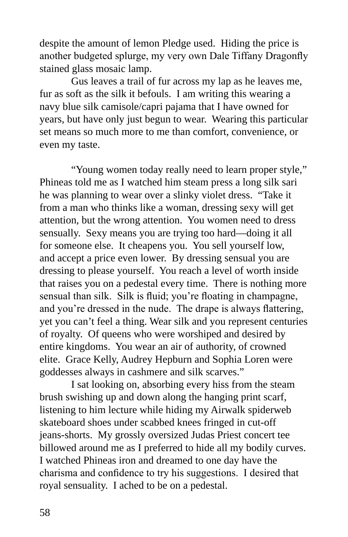despite the amount of lemon Pledge used. Hiding the price is another budgeted splurge, my very own Dale Tiffany Dragonfly stained glass mosaic lamp.

Gus leaves a trail of fur across my lap as he leaves me, fur as soft as the silk it befouls. I am writing this wearing a navy blue silk camisole/capri pajama that I have owned for years, but have only just begun to wear. Wearing this particular set means so much more to me than comfort, convenience, or even my taste.

"Young women today really need to learn proper style," Phineas told me as I watched him steam press a long silk sari he was planning to wear over a slinky violet dress. "Take it from a man who thinks like a woman, dressing sexy will get attention, but the wrong attention. You women need to dress sensually. Sexy means you are trying too hard—doing it all for someone else. It cheapens you. You sell yourself low, and accept a price even lower. By dressing sensual you are dressing to please yourself. You reach a level of worth inside that raises you on a pedestal every time. There is nothing more sensual than silk. Silk is fluid; you're floating in champagne, and you're dressed in the nude. The drape is always flattering, yet you can't feel a thing. Wear silk and you represent centuries of royalty. Of queens who were worshiped and desired by entire kingdoms. You wear an air of authority, of crowned elite. Grace Kelly, Audrey Hepburn and Sophia Loren were goddesses always in cashmere and silk scarves."

I sat looking on, absorbing every hiss from the steam brush swishing up and down along the hanging print scarf, listening to him lecture while hiding my Airwalk spiderweb skateboard shoes under scabbed knees fringed in cut-off jeans-shorts. My grossly oversized Judas Priest concert tee billowed around me as I preferred to hide all my bodily curves. I watched Phineas iron and dreamed to one day have the charisma and confidence to try his suggestions. I desired that royal sensuality. I ached to be on a pedestal.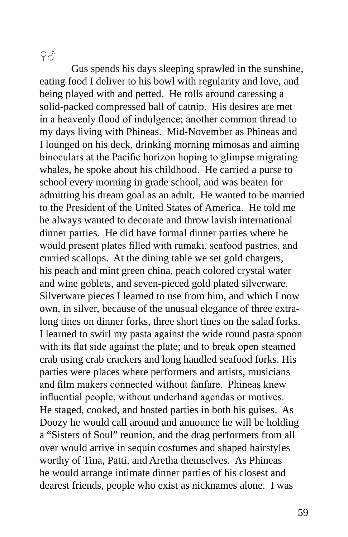## $2<sub>0</sub>$

Gus spends his days sleeping sprawled in the sunshine, eating food I deliver to his bowl with regularity and love, and being played with and petted. He rolls around caressing a solid-packed compressed ball of catnip. His desires are met in a heavenly flood of indulgence; another common thread to my days living with Phineas. Mid-November as Phineas and I lounged on his deck, drinking morning mimosas and aiming binoculars at the Pacific horizon hoping to glimpse migrating whales, he spoke about his childhood. He carried a purse to school every morning in grade school, and was beaten for admitting his dream goal as an adult. He wanted to be married to the President of the United States of America. He told me he always wanted to decorate and throw lavish international dinner parties. He did have formal dinner parties where he would present plates filled with rumaki, seafood pastries, and curried scallops. At the dining table we set gold chargers, his peach and mint green china, peach colored crystal water and wine goblets, and seven-pieced gold plated silverware. Silverware pieces I learned to use from him, and which I now own, in silver, because of the unusual elegance of three extralong tines on dinner forks, three short tines on the salad forks. I learned to swirl my pasta against the wide round pasta spoon with its flat side against the plate; and to break open steamed crab using crab crackers and long handled seafood forks. His parties were places where performers and artists, musicians and film makers connected without fanfare. Phineas knew influential people, without underhand agendas or motives. He staged, cooked, and hosted parties in both his guises. As Doozy he would call around and announce he will be holding a "Sisters of Soul" reunion, and the drag performers from all over would arrive in sequin costumes and shaped hairstyles worthy of Tina, Patti, and Aretha themselves. As Phineas he would arrange intimate dinner parties of his closest and dearest friends, people who exist as nicknames alone. I was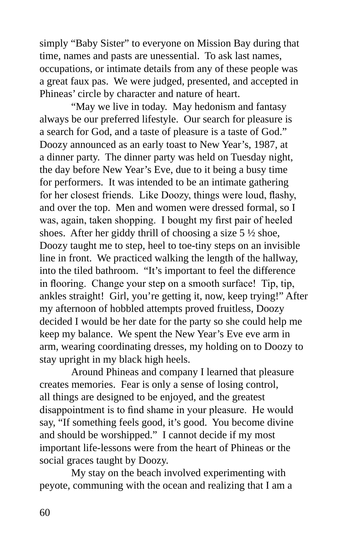simply "Baby Sister" to everyone on Mission Bay during that time, names and pasts are unessential. To ask last names, occupations, or intimate details from any of these people was a great faux pas. We were judged, presented, and accepted in Phineas' circle by character and nature of heart.

"May we live in today. May hedonism and fantasy always be our preferred lifestyle. Our search for pleasure is a search for God, and a taste of pleasure is a taste of God." Doozy announced as an early toast to New Year's, 1987, at a dinner party. The dinner party was held on Tuesday night, the day before New Year's Eve, due to it being a busy time for performers. It was intended to be an intimate gathering for her closest friends. Like Doozy, things were loud, flashy, and over the top. Men and women were dressed formal, so I was, again, taken shopping. I bought my first pair of heeled shoes. After her giddy thrill of choosing a size 5 ½ shoe, Doozy taught me to step, heel to toe-tiny steps on an invisible line in front. We practiced walking the length of the hallway, into the tiled bathroom. "It's important to feel the difference in flooring. Change your step on a smooth surface! Tip, tip, ankles straight! Girl, you're getting it, now, keep trying!" After my afternoon of hobbled attempts proved fruitless, Doozy decided I would be her date for the party so she could help me keep my balance. We spent the New Year's Eve eve arm in arm, wearing coordinating dresses, my holding on to Doozy to stay upright in my black high heels.

Around Phineas and company I learned that pleasure creates memories. Fear is only a sense of losing control, all things are designed to be enjoyed, and the greatest disappointment is to find shame in your pleasure. He would say, "If something feels good, it's good. You become divine and should be worshipped." I cannot decide if my most important life-lessons were from the heart of Phineas or the social graces taught by Doozy.

My stay on the beach involved experimenting with peyote, communing with the ocean and realizing that I am a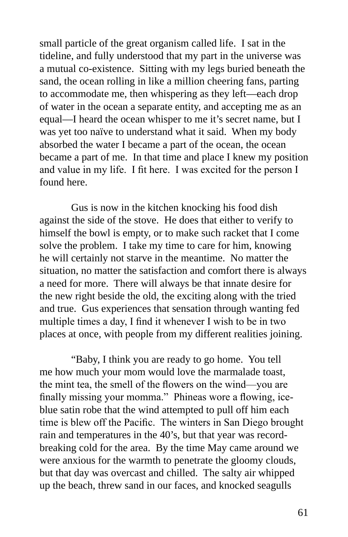small particle of the great organism called life. I sat in the tideline, and fully understood that my part in the universe was a mutual co-existence. Sitting with my legs buried beneath the sand, the ocean rolling in like a million cheering fans, parting to accommodate me, then whispering as they left—each drop of water in the ocean a separate entity, and accepting me as an equal—I heard the ocean whisper to me it's secret name, but I was yet too naïve to understand what it said. When my body absorbed the water I became a part of the ocean, the ocean became a part of me. In that time and place I knew my position and value in my life. I fit here. I was excited for the person I found here.

Gus is now in the kitchen knocking his food dish against the side of the stove. He does that either to verify to himself the bowl is empty, or to make such racket that I come solve the problem. I take my time to care for him, knowing he will certainly not starve in the meantime. No matter the situation, no matter the satisfaction and comfort there is always a need for more. There will always be that innate desire for the new right beside the old, the exciting along with the tried and true. Gus experiences that sensation through wanting fed multiple times a day, I find it whenever I wish to be in two places at once, with people from my different realities joining.

"Baby, I think you are ready to go home. You tell me how much your mom would love the marmalade toast, the mint tea, the smell of the flowers on the wind—you are finally missing your momma." Phineas wore a flowing, iceblue satin robe that the wind attempted to pull off him each time is blew off the Pacific. The winters in San Diego brought rain and temperatures in the 40's, but that year was recordbreaking cold for the area. By the time May came around we were anxious for the warmth to penetrate the gloomy clouds, but that day was overcast and chilled. The salty air whipped up the beach, threw sand in our faces, and knocked seagulls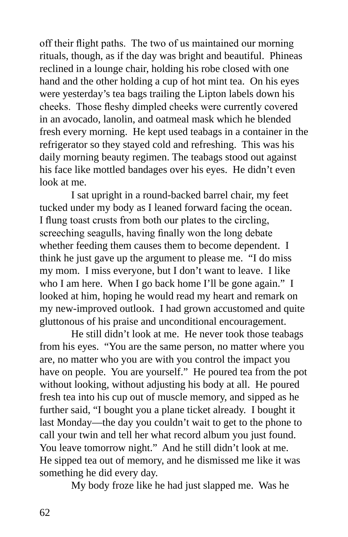off their flight paths. The two of us maintained our morning rituals, though, as if the day was bright and beautiful. Phineas reclined in a lounge chair, holding his robe closed with one hand and the other holding a cup of hot mint tea. On his eyes were yesterday's tea bags trailing the Lipton labels down his cheeks. Those fleshy dimpled cheeks were currently covered in an avocado, lanolin, and oatmeal mask which he blended fresh every morning. He kept used teabags in a container in the refrigerator so they stayed cold and refreshing. This was his daily morning beauty regimen. The teabags stood out against his face like mottled bandages over his eyes. He didn't even look at me.

I sat upright in a round-backed barrel chair, my feet tucked under my body as I leaned forward facing the ocean. I flung toast crusts from both our plates to the circling, screeching seagulls, having finally won the long debate whether feeding them causes them to become dependent. I think he just gave up the argument to please me. "I do miss my mom. I miss everyone, but I don't want to leave. I like who I am here. When I go back home I'll be gone again." I looked at him, hoping he would read my heart and remark on my new-improved outlook. I had grown accustomed and quite gluttonous of his praise and unconditional encouragement.

He still didn't look at me. He never took those teabags from his eyes. "You are the same person, no matter where you are, no matter who you are with you control the impact you have on people. You are yourself." He poured tea from the pot without looking, without adjusting his body at all. He poured fresh tea into his cup out of muscle memory, and sipped as he further said, "I bought you a plane ticket already. I bought it last Monday—the day you couldn't wait to get to the phone to call your twin and tell her what record album you just found. You leave tomorrow night." And he still didn't look at me. He sipped tea out of memory, and he dismissed me like it was something he did every day.

My body froze like he had just slapped me. Was he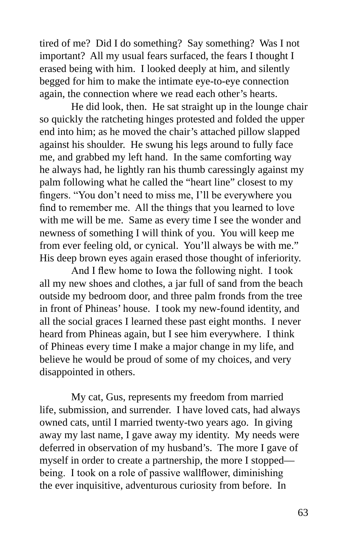tired of me? Did I do something? Say something? Was I not important? All my usual fears surfaced, the fears I thought I erased being with him. I looked deeply at him, and silently begged for him to make the intimate eye-to-eye connection again, the connection where we read each other's hearts.

He did look, then. He sat straight up in the lounge chair so quickly the ratcheting hinges protested and folded the upper end into him; as he moved the chair's attached pillow slapped against his shoulder. He swung his legs around to fully face me, and grabbed my left hand. In the same comforting way he always had, he lightly ran his thumb caressingly against my palm following what he called the "heart line" closest to my fingers. "You don't need to miss me, I'll be everywhere you find to remember me. All the things that you learned to love with me will be me. Same as every time I see the wonder and newness of something I will think of you. You will keep me from ever feeling old, or cynical. You'll always be with me." His deep brown eyes again erased those thought of inferiority.

And I flew home to Iowa the following night. I took all my new shoes and clothes, a jar full of sand from the beach outside my bedroom door, and three palm fronds from the tree in front of Phineas' house. I took my new-found identity, and all the social graces I learned these past eight months. I never heard from Phineas again, but I see him everywhere. I think of Phineas every time I make a major change in my life, and believe he would be proud of some of my choices, and very disappointed in others.

My cat, Gus, represents my freedom from married life, submission, and surrender. I have loved cats, had always owned cats, until I married twenty-two years ago. In giving away my last name, I gave away my identity. My needs were deferred in observation of my husband's. The more I gave of myself in order to create a partnership, the more I stopped being. I took on a role of passive wallflower, diminishing the ever inquisitive, adventurous curiosity from before. In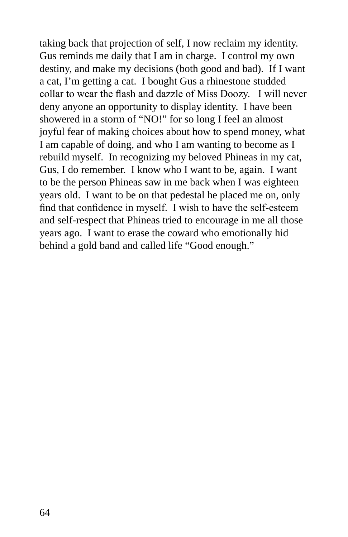taking back that projection of self, I now reclaim my identity. Gus reminds me daily that I am in charge. I control my own destiny, and make my decisions (both good and bad). If I want a cat, I'm getting a cat. I bought Gus a rhinestone studded collar to wear the flash and dazzle of Miss Doozy. I will never deny anyone an opportunity to display identity. I have been showered in a storm of "NO!" for so long I feel an almost joyful fear of making choices about how to spend money, what I am capable of doing, and who I am wanting to become as I rebuild myself. In recognizing my beloved Phineas in my cat, Gus, I do remember. I know who I want to be, again. I want to be the person Phineas saw in me back when I was eighteen years old. I want to be on that pedestal he placed me on, only find that confidence in myself. I wish to have the self-esteem and self-respect that Phineas tried to encourage in me all those years ago. I want to erase the coward who emotionally hid behind a gold band and called life "Good enough."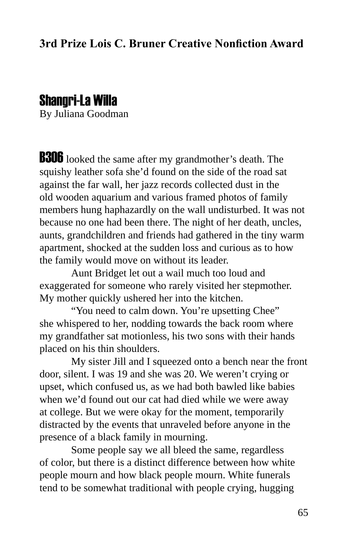## Shangri-La Willa

By Juliana Goodman

**B306** looked the same after my grandmother's death. The squishy leather sofa she'd found on the side of the road sat against the far wall, her jazz records collected dust in the old wooden aquarium and various framed photos of family members hung haphazardly on the wall undisturbed. It was not because no one had been there. The night of her death, uncles, aunts, grandchildren and friends had gathered in the tiny warm apartment, shocked at the sudden loss and curious as to how the family would move on without its leader.

Aunt Bridget let out a wail much too loud and exaggerated for someone who rarely visited her stepmother. My mother quickly ushered her into the kitchen.

"You need to calm down. You're upsetting Chee" she whispered to her, nodding towards the back room where my grandfather sat motionless, his two sons with their hands placed on his thin shoulders.

My sister Jill and I squeezed onto a bench near the front door, silent. I was 19 and she was 20. We weren't crying or upset, which confused us, as we had both bawled like babies when we'd found out our cat had died while we were away at college. But we were okay for the moment, temporarily distracted by the events that unraveled before anyone in the presence of a black family in mourning.

Some people say we all bleed the same, regardless of color, but there is a distinct difference between how white people mourn and how black people mourn. White funerals tend to be somewhat traditional with people crying, hugging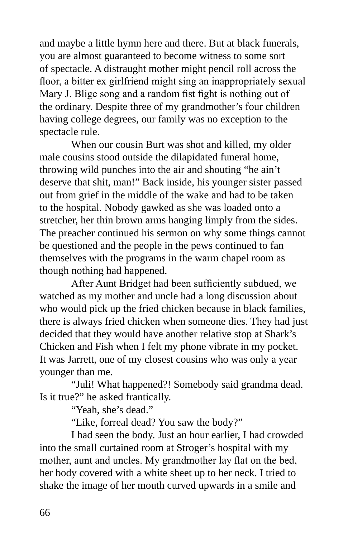and maybe a little hymn here and there. But at black funerals, you are almost guaranteed to become witness to some sort of spectacle. A distraught mother might pencil roll across the floor, a bitter ex girlfriend might sing an inappropriately sexual Mary J. Blige song and a random fist fight is nothing out of the ordinary. Despite three of my grandmother's four children having college degrees, our family was no exception to the spectacle rule.

When our cousin Burt was shot and killed, my older male cousins stood outside the dilapidated funeral home, throwing wild punches into the air and shouting "he ain't deserve that shit, man!" Back inside, his younger sister passed out from grief in the middle of the wake and had to be taken to the hospital. Nobody gawked as she was loaded onto a stretcher, her thin brown arms hanging limply from the sides. The preacher continued his sermon on why some things cannot be questioned and the people in the pews continued to fan themselves with the programs in the warm chapel room as though nothing had happened.

After Aunt Bridget had been sufficiently subdued, we watched as my mother and uncle had a long discussion about who would pick up the fried chicken because in black families, there is always fried chicken when someone dies. They had just decided that they would have another relative stop at Shark's Chicken and Fish when I felt my phone vibrate in my pocket. It was Jarrett, one of my closest cousins who was only a year younger than me.

"Juli! What happened?! Somebody said grandma dead. Is it true?" he asked frantically.

"Yeah, she's dead."

"Like, forreal dead? You saw the body?"

I had seen the body. Just an hour earlier, I had crowded into the small curtained room at Stroger's hospital with my mother, aunt and uncles. My grandmother lay flat on the bed, her body covered with a white sheet up to her neck. I tried to shake the image of her mouth curved upwards in a smile and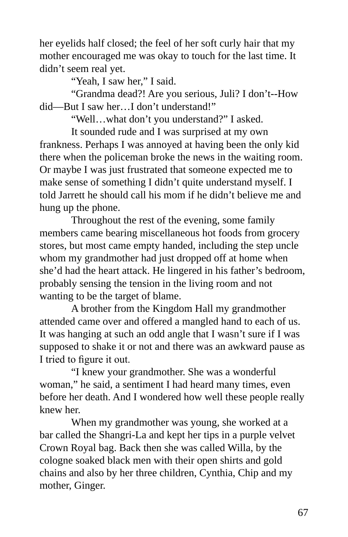her eyelids half closed; the feel of her soft curly hair that my mother encouraged me was okay to touch for the last time. It didn't seem real yet.

"Yeah, I saw her," I said.

"Grandma dead?! Are you serious, Juli? I don't--How did—But I saw her…I don't understand!"

"Well…what don't you understand?" I asked.

It sounded rude and I was surprised at my own frankness. Perhaps I was annoyed at having been the only kid there when the policeman broke the news in the waiting room. Or maybe I was just frustrated that someone expected me to make sense of something I didn't quite understand myself. I told Jarrett he should call his mom if he didn't believe me and hung up the phone.

Throughout the rest of the evening, some family members came bearing miscellaneous hot foods from grocery stores, but most came empty handed, including the step uncle whom my grandmother had just dropped off at home when she'd had the heart attack. He lingered in his father's bedroom, probably sensing the tension in the living room and not wanting to be the target of blame.

A brother from the Kingdom Hall my grandmother attended came over and offered a mangled hand to each of us. It was hanging at such an odd angle that I wasn't sure if I was supposed to shake it or not and there was an awkward pause as I tried to figure it out.

"I knew your grandmother. She was a wonderful woman," he said, a sentiment I had heard many times, even before her death. And I wondered how well these people really knew her.

When my grandmother was young, she worked at a bar called the Shangri-La and kept her tips in a purple velvet Crown Royal bag. Back then she was called Willa, by the cologne soaked black men with their open shirts and gold chains and also by her three children, Cynthia, Chip and my mother, Ginger.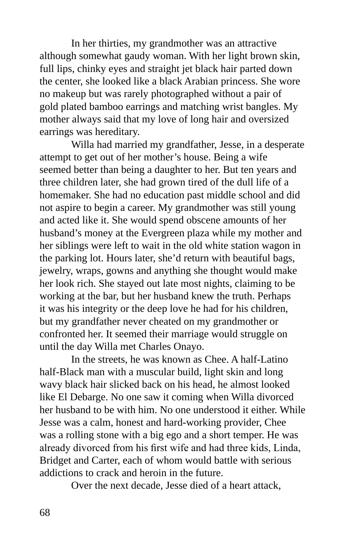In her thirties, my grandmother was an attractive although somewhat gaudy woman. With her light brown skin, full lips, chinky eyes and straight jet black hair parted down the center, she looked like a black Arabian princess. She wore no makeup but was rarely photographed without a pair of gold plated bamboo earrings and matching wrist bangles. My mother always said that my love of long hair and oversized earrings was hereditary.

Willa had married my grandfather, Jesse, in a desperate attempt to get out of her mother's house. Being a wife seemed better than being a daughter to her. But ten years and three children later, she had grown tired of the dull life of a homemaker. She had no education past middle school and did not aspire to begin a career. My grandmother was still young and acted like it. She would spend obscene amounts of her husband's money at the Evergreen plaza while my mother and her siblings were left to wait in the old white station wagon in the parking lot. Hours later, she'd return with beautiful bags, jewelry, wraps, gowns and anything she thought would make her look rich. She stayed out late most nights, claiming to be working at the bar, but her husband knew the truth. Perhaps it was his integrity or the deep love he had for his children, but my grandfather never cheated on my grandmother or confronted her. It seemed their marriage would struggle on until the day Willa met Charles Onayo.

In the streets, he was known as Chee. A half-Latino half-Black man with a muscular build, light skin and long wavy black hair slicked back on his head, he almost looked like El Debarge. No one saw it coming when Willa divorced her husband to be with him. No one understood it either. While Jesse was a calm, honest and hard-working provider, Chee was a rolling stone with a big ego and a short temper. He was already divorced from his first wife and had three kids, Linda, Bridget and Carter, each of whom would battle with serious addictions to crack and heroin in the future.

Over the next decade, Jesse died of a heart attack,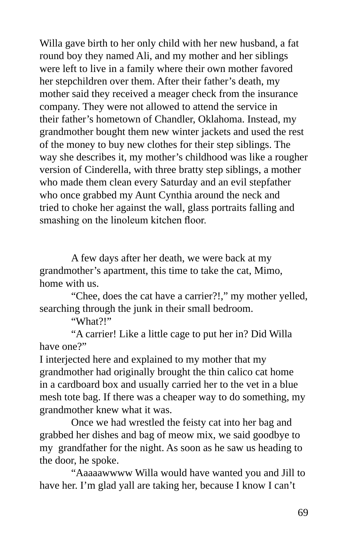Willa gave birth to her only child with her new husband, a fat round boy they named Ali, and my mother and her siblings were left to live in a family where their own mother favored her stepchildren over them. After their father's death, my mother said they received a meager check from the insurance company. They were not allowed to attend the service in their father's hometown of Chandler, Oklahoma. Instead, my grandmother bought them new winter jackets and used the rest of the money to buy new clothes for their step siblings. The way she describes it, my mother's childhood was like a rougher version of Cinderella, with three bratty step siblings, a mother who made them clean every Saturday and an evil stepfather who once grabbed my Aunt Cynthia around the neck and tried to choke her against the wall, glass portraits falling and smashing on the linoleum kitchen floor.

A few days after her death, we were back at my grandmother's apartment, this time to take the cat, Mimo, home with us.

"Chee, does the cat have a carrier?!," my mother yelled, searching through the junk in their small bedroom.

"What?!"

"A carrier! Like a little cage to put her in? Did Willa have one?"

I interjected here and explained to my mother that my grandmother had originally brought the thin calico cat home in a cardboard box and usually carried her to the vet in a blue mesh tote bag. If there was a cheaper way to do something, my grandmother knew what it was.

Once we had wrestled the feisty cat into her bag and grabbed her dishes and bag of meow mix, we said goodbye to my grandfather for the night. As soon as he saw us heading to the door, he spoke.

"Aaaaawwww Willa would have wanted you and Jill to have her. I'm glad yall are taking her, because I know I can't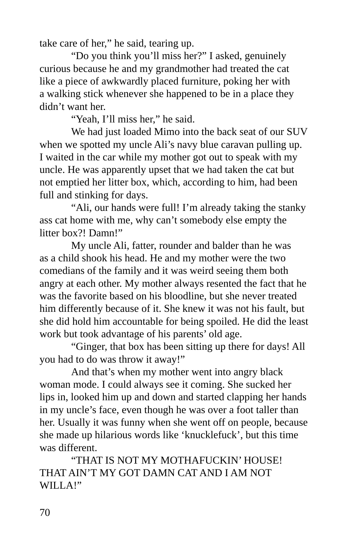take care of her," he said, tearing up.

"Do you think you'll miss her?" I asked, genuinely curious because he and my grandmother had treated the cat like a piece of awkwardly placed furniture, poking her with a walking stick whenever she happened to be in a place they didn't want her.

"Yeah, I'll miss her," he said.

We had just loaded Mimo into the back seat of our SUV when we spotted my uncle Ali's navy blue caravan pulling up. I waited in the car while my mother got out to speak with my uncle. He was apparently upset that we had taken the cat but not emptied her litter box, which, according to him, had been full and stinking for days.

"Ali, our hands were full! I'm already taking the stanky ass cat home with me, why can't somebody else empty the litter box?! Damn!"

My uncle Ali, fatter, rounder and balder than he was as a child shook his head. He and my mother were the two comedians of the family and it was weird seeing them both angry at each other. My mother always resented the fact that he was the favorite based on his bloodline, but she never treated him differently because of it. She knew it was not his fault, but she did hold him accountable for being spoiled. He did the least work but took advantage of his parents' old age.

"Ginger, that box has been sitting up there for days! All you had to do was throw it away!"

And that's when my mother went into angry black woman mode. I could always see it coming. She sucked her lips in, looked him up and down and started clapping her hands in my uncle's face, even though he was over a foot taller than her. Usually it was funny when she went off on people, because she made up hilarious words like 'knucklefuck', but this time was different.

"THAT IS NOT MY MOTHAFUCKIN' HOUSE! THAT AIN'T MY GOT DAMN CAT AND I AM NOT WILLA!"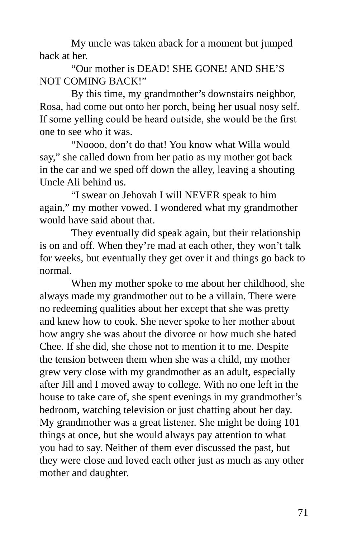My uncle was taken aback for a moment but jumped back at her.

"Our mother is DEAD! SHE GONE! AND SHE'S NOT COMING BACK!"

By this time, my grandmother's downstairs neighbor, Rosa, had come out onto her porch, being her usual nosy self. If some yelling could be heard outside, she would be the first one to see who it was.

"Noooo, don't do that! You know what Willa would say," she called down from her patio as my mother got back in the car and we sped off down the alley, leaving a shouting Uncle Ali behind us.

"I swear on Jehovah I will NEVER speak to him again," my mother vowed. I wondered what my grandmother would have said about that.

They eventually did speak again, but their relationship is on and off. When they're mad at each other, they won't talk for weeks, but eventually they get over it and things go back to normal.

When my mother spoke to me about her childhood, she always made my grandmother out to be a villain. There were no redeeming qualities about her except that she was pretty and knew how to cook. She never spoke to her mother about how angry she was about the divorce or how much she hated Chee. If she did, she chose not to mention it to me. Despite the tension between them when she was a child, my mother grew very close with my grandmother as an adult, especially after Jill and I moved away to college. With no one left in the house to take care of, she spent evenings in my grandmother's bedroom, watching television or just chatting about her day. My grandmother was a great listener. She might be doing 101 things at once, but she would always pay attention to what you had to say. Neither of them ever discussed the past, but they were close and loved each other just as much as any other mother and daughter.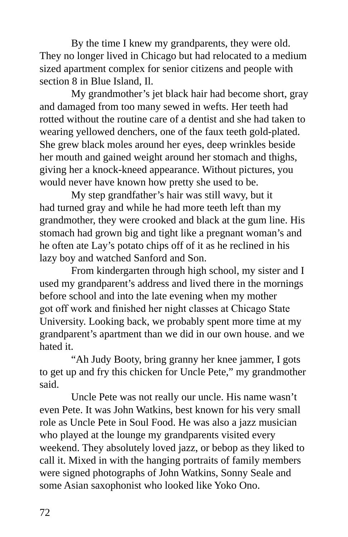By the time I knew my grandparents, they were old. They no longer lived in Chicago but had relocated to a medium sized apartment complex for senior citizens and people with section 8 in Blue Island, Il.

My grandmother's jet black hair had become short, gray and damaged from too many sewed in wefts. Her teeth had rotted without the routine care of a dentist and she had taken to wearing yellowed denchers, one of the faux teeth gold-plated. She grew black moles around her eyes, deep wrinkles beside her mouth and gained weight around her stomach and thighs, giving her a knock-kneed appearance. Without pictures, you would never have known how pretty she used to be.

My step grandfather's hair was still wavy, but it had turned gray and while he had more teeth left than my grandmother, they were crooked and black at the gum line. His stomach had grown big and tight like a pregnant woman's and he often ate Lay's potato chips off of it as he reclined in his lazy boy and watched Sanford and Son.

From kindergarten through high school, my sister and I used my grandparent's address and lived there in the mornings before school and into the late evening when my mother got off work and finished her night classes at Chicago State University. Looking back, we probably spent more time at my grandparent's apartment than we did in our own house. and we hated it.

"Ah Judy Booty, bring granny her knee jammer, I gots to get up and fry this chicken for Uncle Pete," my grandmother said.

Uncle Pete was not really our uncle. His name wasn't even Pete. It was John Watkins, best known for his very small role as Uncle Pete in Soul Food. He was also a jazz musician who played at the lounge my grandparents visited every weekend. They absolutely loved jazz, or bebop as they liked to call it. Mixed in with the hanging portraits of family members were signed photographs of John Watkins, Sonny Seale and some Asian saxophonist who looked like Yoko Ono.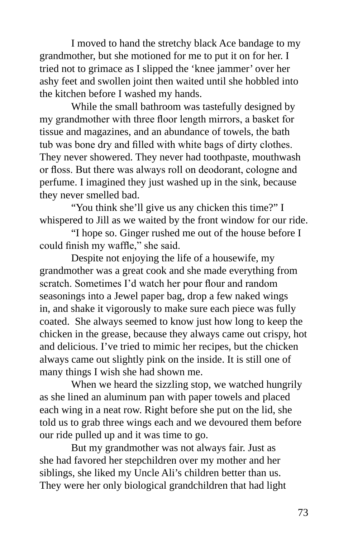I moved to hand the stretchy black Ace bandage to my grandmother, but she motioned for me to put it on for her. I tried not to grimace as I slipped the 'knee jammer' over her ashy feet and swollen joint then waited until she hobbled into the kitchen before I washed my hands.

While the small bathroom was tastefully designed by my grandmother with three floor length mirrors, a basket for tissue and magazines, and an abundance of towels, the bath tub was bone dry and filled with white bags of dirty clothes. They never showered. They never had toothpaste, mouthwash or floss. But there was always roll on deodorant, cologne and perfume. I imagined they just washed up in the sink, because they never smelled bad.

"You think she'll give us any chicken this time?" I whispered to Jill as we waited by the front window for our ride.

"I hope so. Ginger rushed me out of the house before I could finish my waffle," she said.

Despite not enjoying the life of a housewife, my grandmother was a great cook and she made everything from scratch. Sometimes I'd watch her pour flour and random seasonings into a Jewel paper bag, drop a few naked wings in, and shake it vigorously to make sure each piece was fully coated. She always seemed to know just how long to keep the chicken in the grease, because they always came out crispy, hot and delicious. I've tried to mimic her recipes, but the chicken always came out slightly pink on the inside. It is still one of many things I wish she had shown me.

When we heard the sizzling stop, we watched hungrily as she lined an aluminum pan with paper towels and placed each wing in a neat row. Right before she put on the lid, she told us to grab three wings each and we devoured them before our ride pulled up and it was time to go.

But my grandmother was not always fair. Just as she had favored her stepchildren over my mother and her siblings, she liked my Uncle Ali's children better than us. They were her only biological grandchildren that had light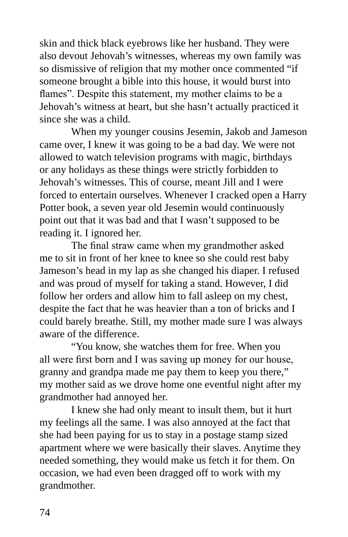skin and thick black eyebrows like her husband. They were also devout Jehovah's witnesses, whereas my own family was so dismissive of religion that my mother once commented "if someone brought a bible into this house, it would burst into flames". Despite this statement, my mother claims to be a Jehovah's witness at heart, but she hasn't actually practiced it since she was a child.

When my younger cousins Jesemin, Jakob and Jameson came over, I knew it was going to be a bad day. We were not allowed to watch television programs with magic, birthdays or any holidays as these things were strictly forbidden to Jehovah's witnesses. This of course, meant Jill and I were forced to entertain ourselves. Whenever I cracked open a Harry Potter book, a seven year old Jesemin would continuously point out that it was bad and that I wasn't supposed to be reading it. I ignored her.

The final straw came when my grandmother asked me to sit in front of her knee to knee so she could rest baby Jameson's head in my lap as she changed his diaper. I refused and was proud of myself for taking a stand. However, I did follow her orders and allow him to fall asleep on my chest, despite the fact that he was heavier than a ton of bricks and I could barely breathe. Still, my mother made sure I was always aware of the difference.

"You know, she watches them for free. When you all were first born and I was saving up money for our house, granny and grandpa made me pay them to keep you there," my mother said as we drove home one eventful night after my grandmother had annoyed her.

I knew she had only meant to insult them, but it hurt my feelings all the same. I was also annoyed at the fact that she had been paying for us to stay in a postage stamp sized apartment where we were basically their slaves. Anytime they needed something, they would make us fetch it for them. On occasion, we had even been dragged off to work with my grandmother.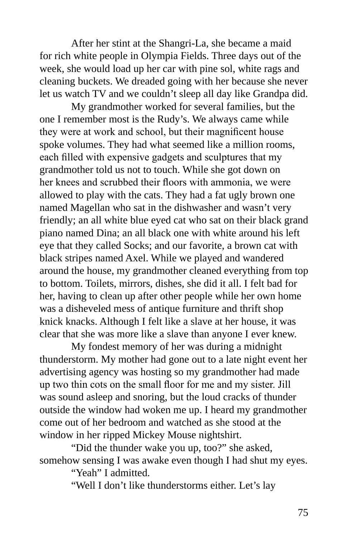After her stint at the Shangri-La, she became a maid for rich white people in Olympia Fields. Three days out of the week, she would load up her car with pine sol, white rags and cleaning buckets. We dreaded going with her because she never let us watch TV and we couldn't sleep all day like Grandpa did.

My grandmother worked for several families, but the one I remember most is the Rudy's. We always came while they were at work and school, but their magnificent house spoke volumes. They had what seemed like a million rooms, each filled with expensive gadgets and sculptures that my grandmother told us not to touch. While she got down on her knees and scrubbed their floors with ammonia, we were allowed to play with the cats. They had a fat ugly brown one named Magellan who sat in the dishwasher and wasn't very friendly; an all white blue eyed cat who sat on their black grand piano named Dina; an all black one with white around his left eye that they called Socks; and our favorite, a brown cat with black stripes named Axel. While we played and wandered around the house, my grandmother cleaned everything from top to bottom. Toilets, mirrors, dishes, she did it all. I felt bad for her, having to clean up after other people while her own home was a disheveled mess of antique furniture and thrift shop knick knacks. Although I felt like a slave at her house, it was clear that she was more like a slave than anyone I ever knew.

My fondest memory of her was during a midnight thunderstorm. My mother had gone out to a late night event her advertising agency was hosting so my grandmother had made up two thin cots on the small floor for me and my sister. Jill was sound asleep and snoring, but the loud cracks of thunder outside the window had woken me up. I heard my grandmother come out of her bedroom and watched as she stood at the window in her ripped Mickey Mouse nightshirt.

"Did the thunder wake you up, too?" she asked, somehow sensing I was awake even though I had shut my eyes.

"Yeah" I admitted.

"Well I don't like thunderstorms either. Let's lay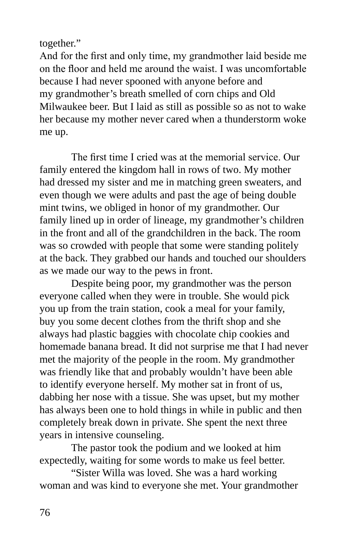together."

And for the first and only time, my grandmother laid beside me on the floor and held me around the waist. I was uncomfortable because I had never spooned with anyone before and my grandmother's breath smelled of corn chips and Old Milwaukee beer. But I laid as still as possible so as not to wake her because my mother never cared when a thunderstorm woke me up.

The first time I cried was at the memorial service. Our family entered the kingdom hall in rows of two. My mother had dressed my sister and me in matching green sweaters, and even though we were adults and past the age of being double mint twins, we obliged in honor of my grandmother. Our family lined up in order of lineage, my grandmother's children in the front and all of the grandchildren in the back. The room was so crowded with people that some were standing politely at the back. They grabbed our hands and touched our shoulders as we made our way to the pews in front.

Despite being poor, my grandmother was the person everyone called when they were in trouble. She would pick you up from the train station, cook a meal for your family, buy you some decent clothes from the thrift shop and she always had plastic baggies with chocolate chip cookies and homemade banana bread. It did not surprise me that I had never met the majority of the people in the room. My grandmother was friendly like that and probably wouldn't have been able to identify everyone herself. My mother sat in front of us, dabbing her nose with a tissue. She was upset, but my mother has always been one to hold things in while in public and then completely break down in private. She spent the next three years in intensive counseling.

The pastor took the podium and we looked at him expectedly, waiting for some words to make us feel better.

"Sister Willa was loved. She was a hard working woman and was kind to everyone she met. Your grandmother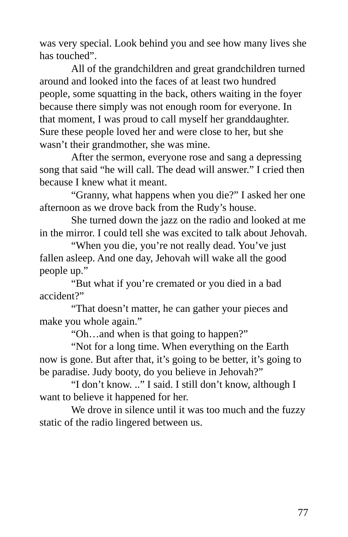was very special. Look behind you and see how many lives she has touched".

All of the grandchildren and great grandchildren turned around and looked into the faces of at least two hundred people, some squatting in the back, others waiting in the foyer because there simply was not enough room for everyone. In that moment, I was proud to call myself her granddaughter. Sure these people loved her and were close to her, but she wasn't their grandmother, she was mine.

After the sermon, everyone rose and sang a depressing song that said "he will call. The dead will answer." I cried then because I knew what it meant.

"Granny, what happens when you die?" I asked her one afternoon as we drove back from the Rudy's house.

She turned down the jazz on the radio and looked at me in the mirror. I could tell she was excited to talk about Jehovah.

"When you die, you're not really dead. You've just fallen asleep. And one day, Jehovah will wake all the good people up."

"But what if you're cremated or you died in a bad accident?"

"That doesn't matter, he can gather your pieces and make you whole again."

"Oh…and when is that going to happen?"

"Not for a long time. When everything on the Earth now is gone. But after that, it's going to be better, it's going to be paradise. Judy booty, do you believe in Jehovah?"

"I don't know. .." I said. I still don't know, although I want to believe it happened for her.

We drove in silence until it was too much and the fuzzy static of the radio lingered between us.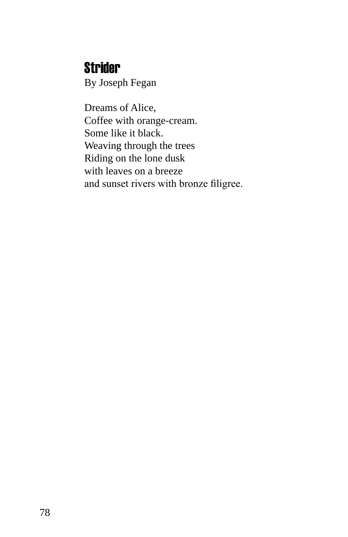### **Strider**

By Joseph Fegan

Dreams of Alice, Coffee with orange-cream. Some like it black. Weaving through the trees Riding on the lone dusk with leaves on a breeze and sunset rivers with bronze filigree.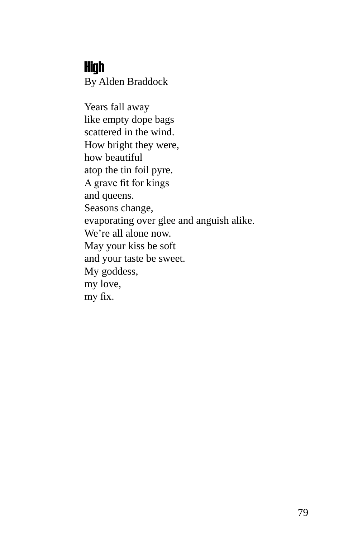#### High

By Alden Braddock

Years fall away like empty dope bags scattered in the wind. How bright they were, how beautiful atop the tin foil pyre. A grave fit for kings and queens. Seasons change, evaporating over glee and anguish alike. We're all alone now. May your kiss be soft and your taste be sweet. My goddess, my love, my fix.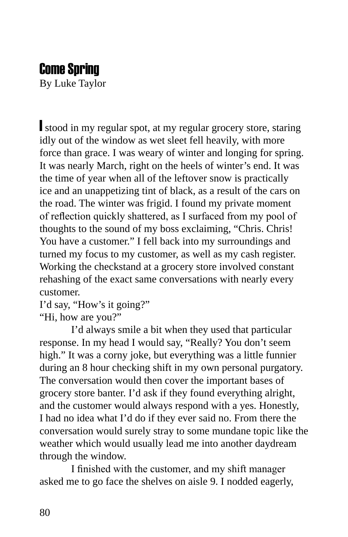### Come Spring

By Luke Taylor

I stood in my regular spot, at my regular grocery store, staring idly out of the window as wet sleet fell heavily, with more force than grace. I was weary of winter and longing for spring. It was nearly March, right on the heels of winter's end. It was the time of year when all of the leftover snow is practically ice and an unappetizing tint of black, as a result of the cars on the road. The winter was frigid. I found my private moment of reflection quickly shattered, as I surfaced from my pool of thoughts to the sound of my boss exclaiming, "Chris. Chris! You have a customer." I fell back into my surroundings and turned my focus to my customer, as well as my cash register. Working the checkstand at a grocery store involved constant rehashing of the exact same conversations with nearly every customer.

I'd say, "How's it going?" "Hi, how are you?"

I'd always smile a bit when they used that particular response. In my head I would say, "Really? You don't seem

high." It was a corny joke, but everything was a little funnier during an 8 hour checking shift in my own personal purgatory. The conversation would then cover the important bases of grocery store banter. I'd ask if they found everything alright, and the customer would always respond with a yes. Honestly, I had no idea what I'd do if they ever said no. From there the conversation would surely stray to some mundane topic like the weather which would usually lead me into another daydream through the window.

I finished with the customer, and my shift manager asked me to go face the shelves on aisle 9. I nodded eagerly,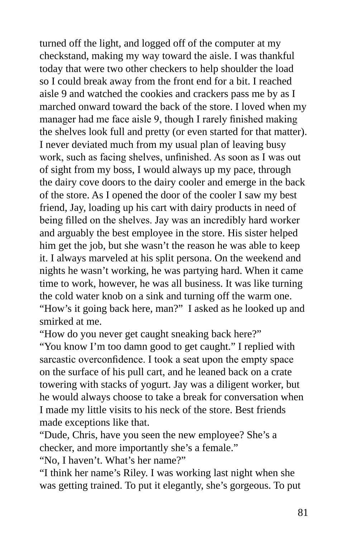turned off the light, and logged off of the computer at my checkstand, making my way toward the aisle. I was thankful today that were two other checkers to help shoulder the load so I could break away from the front end for a bit. I reached aisle 9 and watched the cookies and crackers pass me by as I marched onward toward the back of the store. I loved when my manager had me face aisle 9, though I rarely finished making the shelves look full and pretty (or even started for that matter). I never deviated much from my usual plan of leaving busy work, such as facing shelves, unfinished. As soon as I was out of sight from my boss, I would always up my pace, through the dairy cove doors to the dairy cooler and emerge in the back of the store. As I opened the door of the cooler I saw my best friend, Jay, loading up his cart with dairy products in need of being filled on the shelves. Jay was an incredibly hard worker and arguably the best employee in the store. His sister helped him get the job, but she wasn't the reason he was able to keep it. I always marveled at his split persona. On the weekend and nights he wasn't working, he was partying hard. When it came time to work, however, he was all business. It was like turning the cold water knob on a sink and turning off the warm one. "How's it going back here, man?" I asked as he looked up and smirked at me.

"How do you never get caught sneaking back here?"

"You know I'm too damn good to get caught." I replied with sarcastic overconfidence. I took a seat upon the empty space on the surface of his pull cart, and he leaned back on a crate towering with stacks of yogurt. Jay was a diligent worker, but he would always choose to take a break for conversation when I made my little visits to his neck of the store. Best friends made exceptions like that.

"Dude, Chris, have you seen the new employee? She's a checker, and more importantly she's a female."

"No, I haven't. What's her name?"

"I think her name's Riley. I was working last night when she was getting trained. To put it elegantly, she's gorgeous. To put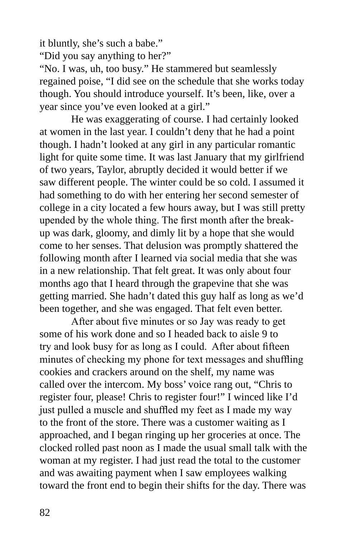it bluntly, she's such a babe." "Did you say anything to her?"

"No. I was, uh, too busy." He stammered but seamlessly regained poise, "I did see on the schedule that she works today though. You should introduce yourself. It's been, like, over a year since you've even looked at a girl."

He was exaggerating of course. I had certainly looked at women in the last year. I couldn't deny that he had a point though. I hadn't looked at any girl in any particular romantic light for quite some time. It was last January that my girlfriend of two years, Taylor, abruptly decided it would better if we saw different people. The winter could be so cold. I assumed it had something to do with her entering her second semester of college in a city located a few hours away, but I was still pretty upended by the whole thing. The first month after the breakup was dark, gloomy, and dimly lit by a hope that she would come to her senses. That delusion was promptly shattered the following month after I learned via social media that she was in a new relationship. That felt great. It was only about four months ago that I heard through the grapevine that she was getting married. She hadn't dated this guy half as long as we'd been together, and she was engaged. That felt even better.

After about five minutes or so Jay was ready to get some of his work done and so I headed back to aisle 9 to try and look busy for as long as I could. After about fifteen minutes of checking my phone for text messages and shuffling cookies and crackers around on the shelf, my name was called over the intercom. My boss' voice rang out, "Chris to register four, please! Chris to register four!" I winced like I'd just pulled a muscle and shuffled my feet as I made my way to the front of the store. There was a customer waiting as I approached, and I began ringing up her groceries at once. The clocked rolled past noon as I made the usual small talk with the woman at my register. I had just read the total to the customer and was awaiting payment when I saw employees walking toward the front end to begin their shifts for the day. There was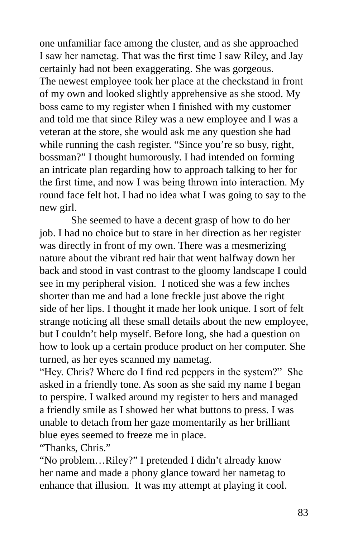one unfamiliar face among the cluster, and as she approached I saw her nametag. That was the first time I saw Riley, and Jay certainly had not been exaggerating. She was gorgeous. The newest employee took her place at the checkstand in front of my own and looked slightly apprehensive as she stood. My boss came to my register when I finished with my customer and told me that since Riley was a new employee and I was a veteran at the store, she would ask me any question she had while running the cash register. "Since you're so busy, right, bossman?" I thought humorously. I had intended on forming an intricate plan regarding how to approach talking to her for the first time, and now I was being thrown into interaction. My round face felt hot. I had no idea what I was going to say to the new girl.

She seemed to have a decent grasp of how to do her job. I had no choice but to stare in her direction as her register was directly in front of my own. There was a mesmerizing nature about the vibrant red hair that went halfway down her back and stood in vast contrast to the gloomy landscape I could see in my peripheral vision. I noticed she was a few inches shorter than me and had a lone freckle just above the right side of her lips. I thought it made her look unique. I sort of felt strange noticing all these small details about the new employee, but I couldn't help myself. Before long, she had a question on how to look up a certain produce product on her computer. She turned, as her eyes scanned my nametag.

"Hey. Chris? Where do I find red peppers in the system?" She asked in a friendly tone. As soon as she said my name I began to perspire. I walked around my register to hers and managed a friendly smile as I showed her what buttons to press. I was unable to detach from her gaze momentarily as her brilliant blue eyes seemed to freeze me in place.

"Thanks, Chris."

"No problem…Riley?" I pretended I didn't already know her name and made a phony glance toward her nametag to enhance that illusion. It was my attempt at playing it cool.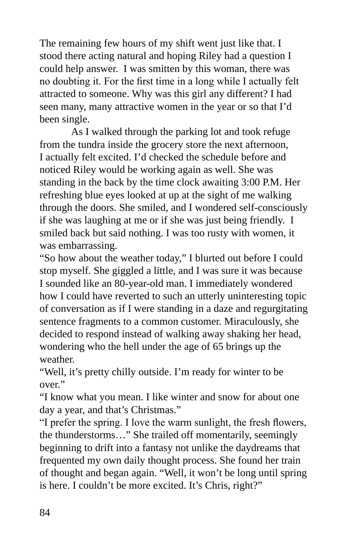The remaining few hours of my shift went just like that. I stood there acting natural and hoping Riley had a question I could help answer. I was smitten by this woman, there was no doubting it. For the first time in a long while I actually felt attracted to someone. Why was this girl any different? I had seen many, many attractive women in the year or so that I'd been single.

As I walked through the parking lot and took refuge from the tundra inside the grocery store the next afternoon, I actually felt excited. I'd checked the schedule before and noticed Riley would be working again as well. She was standing in the back by the time clock awaiting 3:00 P.M. Her refreshing blue eyes looked at up at the sight of me walking through the doors. She smiled, and I wondered self-consciously if she was laughing at me or if she was just being friendly. I smiled back but said nothing. I was too rusty with women, it was embarrassing.

"So how about the weather today," I blurted out before I could stop myself. She giggled a little, and I was sure it was because I sounded like an 80-year-old man. I immediately wondered how I could have reverted to such an utterly uninteresting topic of conversation as if I were standing in a daze and regurgitating sentence fragments to a common customer. Miraculously, she decided to respond instead of walking away shaking her head, wondering who the hell under the age of 65 brings up the weather.

"Well, it's pretty chilly outside. I'm ready for winter to be over."

"I know what you mean. I like winter and snow for about one day a year, and that's Christmas."

"I prefer the spring. I love the warm sunlight, the fresh flowers, the thunderstorms…" She trailed off momentarily, seemingly beginning to drift into a fantasy not unlike the daydreams that frequented my own daily thought process. She found her train of thought and began again. "Well, it won't be long until spring is here. I couldn't be more excited. It's Chris, right?"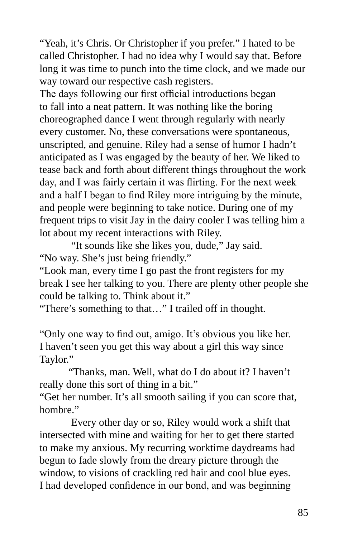"Yeah, it's Chris. Or Christopher if you prefer." I hated to be called Christopher. I had no idea why I would say that. Before long it was time to punch into the time clock, and we made our way toward our respective cash registers.

The days following our first official introductions began to fall into a neat pattern. It was nothing like the boring choreographed dance I went through regularly with nearly every customer. No, these conversations were spontaneous, unscripted, and genuine. Riley had a sense of humor I hadn't anticipated as I was engaged by the beauty of her. We liked to tease back and forth about different things throughout the work day, and I was fairly certain it was flirting. For the next week and a half I began to find Riley more intriguing by the minute, and people were beginning to take notice. During one of my frequent trips to visit Jay in the dairy cooler I was telling him a lot about my recent interactions with Riley.

"It sounds like she likes you, dude," Jay said. "No way. She's just being friendly."

"Look man, every time I go past the front registers for my break I see her talking to you. There are plenty other people she could be talking to. Think about it."

"There's something to that…" I trailed off in thought.

"Only one way to find out, amigo. It's obvious you like her. I haven't seen you get this way about a girl this way since Taylor."

 "Thanks, man. Well, what do I do about it? I haven't really done this sort of thing in a bit."

"Get her number. It's all smooth sailing if you can score that, hombre<sup>"</sup>

Every other day or so, Riley would work a shift that intersected with mine and waiting for her to get there started to make my anxious. My recurring worktime daydreams had begun to fade slowly from the dreary picture through the window, to visions of crackling red hair and cool blue eyes. I had developed confidence in our bond, and was beginning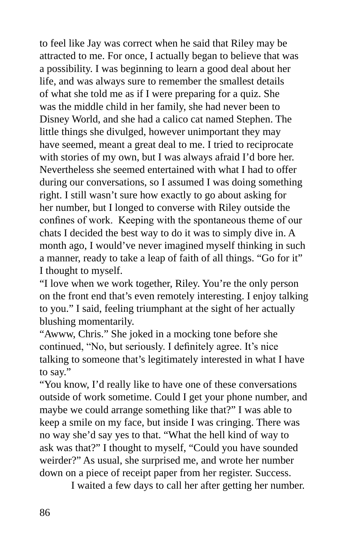to feel like Jay was correct when he said that Riley may be attracted to me. For once, I actually began to believe that was a possibility. I was beginning to learn a good deal about her life, and was always sure to remember the smallest details of what she told me as if I were preparing for a quiz. She was the middle child in her family, she had never been to Disney World, and she had a calico cat named Stephen. The little things she divulged, however unimportant they may have seemed, meant a great deal to me. I tried to reciprocate with stories of my own, but I was always afraid I'd bore her. Nevertheless she seemed entertained with what I had to offer during our conversations, so I assumed I was doing something right. I still wasn't sure how exactly to go about asking for her number, but I longed to converse with Riley outside the confines of work. Keeping with the spontaneous theme of our chats I decided the best way to do it was to simply dive in. A month ago, I would've never imagined myself thinking in such a manner, ready to take a leap of faith of all things. "Go for it" I thought to myself.

"I love when we work together, Riley. You're the only person on the front end that's even remotely interesting. I enjoy talking to you." I said, feeling triumphant at the sight of her actually blushing momentarily.

"Awww, Chris." She joked in a mocking tone before she continued, "No, but seriously. I definitely agree. It's nice talking to someone that's legitimately interested in what I have to say."

"You know, I'd really like to have one of these conversations outside of work sometime. Could I get your phone number, and maybe we could arrange something like that?" I was able to keep a smile on my face, but inside I was cringing. There was no way she'd say yes to that. "What the hell kind of way to ask was that?" I thought to myself, "Could you have sounded weirder?" As usual, she surprised me, and wrote her number down on a piece of receipt paper from her register. Success.

I waited a few days to call her after getting her number.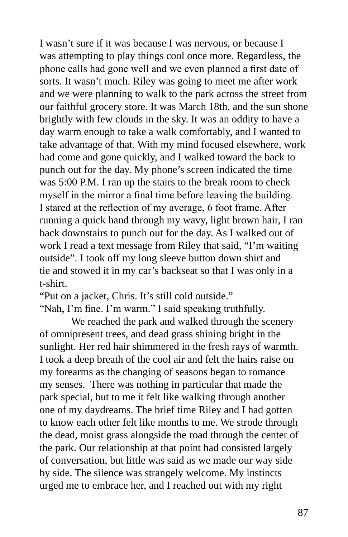I wasn't sure if it was because I was nervous, or because I was attempting to play things cool once more. Regardless, the phone calls had gone well and we even planned a first date of sorts. It wasn't much. Riley was going to meet me after work and we were planning to walk to the park across the street from our faithful grocery store. It was March 18th, and the sun shone brightly with few clouds in the sky. It was an oddity to have a day warm enough to take a walk comfortably, and I wanted to take advantage of that. With my mind focused elsewhere, work had come and gone quickly, and I walked toward the back to punch out for the day. My phone's screen indicated the time was 5:00 P.M. I ran up the stairs to the break room to check myself in the mirror a final time before leaving the building. I stared at the reflection of my average, 6 foot frame. After running a quick hand through my wavy, light brown hair, I ran back downstairs to punch out for the day. As I walked out of work I read a text message from Riley that said, "I'm waiting outside". I took off my long sleeve button down shirt and tie and stowed it in my car's backseat so that I was only in a t-shirt.

"Put on a jacket, Chris. It's still cold outside."

"Nah, I'm fine. I'm warm." I said speaking truthfully.

We reached the park and walked through the scenery of omnipresent trees, and dead grass shining bright in the sunlight. Her red hair shimmered in the fresh rays of warmth. I took a deep breath of the cool air and felt the hairs raise on my forearms as the changing of seasons began to romance my senses. There was nothing in particular that made the park special, but to me it felt like walking through another one of my daydreams. The brief time Riley and I had gotten to know each other felt like months to me. We strode through the dead, moist grass alongside the road through the center of the park. Our relationship at that point had consisted largely of conversation, but little was said as we made our way side by side. The silence was strangely welcome. My instincts urged me to embrace her, and I reached out with my right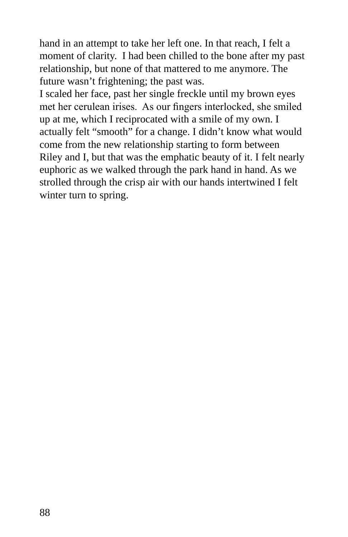hand in an attempt to take her left one. In that reach, I felt a moment of clarity. I had been chilled to the bone after my past relationship, but none of that mattered to me anymore. The future wasn't frightening; the past was.

I scaled her face, past her single freckle until my brown eyes met her cerulean irises. As our fingers interlocked, she smiled up at me, which I reciprocated with a smile of my own. I actually felt "smooth" for a change. I didn't know what would come from the new relationship starting to form between Riley and I, but that was the emphatic beauty of it. I felt nearly euphoric as we walked through the park hand in hand. As we strolled through the crisp air with our hands intertwined I felt winter turn to spring.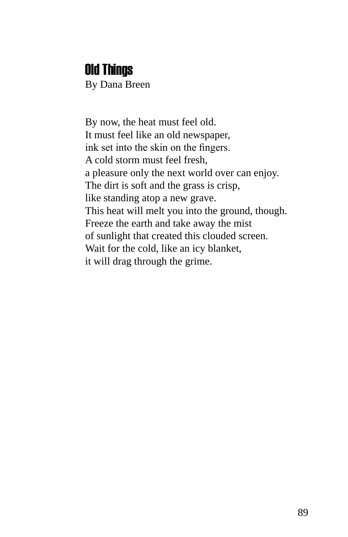#### Old Things

By Dana Breen

By now, the heat must feel old. It must feel like an old newspaper, ink set into the skin on the fingers. A cold storm must feel fresh, a pleasure only the next world over can enjoy. The dirt is soft and the grass is crisp, like standing atop a new grave. This heat will melt you into the ground, though. Freeze the earth and take away the mist of sunlight that created this clouded screen. Wait for the cold, like an icy blanket, it will drag through the grime.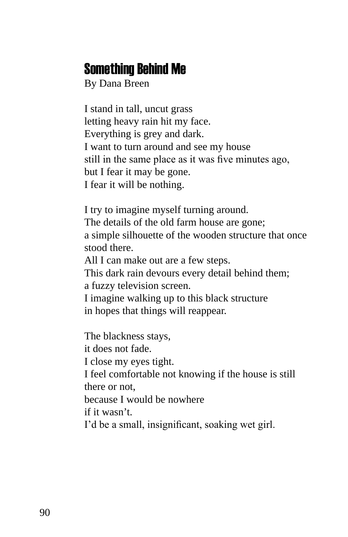### Something Behind Me

By Dana Breen

I stand in tall, uncut grass letting heavy rain hit my face. Everything is grey and dark. I want to turn around and see my house still in the same place as it was five minutes ago, but I fear it may be gone. I fear it will be nothing.

I try to imagine myself turning around. The details of the old farm house are gone; a simple silhouette of the wooden structure that once stood there.

All I can make out are a few steps.

This dark rain devours every detail behind them; a fuzzy television screen.

I imagine walking up to this black structure in hopes that things will reappear.

The blackness stays, it does not fade. I close my eyes tight. I feel comfortable not knowing if the house is still there or not, because I would be nowhere if it wasn't. I'd be a small, insignificant, soaking wet girl.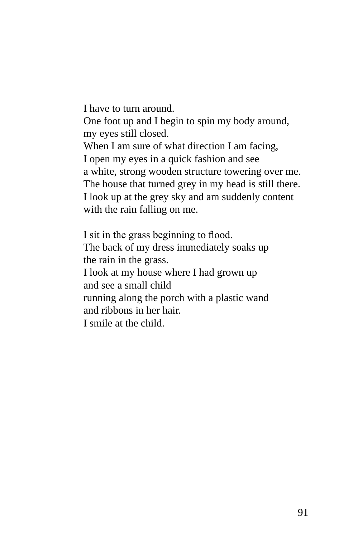I have to turn around. One foot up and I begin to spin my body around, my eyes still closed. When I am sure of what direction I am facing, I open my eyes in a quick fashion and see a white, strong wooden structure towering over me. The house that turned grey in my head is still there. I look up at the grey sky and am suddenly content with the rain falling on me.

I sit in the grass beginning to flood. The back of my dress immediately soaks up the rain in the grass. I look at my house where I had grown up and see a small child running along the porch with a plastic wand and ribbons in her hair. I smile at the child.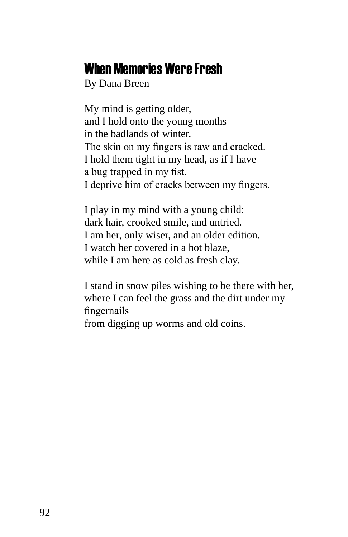#### When Memories Were Fresh

By Dana Breen

My mind is getting older, and I hold onto the young months in the badlands of winter. The skin on my fingers is raw and cracked. I hold them tight in my head, as if I have a bug trapped in my fist. I deprive him of cracks between my fingers.

I play in my mind with a young child: dark hair, crooked smile, and untried. I am her, only wiser, and an older edition. I watch her covered in a hot blaze, while I am here as cold as fresh clay.

I stand in snow piles wishing to be there with her, where I can feel the grass and the dirt under my fingernails from digging up worms and old coins.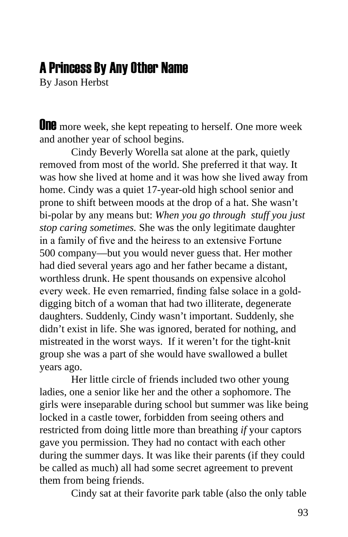### A Princess By Any Other Name

By Jason Herbst

**UNE** more week, she kept repeating to herself. One more week and another year of school begins.

Cindy Beverly Worella sat alone at the park, quietly removed from most of the world. She preferred it that way. It was how she lived at home and it was how she lived away from home. Cindy was a quiet 17-year-old high school senior and prone to shift between moods at the drop of a hat. She wasn't bi-polar by any means but: *When you go through stuff you just stop caring sometimes.* She was the only legitimate daughter in a family of five and the heiress to an extensive Fortune 500 company—but you would never guess that. Her mother had died several years ago and her father became a distant, worthless drunk. He spent thousands on expensive alcohol every week. He even remarried, finding false solace in a golddigging bitch of a woman that had two illiterate, degenerate daughters. Suddenly, Cindy wasn't important. Suddenly, she didn't exist in life. She was ignored, berated for nothing, and mistreated in the worst ways. If it weren't for the tight-knit group she was a part of she would have swallowed a bullet years ago.

Her little circle of friends included two other young ladies, one a senior like her and the other a sophomore. The girls were inseparable during school but summer was like being locked in a castle tower, forbidden from seeing others and restricted from doing little more than breathing *if* your captors gave you permission. They had no contact with each other during the summer days. It was like their parents (if they could be called as much) all had some secret agreement to prevent them from being friends.

Cindy sat at their favorite park table (also the only table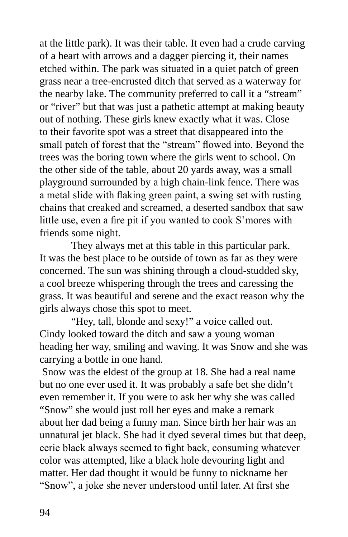at the little park). It was their table. It even had a crude carving of a heart with arrows and a dagger piercing it, their names etched within. The park was situated in a quiet patch of green grass near a tree-encrusted ditch that served as a waterway for the nearby lake. The community preferred to call it a "stream" or "river" but that was just a pathetic attempt at making beauty out of nothing. These girls knew exactly what it was. Close to their favorite spot was a street that disappeared into the small patch of forest that the "stream" flowed into. Beyond the trees was the boring town where the girls went to school. On the other side of the table, about 20 yards away, was a small playground surrounded by a high chain-link fence. There was a metal slide with flaking green paint, a swing set with rusting chains that creaked and screamed, a deserted sandbox that saw little use, even a fire pit if you wanted to cook S'mores with friends some night.

They always met at this table in this particular park. It was the best place to be outside of town as far as they were concerned. The sun was shining through a cloud-studded sky, a cool breeze whispering through the trees and caressing the grass. It was beautiful and serene and the exact reason why the girls always chose this spot to meet.

"Hey, tall, blonde and sexy!" a voice called out. Cindy looked toward the ditch and saw a young woman heading her way, smiling and waving. It was Snow and she was carrying a bottle in one hand.

 Snow was the eldest of the group at 18. She had a real name but no one ever used it. It was probably a safe bet she didn't even remember it. If you were to ask her why she was called "Snow" she would just roll her eyes and make a remark about her dad being a funny man. Since birth her hair was an unnatural jet black. She had it dyed several times but that deep, eerie black always seemed to fight back, consuming whatever color was attempted, like a black hole devouring light and matter. Her dad thought it would be funny to nickname her "Snow", a joke she never understood until later. At first she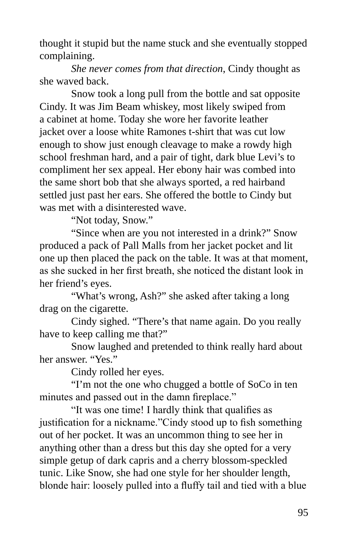thought it stupid but the name stuck and she eventually stopped complaining.

*She never comes from that direction*, Cindy thought as she waved back.

Snow took a long pull from the bottle and sat opposite Cindy. It was Jim Beam whiskey, most likely swiped from a cabinet at home. Today she wore her favorite leather jacket over a loose white Ramones t-shirt that was cut low enough to show just enough cleavage to make a rowdy high school freshman hard, and a pair of tight, dark blue Levi's to compliment her sex appeal. Her ebony hair was combed into the same short bob that she always sported, a red hairband settled just past her ears. She offered the bottle to Cindy but was met with a disinterested wave.

"Not today, Snow."

"Since when are you not interested in a drink?" Snow produced a pack of Pall Malls from her jacket pocket and lit one up then placed the pack on the table. It was at that moment, as she sucked in her first breath, she noticed the distant look in her friend's eyes.

"What's wrong, Ash?" she asked after taking a long drag on the cigarette.

Cindy sighed. "There's that name again. Do you really have to keep calling me that?"

Snow laughed and pretended to think really hard about her answer. "Yes."

Cindy rolled her eyes.

"I'm not the one who chugged a bottle of SoCo in ten minutes and passed out in the damn fireplace."

"It was one time! I hardly think that qualifies as justification for a nickname."Cindy stood up to fish something out of her pocket. It was an uncommon thing to see her in anything other than a dress but this day she opted for a very simple getup of dark capris and a cherry blossom-speckled tunic. Like Snow, she had one style for her shoulder length, blonde hair: loosely pulled into a fluffy tail and tied with a blue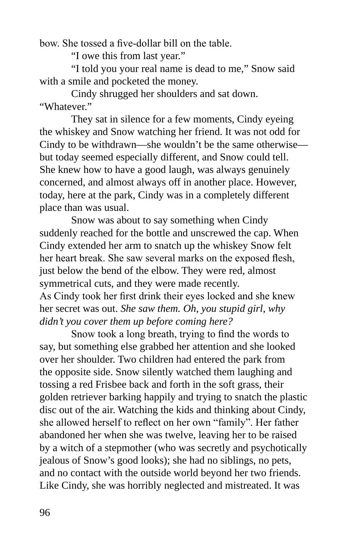bow. She tossed a five-dollar bill on the table.

"I owe this from last year."

"I told you your real name is dead to me," Snow said with a smile and pocketed the money.

Cindy shrugged her shoulders and sat down. "Whatever"

They sat in silence for a few moments, Cindy eyeing the whiskey and Snow watching her friend. It was not odd for Cindy to be withdrawn—she wouldn't be the same otherwise but today seemed especially different, and Snow could tell. She knew how to have a good laugh, was always genuinely concerned, and almost always off in another place. However, today, here at the park, Cindy was in a completely different place than was usual.

Snow was about to say something when Cindy suddenly reached for the bottle and unscrewed the cap. When Cindy extended her arm to snatch up the whiskey Snow felt her heart break. She saw several marks on the exposed flesh, just below the bend of the elbow. They were red, almost symmetrical cuts, and they were made recently. As Cindy took her first drink their eyes locked and she knew her secret was out. *She saw them. Oh, you stupid girl, why didn't you cover them up before coming here?*

Snow took a long breath, trying to find the words to say, but something else grabbed her attention and she looked over her shoulder. Two children had entered the park from the opposite side. Snow silently watched them laughing and tossing a red Frisbee back and forth in the soft grass, their golden retriever barking happily and trying to snatch the plastic disc out of the air. Watching the kids and thinking about Cindy, she allowed herself to reflect on her own "family". Her father abandoned her when she was twelve, leaving her to be raised by a witch of a stepmother (who was secretly and psychotically jealous of Snow's good looks); she had no siblings, no pets, and no contact with the outside world beyond her two friends. Like Cindy, she was horribly neglected and mistreated. It was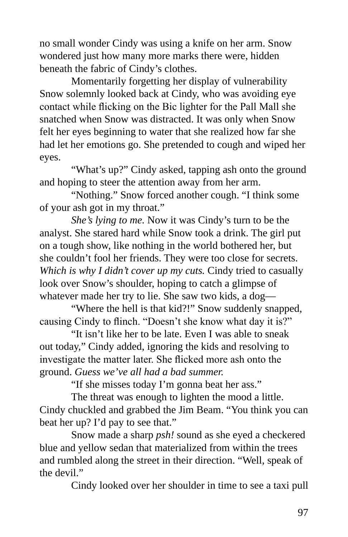no small wonder Cindy was using a knife on her arm. Snow wondered just how many more marks there were, hidden beneath the fabric of Cindy's clothes.

Momentarily forgetting her display of vulnerability Snow solemnly looked back at Cindy, who was avoiding eye contact while flicking on the Bic lighter for the Pall Mall she snatched when Snow was distracted. It was only when Snow felt her eyes beginning to water that she realized how far she had let her emotions go. She pretended to cough and wiped her eyes.

"What's up?" Cindy asked, tapping ash onto the ground and hoping to steer the attention away from her arm.

"Nothing." Snow forced another cough. "I think some of your ash got in my throat."

*She's lying to me.* Now it was Cindy's turn to be the analyst. She stared hard while Snow took a drink. The girl put on a tough show, like nothing in the world bothered her, but she couldn't fool her friends. They were too close for secrets. *Which is why I didn't cover up my cuts.* Cindy tried to casually look over Snow's shoulder, hoping to catch a glimpse of whatever made her try to lie. She saw two kids, a dog—

"Where the hell is that kid?!" Snow suddenly snapped, causing Cindy to flinch. "Doesn't she know what day it is?"

"It isn't like her to be late. Even I was able to sneak out today," Cindy added, ignoring the kids and resolving to investigate the matter later. She flicked more ash onto the ground. *Guess we've all had a bad summer.*

"If she misses today I'm gonna beat her ass."

The threat was enough to lighten the mood a little. Cindy chuckled and grabbed the Jim Beam. "You think you can beat her up? I'd pay to see that."

Snow made a sharp *psh!* sound as she eyed a checkered blue and yellow sedan that materialized from within the trees and rumbled along the street in their direction. "Well, speak of the devil."

Cindy looked over her shoulder in time to see a taxi pull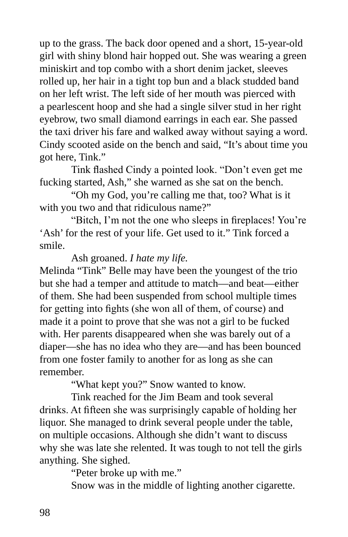up to the grass. The back door opened and a short, 15-year-old girl with shiny blond hair hopped out. She was wearing a green miniskirt and top combo with a short denim jacket, sleeves rolled up, her hair in a tight top bun and a black studded band on her left wrist. The left side of her mouth was pierced with a pearlescent hoop and she had a single silver stud in her right eyebrow, two small diamond earrings in each ear. She passed the taxi driver his fare and walked away without saying a word. Cindy scooted aside on the bench and said, "It's about time you got here, Tink."

Tink flashed Cindy a pointed look. "Don't even get me fucking started, Ash," she warned as she sat on the bench.

"Oh my God, you're calling me that, too? What is it with you two and that ridiculous name?"

"Bitch, I'm not the one who sleeps in fireplaces! You're 'Ash' for the rest of your life. Get used to it." Tink forced a smile.

Ash groaned. *I hate my life.*

Melinda "Tink" Belle may have been the youngest of the trio but she had a temper and attitude to match—and beat—either of them. She had been suspended from school multiple times for getting into fights (she won all of them, of course) and made it a point to prove that she was not a girl to be fucked with. Her parents disappeared when she was barely out of a diaper—she has no idea who they are—and has been bounced from one foster family to another for as long as she can remember.

"What kept you?" Snow wanted to know.

Tink reached for the Jim Beam and took several drinks. At fifteen she was surprisingly capable of holding her liquor. She managed to drink several people under the table, on multiple occasions. Although she didn't want to discuss why she was late she relented. It was tough to not tell the girls anything. She sighed.

"Peter broke up with me."

Snow was in the middle of lighting another cigarette.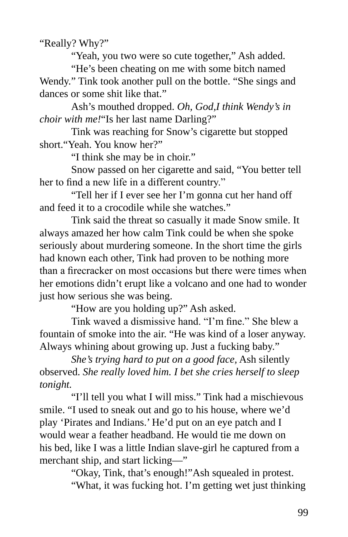"Really? Why?"

"Yeah, you two were so cute together," Ash added.

"He's been cheating on me with some bitch named Wendy." Tink took another pull on the bottle. "She sings and dances or some shit like that."

Ash's mouthed dropped. *Oh, God,I think Wendy's in choir with me!*"Is her last name Darling?"

Tink was reaching for Snow's cigarette but stopped short."Yeah. You know her?"

"I think she may be in choir."

Snow passed on her cigarette and said, "You better tell her to find a new life in a different country."

"Tell her if I ever see her I'm gonna cut her hand off and feed it to a crocodile while she watches."

Tink said the threat so casually it made Snow smile. It always amazed her how calm Tink could be when she spoke seriously about murdering someone. In the short time the girls had known each other, Tink had proven to be nothing more than a firecracker on most occasions but there were times when her emotions didn't erupt like a volcano and one had to wonder just how serious she was being.

"How are you holding up?" Ash asked.

Tink waved a dismissive hand. "I'm fine." She blew a fountain of smoke into the air. "He was kind of a loser anyway. Always whining about growing up. Just a fucking baby."

*She's trying hard to put on a good face,* Ash silently observed. *She really loved him. I bet she cries herself to sleep tonight.*

"I'll tell you what I will miss." Tink had a mischievous smile. "I used to sneak out and go to his house, where we'd play 'Pirates and Indians.' He'd put on an eye patch and I would wear a feather headband. He would tie me down on his bed, like I was a little Indian slave-girl he captured from a merchant ship, and start licking—"

> "Okay, Tink, that's enough!"Ash squealed in protest. "What, it was fucking hot. I'm getting wet just thinking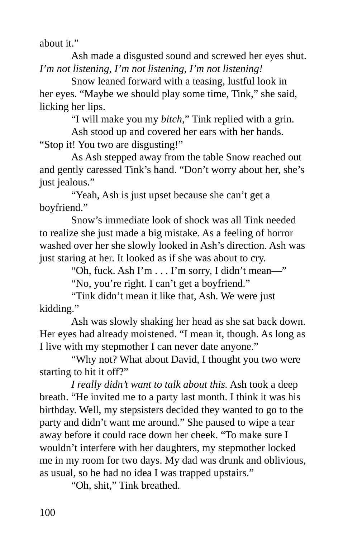about it."

Ash made a disgusted sound and screwed her eyes shut. *I'm not listening, I'm not listening, I'm not listening!*

Snow leaned forward with a teasing, lustful look in her eyes. "Maybe we should play some time, Tink," she said, licking her lips.

"I will make you my *bitch*," Tink replied with a grin.

Ash stood up and covered her ears with her hands. "Stop it! You two are disgusting!"

As Ash stepped away from the table Snow reached out and gently caressed Tink's hand. "Don't worry about her, she's just jealous."

"Yeah, Ash is just upset because she can't get a boyfriend."

Snow's immediate look of shock was all Tink needed to realize she just made a big mistake. As a feeling of horror washed over her she slowly looked in Ash's direction. Ash was just staring at her. It looked as if she was about to cry.

"Oh, fuck. Ash I'm . . . I'm sorry, I didn't mean—"

"No, you're right. I can't get a boyfriend."

"Tink didn't mean it like that, Ash. We were just kidding."

Ash was slowly shaking her head as she sat back down. Her eyes had already moistened. "I mean it, though. As long as I live with my stepmother I can never date anyone."

"Why not? What about David, I thought you two were starting to hit it off?"

*I really didn't want to talk about this.* Ash took a deep breath. "He invited me to a party last month. I think it was his birthday. Well, my stepsisters decided they wanted to go to the party and didn't want me around." She paused to wipe a tear away before it could race down her cheek. "To make sure I wouldn't interfere with her daughters, my stepmother locked me in my room for two days. My dad was drunk and oblivious, as usual, so he had no idea I was trapped upstairs."

"Oh, shit," Tink breathed.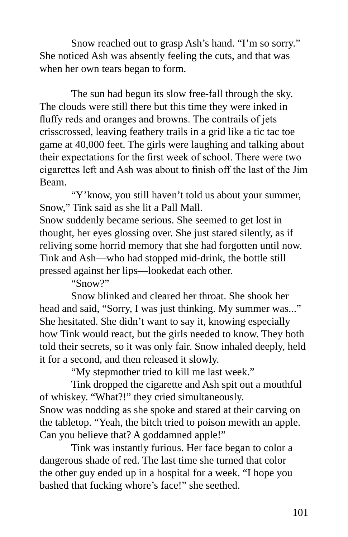Snow reached out to grasp Ash's hand. "I'm so sorry." She noticed Ash was absently feeling the cuts, and that was when her own tears began to form.

The sun had begun its slow free-fall through the sky. The clouds were still there but this time they were inked in fluffy reds and oranges and browns. The contrails of jets crisscrossed, leaving feathery trails in a grid like a tic tac toe game at 40,000 feet. The girls were laughing and talking about their expectations for the first week of school. There were two cigarettes left and Ash was about to finish off the last of the Jim Beam.

"Y'know, you still haven't told us about your summer, Snow," Tink said as she lit a Pall Mall.

Snow suddenly became serious. She seemed to get lost in thought, her eyes glossing over. She just stared silently, as if reliving some horrid memory that she had forgotten until now. Tink and Ash—who had stopped mid-drink, the bottle still pressed against her lips—lookedat each other.

"Snow?"

Snow blinked and cleared her throat. She shook her head and said, "Sorry, I was just thinking. My summer was..." She hesitated. She didn't want to say it, knowing especially how Tink would react, but the girls needed to know. They both told their secrets, so it was only fair. Snow inhaled deeply, held it for a second, and then released it slowly.

"My stepmother tried to kill me last week."

Tink dropped the cigarette and Ash spit out a mouthful of whiskey. "What?!" they cried simultaneously. Snow was nodding as she spoke and stared at their carving on the tabletop. "Yeah, the bitch tried to poison mewith an apple. Can you believe that? A goddamned apple!"

Tink was instantly furious. Her face began to color a dangerous shade of red. The last time she turned that color the other guy ended up in a hospital for a week. "I hope you bashed that fucking whore's face!" she seethed.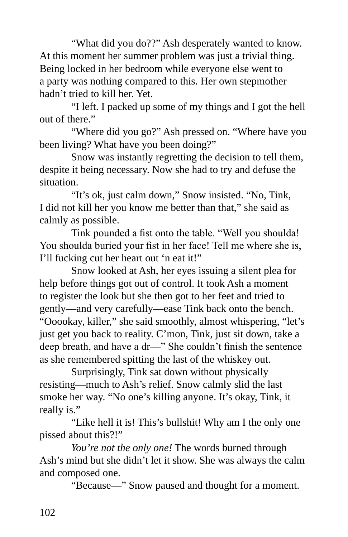"What did you do??" Ash desperately wanted to know. At this moment her summer problem was just a trivial thing. Being locked in her bedroom while everyone else went to a party was nothing compared to this. Her own stepmother hadn't tried to kill her. Yet.

"I left. I packed up some of my things and I got the hell out of there."

"Where did you go?" Ash pressed on. "Where have you been living? What have you been doing?"

Snow was instantly regretting the decision to tell them, despite it being necessary. Now she had to try and defuse the situation.

"It's ok, just calm down," Snow insisted. "No, Tink, I did not kill her you know me better than that," she said as calmly as possible.

Tink pounded a fist onto the table. "Well you shoulda! You shoulda buried your fist in her face! Tell me where she is, I'll fucking cut her heart out 'n eat it!"

Snow looked at Ash, her eyes issuing a silent plea for help before things got out of control. It took Ash a moment to register the look but she then got to her feet and tried to gently—and very carefully—ease Tink back onto the bench. "Ooookay, killer," she said smoothly, almost whispering, "let's just get you back to reality. C'mon, Tink, just sit down, take a deep breath, and have a dr—" She couldn't finish the sentence as she remembered spitting the last of the whiskey out.

Surprisingly, Tink sat down without physically resisting—much to Ash's relief. Snow calmly slid the last smoke her way. "No one's killing anyone. It's okay, Tink, it really is."

"Like hell it is! This's bullshit! Why am I the only one pissed about this?!"

*You're not the only one!* The words burned through Ash's mind but she didn't let it show. She was always the calm and composed one.

"Because—" Snow paused and thought for a moment.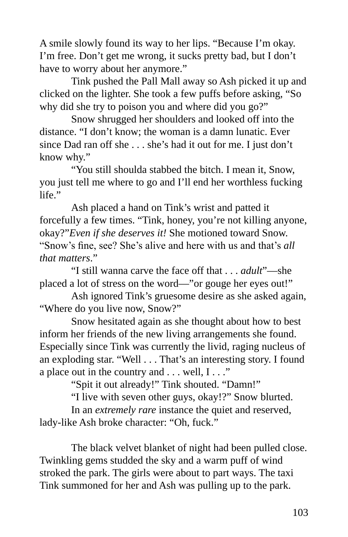A smile slowly found its way to her lips. "Because I'm okay. I'm free. Don't get me wrong, it sucks pretty bad, but I don't have to worry about her anymore."

Tink pushed the Pall Mall away so Ash picked it up and clicked on the lighter. She took a few puffs before asking, "So why did she try to poison you and where did you go?"

Snow shrugged her shoulders and looked off into the distance. "I don't know; the woman is a damn lunatic. Ever since Dad ran off she . . . she's had it out for me. I just don't know why."

"You still shoulda stabbed the bitch. I mean it, Snow, you just tell me where to go and I'll end her worthless fucking  $l$ ife $"$ 

Ash placed a hand on Tink's wrist and patted it forcefully a few times. "Tink, honey, you're not killing anyone, okay?"*Even if she deserves it!* She motioned toward Snow. "Snow's fine, see? She's alive and here with us and that's *all that matters*."

"I still wanna carve the face off that . . . *adult*"—she placed a lot of stress on the word—"or gouge her eyes out!"

Ash ignored Tink's gruesome desire as she asked again, "Where do you live now, Snow?"

Snow hesitated again as she thought about how to best inform her friends of the new living arrangements she found. Especially since Tink was currently the livid, raging nucleus of an exploding star. "Well . . . That's an interesting story. I found a place out in the country and  $\dots$  well,  $I \dots$ "

"Spit it out already!" Tink shouted. "Damn!"

"I live with seven other guys, okay!?" Snow blurted.

In an *extremely rare* instance the quiet and reserved, lady-like Ash broke character: "Oh, fuck."

The black velvet blanket of night had been pulled close. Twinkling gems studded the sky and a warm puff of wind stroked the park. The girls were about to part ways. The taxi Tink summoned for her and Ash was pulling up to the park.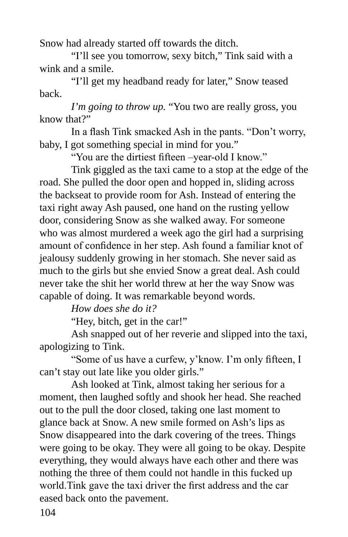Snow had already started off towards the ditch.

"I'll see you tomorrow, sexy bitch," Tink said with a wink and a smile.

"I'll get my headband ready for later," Snow teased back.

*I'm going to throw up.* "You two are really gross, you know that?"

In a flash Tink smacked Ash in the pants. "Don't worry, baby, I got something special in mind for you."

"You are the dirtiest fifteen –year-old I know."

Tink giggled as the taxi came to a stop at the edge of the road. She pulled the door open and hopped in, sliding across the backseat to provide room for Ash. Instead of entering the taxi right away Ash paused, one hand on the rusting yellow door, considering Snow as she walked away. For someone who was almost murdered a week ago the girl had a surprising amount of confidence in her step. Ash found a familiar knot of jealousy suddenly growing in her stomach. She never said as much to the girls but she envied Snow a great deal. Ash could never take the shit her world threw at her the way Snow was capable of doing. It was remarkable beyond words.

*How does she do it?*

"Hey, bitch, get in the car!"

Ash snapped out of her reverie and slipped into the taxi, apologizing to Tink.

"Some of us have a curfew, y'know. I'm only fifteen, I can't stay out late like you older girls."

Ash looked at Tink, almost taking her serious for a moment, then laughed softly and shook her head. She reached out to the pull the door closed, taking one last moment to glance back at Snow. A new smile formed on Ash's lips as Snow disappeared into the dark covering of the trees. Things were going to be okay. They were all going to be okay. Despite everything, they would always have each other and there was nothing the three of them could not handle in this fucked up world.Tink gave the taxi driver the first address and the car eased back onto the pavement.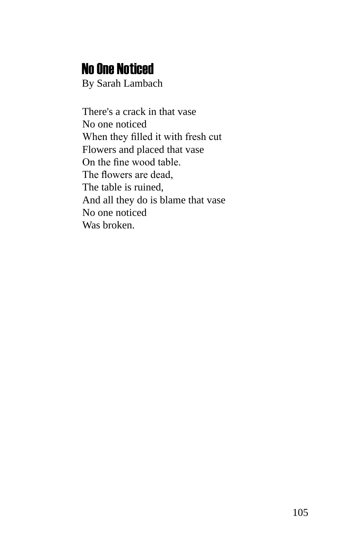## No One Noticed

By Sarah Lambach

There's a crack in that vase No one noticed When they filled it with fresh cut Flowers and placed that vase On the fine wood table. The flowers are dead, The table is ruined, And all they do is blame that vase No one noticed Was broken.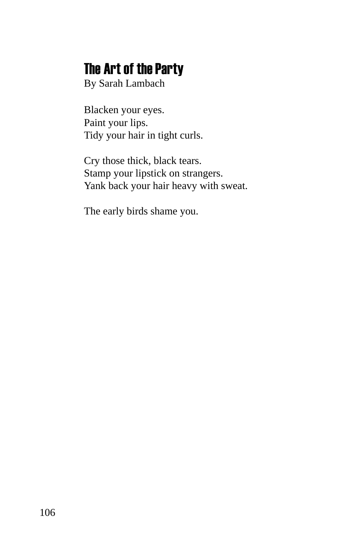# The Art of the Party

By Sarah Lambach

Blacken your eyes. Paint your lips. Tidy your hair in tight curls.

Cry those thick, black tears. Stamp your lipstick on strangers. Yank back your hair heavy with sweat.

The early birds shame you.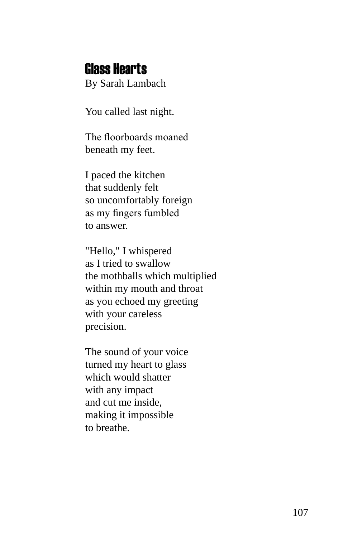#### Glass Hearts

By Sarah Lambach

You called last night.

The floorboards moaned beneath my feet.

I paced the kitchen that suddenly felt so uncomfortably foreign as my fingers fumbled to answer.

"Hello," I whispered as I tried to swallow the mothballs which multiplied within my mouth and throat as you echoed my greeting with your careless precision.

The sound of your voice turned my heart to glass which would shatter with any impact and cut me inside, making it impossible to breathe.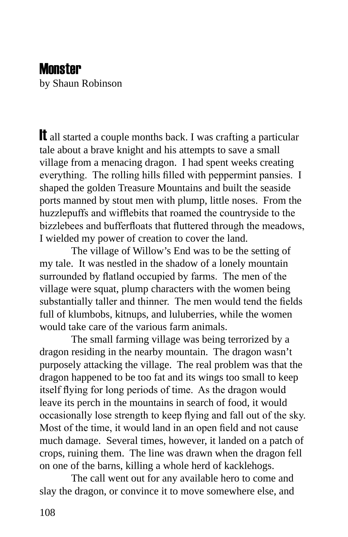#### **Monster**

by Shaun Robinson

It all started a couple months back. I was crafting a particular tale about a brave knight and his attempts to save a small village from a menacing dragon. I had spent weeks creating everything. The rolling hills filled with peppermint pansies. I shaped the golden Treasure Mountains and built the seaside ports manned by stout men with plump, little noses. From the huzzlepuffs and wifflebits that roamed the countryside to the bizzlebees and bufferfloats that fluttered through the meadows, I wielded my power of creation to cover the land.

The village of Willow's End was to be the setting of my tale. It was nestled in the shadow of a lonely mountain surrounded by flatland occupied by farms. The men of the village were squat, plump characters with the women being substantially taller and thinner. The men would tend the fields full of klumbobs, kitnups, and luluberries, while the women would take care of the various farm animals.

The small farming village was being terrorized by a dragon residing in the nearby mountain. The dragon wasn't purposely attacking the village. The real problem was that the dragon happened to be too fat and its wings too small to keep itself flying for long periods of time. As the dragon would leave its perch in the mountains in search of food, it would occasionally lose strength to keep flying and fall out of the sky. Most of the time, it would land in an open field and not cause much damage. Several times, however, it landed on a patch of crops, ruining them. The line was drawn when the dragon fell on one of the barns, killing a whole herd of kacklehogs.

The call went out for any available hero to come and slay the dragon, or convince it to move somewhere else, and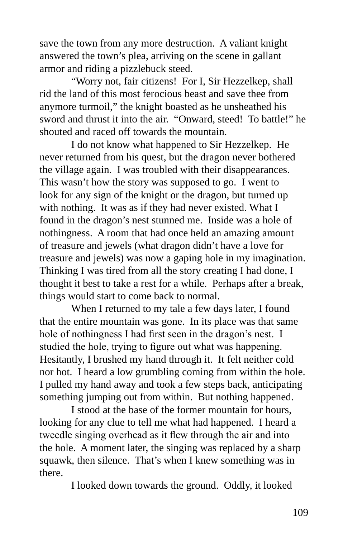save the town from any more destruction. A valiant knight answered the town's plea, arriving on the scene in gallant armor and riding a pizzlebuck steed.

"Worry not, fair citizens! For I, Sir Hezzelkep, shall rid the land of this most ferocious beast and save thee from anymore turmoil," the knight boasted as he unsheathed his sword and thrust it into the air. "Onward, steed! To battle!" he shouted and raced off towards the mountain.

I do not know what happened to Sir Hezzelkep. He never returned from his quest, but the dragon never bothered the village again. I was troubled with their disappearances. This wasn't how the story was supposed to go. I went to look for any sign of the knight or the dragon, but turned up with nothing. It was as if they had never existed. What I found in the dragon's nest stunned me. Inside was a hole of nothingness. A room that had once held an amazing amount of treasure and jewels (what dragon didn't have a love for treasure and jewels) was now a gaping hole in my imagination. Thinking I was tired from all the story creating I had done, I thought it best to take a rest for a while. Perhaps after a break, things would start to come back to normal.

When I returned to my tale a few days later, I found that the entire mountain was gone. In its place was that same hole of nothingness I had first seen in the dragon's nest. I studied the hole, trying to figure out what was happening. Hesitantly, I brushed my hand through it. It felt neither cold nor hot. I heard a low grumbling coming from within the hole. I pulled my hand away and took a few steps back, anticipating something jumping out from within. But nothing happened.

I stood at the base of the former mountain for hours, looking for any clue to tell me what had happened. I heard a tweedle singing overhead as it flew through the air and into the hole. A moment later, the singing was replaced by a sharp squawk, then silence. That's when I knew something was in there.

I looked down towards the ground. Oddly, it looked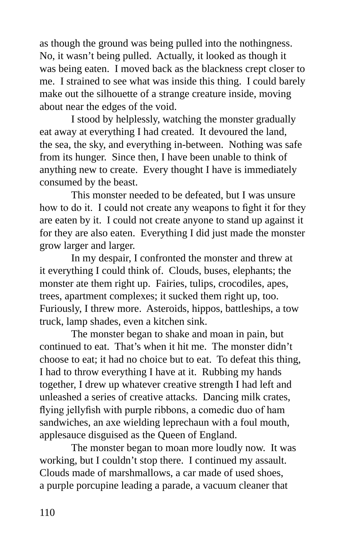as though the ground was being pulled into the nothingness. No, it wasn't being pulled. Actually, it looked as though it was being eaten. I moved back as the blackness crept closer to me. I strained to see what was inside this thing. I could barely make out the silhouette of a strange creature inside, moving about near the edges of the void.

I stood by helplessly, watching the monster gradually eat away at everything I had created. It devoured the land, the sea, the sky, and everything in-between. Nothing was safe from its hunger. Since then, I have been unable to think of anything new to create. Every thought I have is immediately consumed by the beast.

This monster needed to be defeated, but I was unsure how to do it. I could not create any weapons to fight it for they are eaten by it. I could not create anyone to stand up against it for they are also eaten. Everything I did just made the monster grow larger and larger.

In my despair, I confronted the monster and threw at it everything I could think of. Clouds, buses, elephants; the monster ate them right up. Fairies, tulips, crocodiles, apes, trees, apartment complexes; it sucked them right up, too. Furiously, I threw more. Asteroids, hippos, battleships, a tow truck, lamp shades, even a kitchen sink.

The monster began to shake and moan in pain, but continued to eat. That's when it hit me. The monster didn't choose to eat; it had no choice but to eat. To defeat this thing, I had to throw everything I have at it. Rubbing my hands together, I drew up whatever creative strength I had left and unleashed a series of creative attacks. Dancing milk crates, flying jellyfish with purple ribbons, a comedic duo of ham sandwiches, an axe wielding leprechaun with a foul mouth, applesauce disguised as the Queen of England.

The monster began to moan more loudly now. It was working, but I couldn't stop there. I continued my assault. Clouds made of marshmallows, a car made of used shoes, a purple porcupine leading a parade, a vacuum cleaner that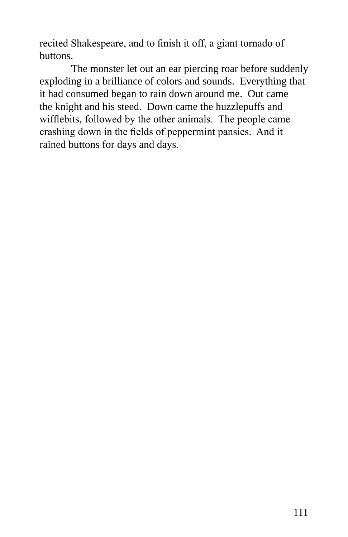recited Shakespeare, and to finish it off, a giant tornado of buttons.

The monster let out an ear piercing roar before suddenly exploding in a brilliance of colors and sounds. Everything that it had consumed began to rain down around me. Out came the knight and his steed. Down came the huzzlepuffs and wifflebits, followed by the other animals. The people came crashing down in the fields of peppermint pansies. And it rained buttons for days and days.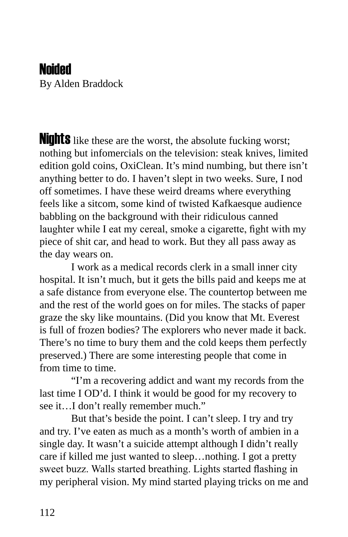### Noided

By Alden Braddock

**Nights** like these are the worst, the absolute fucking worst; nothing but infomercials on the television: steak knives, limited edition gold coins, OxiClean. It's mind numbing, but there isn't anything better to do. I haven't slept in two weeks. Sure, I nod off sometimes. I have these weird dreams where everything feels like a sitcom, some kind of twisted Kafkaesque audience babbling on the background with their ridiculous canned laughter while I eat my cereal, smoke a cigarette, fight with my piece of shit car, and head to work. But they all pass away as the day wears on.

I work as a medical records clerk in a small inner city hospital. It isn't much, but it gets the bills paid and keeps me at a safe distance from everyone else. The countertop between me and the rest of the world goes on for miles. The stacks of paper graze the sky like mountains. (Did you know that Mt. Everest is full of frozen bodies? The explorers who never made it back. There's no time to bury them and the cold keeps them perfectly preserved.) There are some interesting people that come in from time to time.

"I'm a recovering addict and want my records from the last time I OD'd. I think it would be good for my recovery to see it…I don't really remember much."

But that's beside the point. I can't sleep. I try and try and try. I've eaten as much as a month's worth of ambien in a single day. It wasn't a suicide attempt although I didn't really care if killed me just wanted to sleep…nothing. I got a pretty sweet buzz. Walls started breathing. Lights started flashing in my peripheral vision. My mind started playing tricks on me and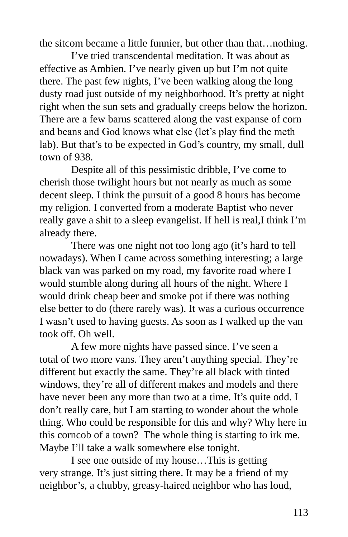the sitcom became a little funnier, but other than that…nothing.

I've tried transcendental meditation. It was about as effective as Ambien. I've nearly given up but I'm not quite there. The past few nights, I've been walking along the long dusty road just outside of my neighborhood. It's pretty at night right when the sun sets and gradually creeps below the horizon. There are a few barns scattered along the vast expanse of corn and beans and God knows what else (let's play find the meth lab). But that's to be expected in God's country, my small, dull town of 938.

Despite all of this pessimistic dribble, I've come to cherish those twilight hours but not nearly as much as some decent sleep. I think the pursuit of a good 8 hours has become my religion. I converted from a moderate Baptist who never really gave a shit to a sleep evangelist. If hell is real,I think I'm already there.

There was one night not too long ago (it's hard to tell nowadays). When I came across something interesting; a large black van was parked on my road, my favorite road where I would stumble along during all hours of the night. Where I would drink cheap beer and smoke pot if there was nothing else better to do (there rarely was). It was a curious occurrence I wasn't used to having guests. As soon as I walked up the van took off. Oh well.

A few more nights have passed since. I've seen a total of two more vans. They aren't anything special. They're different but exactly the same. They're all black with tinted windows, they're all of different makes and models and there have never been any more than two at a time. It's quite odd. I don't really care, but I am starting to wonder about the whole thing. Who could be responsible for this and why? Why here in this corncob of a town? The whole thing is starting to irk me. Maybe I'll take a walk somewhere else tonight.

I see one outside of my house…This is getting very strange. It's just sitting there. It may be a friend of my neighbor's, a chubby, greasy-haired neighbor who has loud,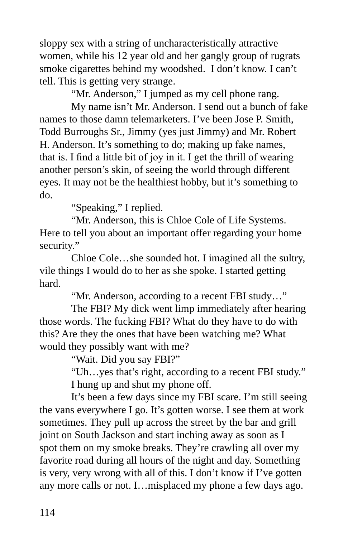sloppy sex with a string of uncharacteristically attractive women, while his 12 year old and her gangly group of rugrats smoke cigarettes behind my woodshed. I don't know. I can't tell. This is getting very strange.

"Mr. Anderson," I jumped as my cell phone rang.

My name isn't Mr. Anderson. I send out a bunch of fake names to those damn telemarketers. I've been Jose P. Smith, Todd Burroughs Sr., Jimmy (yes just Jimmy) and Mr. Robert H. Anderson. It's something to do; making up fake names, that is. I find a little bit of joy in it. I get the thrill of wearing another person's skin, of seeing the world through different eyes. It may not be the healthiest hobby, but it's something to do.

"Speaking," I replied.

"Mr. Anderson, this is Chloe Cole of Life Systems. Here to tell you about an important offer regarding your home security."

Chloe Cole…she sounded hot. I imagined all the sultry, vile things I would do to her as she spoke. I started getting hard.

"Mr. Anderson, according to a recent FBI study…"

The FBI? My dick went limp immediately after hearing those words. The fucking FBI? What do they have to do with this? Are they the ones that have been watching me? What would they possibly want with me?

"Wait. Did you say FBI?"

"Uh…yes that's right, according to a recent FBI study." I hung up and shut my phone off.

It's been a few days since my FBI scare. I'm still seeing the vans everywhere I go. It's gotten worse. I see them at work sometimes. They pull up across the street by the bar and grill joint on South Jackson and start inching away as soon as I spot them on my smoke breaks. They're crawling all over my favorite road during all hours of the night and day. Something is very, very wrong with all of this. I don't know if I've gotten any more calls or not. I…misplaced my phone a few days ago.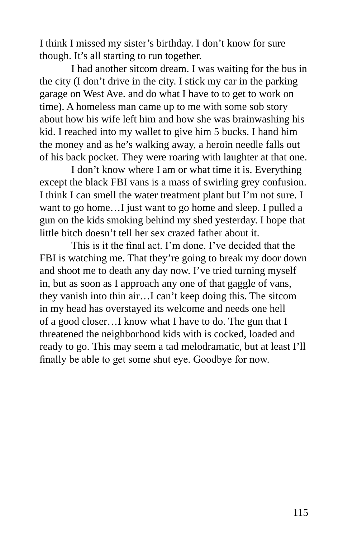I think I missed my sister's birthday. I don't know for sure though. It's all starting to run together.

I had another sitcom dream. I was waiting for the bus in the city (I don't drive in the city. I stick my car in the parking garage on West Ave. and do what I have to to get to work on time). A homeless man came up to me with some sob story about how his wife left him and how she was brainwashing his kid. I reached into my wallet to give him 5 bucks. I hand him the money and as he's walking away, a heroin needle falls out of his back pocket. They were roaring with laughter at that one.

I don't know where I am or what time it is. Everything except the black FBI vans is a mass of swirling grey confusion. I think I can smell the water treatment plant but I'm not sure. I want to go home…I just want to go home and sleep. I pulled a gun on the kids smoking behind my shed yesterday. I hope that little bitch doesn't tell her sex crazed father about it.

This is it the final act. I'm done. I've decided that the FBI is watching me. That they're going to break my door down and shoot me to death any day now. I've tried turning myself in, but as soon as I approach any one of that gaggle of vans, they vanish into thin air…I can't keep doing this. The sitcom in my head has overstayed its welcome and needs one hell of a good closer…I know what I have to do. The gun that I threatened the neighborhood kids with is cocked, loaded and ready to go. This may seem a tad melodramatic, but at least I'll finally be able to get some shut eye. Goodbye for now.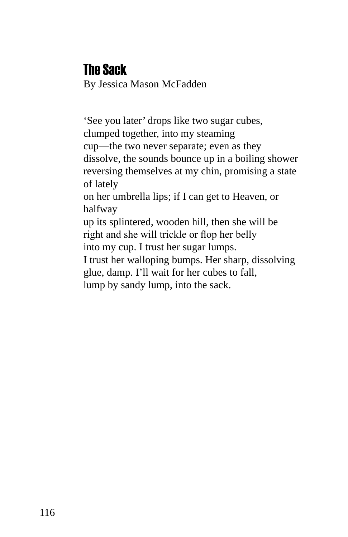## The Sack

By Jessica Mason McFadden

'See you later' drops like two sugar cubes, clumped together, into my steaming cup—the two never separate; even as they dissolve, the sounds bounce up in a boiling shower reversing themselves at my chin, promising a state of lately on her umbrella lips; if I can get to Heaven, or halfway

up its splintered, wooden hill, then she will be right and she will trickle or flop her belly into my cup. I trust her sugar lumps.

I trust her walloping bumps. Her sharp, dissolving glue, damp. I'll wait for her cubes to fall, lump by sandy lump, into the sack.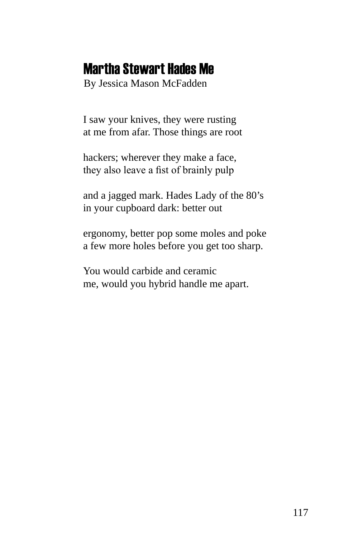### Martha Stewart Hades Me

By Jessica Mason McFadden

I saw your knives, they were rusting at me from afar. Those things are root

hackers; wherever they make a face, they also leave a fist of brainly pulp

and a jagged mark. Hades Lady of the 80's in your cupboard dark: better out

ergonomy, better pop some moles and poke a few more holes before you get too sharp.

You would carbide and ceramic me, would you hybrid handle me apart.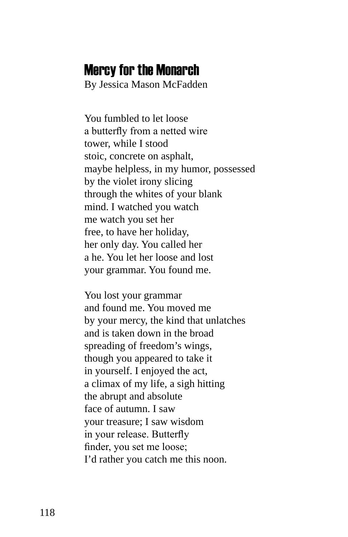#### Mercy for the Monarch

By Jessica Mason McFadden

You fumbled to let loose a butterfly from a netted wire tower, while I stood stoic, concrete on asphalt, maybe helpless, in my humor, possessed by the violet irony slicing through the whites of your blank mind. I watched you watch me watch you set her free, to have her holiday, her only day. You called her a he. You let her loose and lost your grammar. You found me.

You lost your grammar and found me. You moved me by your mercy, the kind that unlatches and is taken down in the broad spreading of freedom's wings, though you appeared to take it in yourself. I enjoyed the act, a climax of my life, a sigh hitting the abrupt and absolute face of autumn. I saw your treasure; I saw wisdom in your release. Butterfly finder, you set me loose; I'd rather you catch me this noon.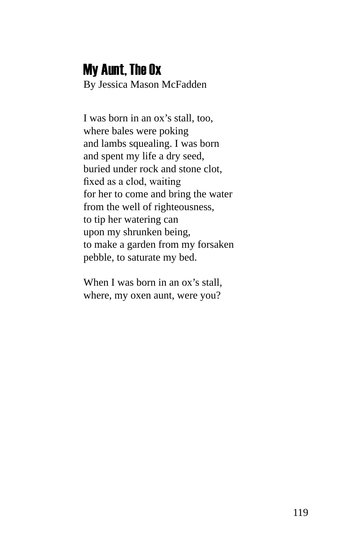# My Aunt, The Ox

By Jessica Mason McFadden

I was born in an ox's stall, too, where bales were poking and lambs squealing. I was born and spent my life a dry seed, buried under rock and stone clot, fixed as a clod, waiting for her to come and bring the water from the well of righteousness, to tip her watering can upon my shrunken being, to make a garden from my forsaken pebble, to saturate my bed.

When I was born in an ox's stall, where, my oxen aunt, were you?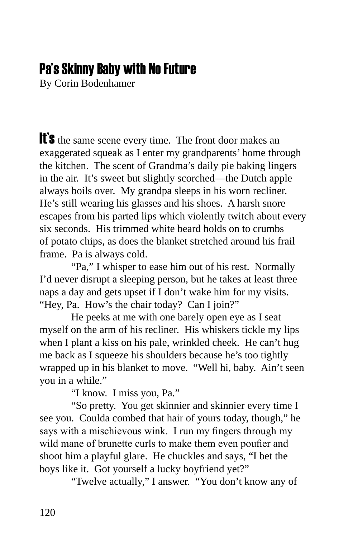# Pa's Skinny Baby with No Future

By Corin Bodenhamer

It's the same scene every time. The front door makes an exaggerated squeak as I enter my grandparents' home through the kitchen. The scent of Grandma's daily pie baking lingers in the air. It's sweet but slightly scorched—the Dutch apple always boils over. My grandpa sleeps in his worn recliner. He's still wearing his glasses and his shoes. A harsh snore escapes from his parted lips which violently twitch about every six seconds. His trimmed white beard holds on to crumbs of potato chips, as does the blanket stretched around his frail frame. Pa is always cold.

"Pa," I whisper to ease him out of his rest. Normally I'd never disrupt a sleeping person, but he takes at least three naps a day and gets upset if I don't wake him for my visits. "Hey, Pa. How's the chair today? Can I join?"

He peeks at me with one barely open eye as I seat myself on the arm of his recliner. His whiskers tickle my lips when I plant a kiss on his pale, wrinkled cheek. He can't hug me back as I squeeze his shoulders because he's too tightly wrapped up in his blanket to move. "Well hi, baby. Ain't seen you in a while."

"I know. I miss you, Pa."

"So pretty. You get skinnier and skinnier every time I see you. Coulda combed that hair of yours today, though," he says with a mischievous wink. I run my fingers through my wild mane of brunette curls to make them even poufier and shoot him a playful glare. He chuckles and says, "I bet the boys like it. Got yourself a lucky boyfriend yet?"

"Twelve actually," I answer. "You don't know any of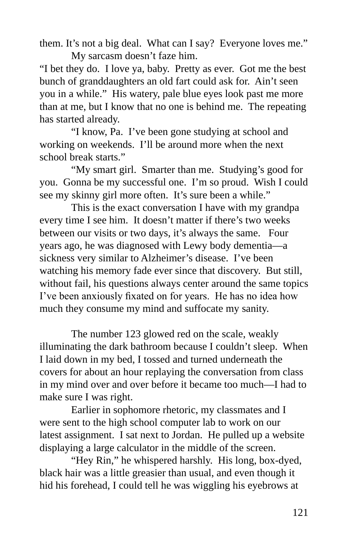them. It's not a big deal. What can I say? Everyone loves me." My sarcasm doesn't faze him.

"I bet they do. I love ya, baby. Pretty as ever. Got me the best bunch of granddaughters an old fart could ask for. Ain't seen you in a while." His watery, pale blue eyes look past me more than at me, but I know that no one is behind me. The repeating has started already.

"I know, Pa. I've been gone studying at school and working on weekends. I'll be around more when the next school break starts."

"My smart girl. Smarter than me. Studying's good for you. Gonna be my successful one. I'm so proud. Wish I could see my skinny girl more often. It's sure been a while."

This is the exact conversation I have with my grandpa every time I see him. It doesn't matter if there's two weeks between our visits or two days, it's always the same. Four years ago, he was diagnosed with Lewy body dementia—a sickness very similar to Alzheimer's disease. I've been watching his memory fade ever since that discovery. But still, without fail, his questions always center around the same topics I've been anxiously fixated on for years. He has no idea how much they consume my mind and suffocate my sanity.

The number 123 glowed red on the scale, weakly illuminating the dark bathroom because I couldn't sleep. When I laid down in my bed, I tossed and turned underneath the covers for about an hour replaying the conversation from class in my mind over and over before it became too much—I had to make sure I was right.

Earlier in sophomore rhetoric, my classmates and I were sent to the high school computer lab to work on our latest assignment. I sat next to Jordan. He pulled up a website displaying a large calculator in the middle of the screen.

"Hey Rin," he whispered harshly. His long, box-dyed, black hair was a little greasier than usual, and even though it hid his forehead, I could tell he was wiggling his eyebrows at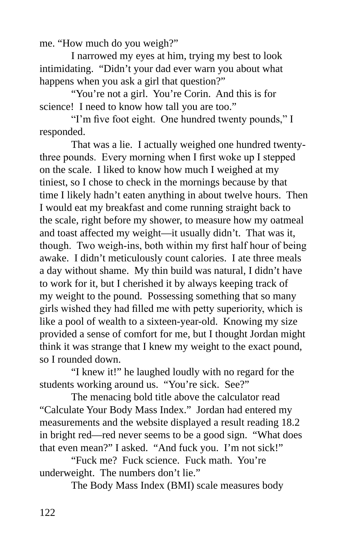me. "How much do you weigh?"

I narrowed my eyes at him, trying my best to look intimidating. "Didn't your dad ever warn you about what happens when you ask a girl that question?"

"You're not a girl. You're Corin. And this is for science! I need to know how tall you are too."

"I'm five foot eight. One hundred twenty pounds," I responded.

That was a lie. I actually weighed one hundred twentythree pounds. Every morning when I first woke up I stepped on the scale. I liked to know how much I weighed at my tiniest, so I chose to check in the mornings because by that time I likely hadn't eaten anything in about twelve hours. Then I would eat my breakfast and come running straight back to the scale, right before my shower, to measure how my oatmeal and toast affected my weight—it usually didn't. That was it, though. Two weigh-ins, both within my first half hour of being awake. I didn't meticulously count calories. I ate three meals a day without shame. My thin build was natural, I didn't have to work for it, but I cherished it by always keeping track of my weight to the pound. Possessing something that so many girls wished they had filled me with petty superiority, which is like a pool of wealth to a sixteen-year-old. Knowing my size provided a sense of comfort for me, but I thought Jordan might think it was strange that I knew my weight to the exact pound, so I rounded down.

"I knew it!" he laughed loudly with no regard for the students working around us. "You're sick. See?"

The menacing bold title above the calculator read "Calculate Your Body Mass Index." Jordan had entered my measurements and the website displayed a result reading 18.2 in bright red—red never seems to be a good sign. "What does that even mean?" I asked. "And fuck you. I'm not sick!"

"Fuck me? Fuck science. Fuck math. You're underweight. The numbers don't lie."

The Body Mass Index (BMI) scale measures body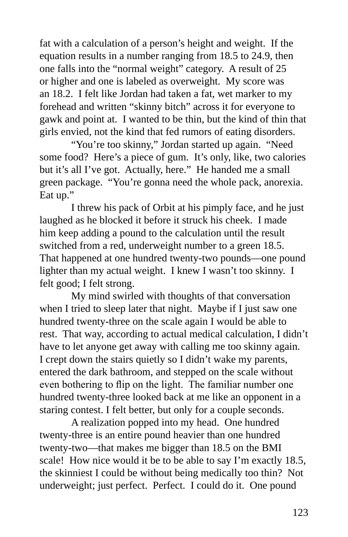fat with a calculation of a person's height and weight. If the equation results in a number ranging from 18.5 to 24.9, then one falls into the "normal weight" category. A result of 25 or higher and one is labeled as overweight. My score was an 18.2. I felt like Jordan had taken a fat, wet marker to my forehead and written "skinny bitch" across it for everyone to gawk and point at. I wanted to be thin, but the kind of thin that girls envied, not the kind that fed rumors of eating disorders.

"You're too skinny," Jordan started up again. "Need some food? Here's a piece of gum. It's only, like, two calories but it's all I've got. Actually, here." He handed me a small green package. "You're gonna need the whole pack, anorexia. Eat up."

I threw his pack of Orbit at his pimply face, and he just laughed as he blocked it before it struck his cheek. I made him keep adding a pound to the calculation until the result switched from a red, underweight number to a green 18.5. That happened at one hundred twenty-two pounds—one pound lighter than my actual weight. I knew I wasn't too skinny. I felt good; I felt strong.

My mind swirled with thoughts of that conversation when I tried to sleep later that night. Maybe if I just saw one hundred twenty-three on the scale again I would be able to rest. That way, according to actual medical calculation, I didn't have to let anyone get away with calling me too skinny again. I crept down the stairs quietly so I didn't wake my parents, entered the dark bathroom, and stepped on the scale without even bothering to flip on the light. The familiar number one hundred twenty-three looked back at me like an opponent in a staring contest. I felt better, but only for a couple seconds.

A realization popped into my head. One hundred twenty-three is an entire pound heavier than one hundred twenty-two—that makes me bigger than 18.5 on the BMI scale! How nice would it be to be able to say I'm exactly 18.5, the skinniest I could be without being medically too thin? Not underweight; just perfect. Perfect. I could do it. One pound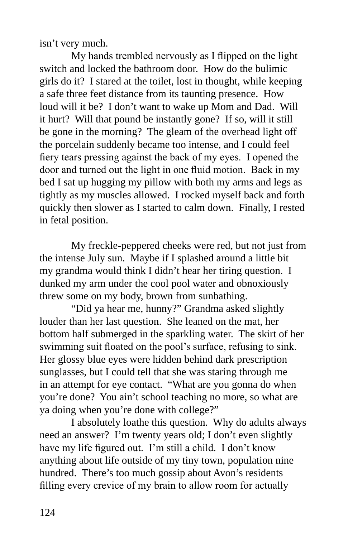isn't very much.

My hands trembled nervously as I flipped on the light switch and locked the bathroom door. How do the bulimic girls do it? I stared at the toilet, lost in thought, while keeping a safe three feet distance from its taunting presence. How loud will it be? I don't want to wake up Mom and Dad. Will it hurt? Will that pound be instantly gone? If so, will it still be gone in the morning? The gleam of the overhead light off the porcelain suddenly became too intense, and I could feel fiery tears pressing against the back of my eyes. I opened the door and turned out the light in one fluid motion. Back in my bed I sat up hugging my pillow with both my arms and legs as tightly as my muscles allowed. I rocked myself back and forth quickly then slower as I started to calm down. Finally, I rested in fetal position.

My freckle-peppered cheeks were red, but not just from the intense July sun. Maybe if I splashed around a little bit my grandma would think I didn't hear her tiring question. I dunked my arm under the cool pool water and obnoxiously threw some on my body, brown from sunbathing.

"Did ya hear me, hunny?" Grandma asked slightly louder than her last question. She leaned on the mat, her bottom half submerged in the sparkling water. The skirt of her swimming suit floated on the pool's surface, refusing to sink. Her glossy blue eyes were hidden behind dark prescription sunglasses, but I could tell that she was staring through me in an attempt for eye contact. "What are you gonna do when you're done? You ain't school teaching no more, so what are ya doing when you're done with college?"

I absolutely loathe this question. Why do adults always need an answer? I'm twenty years old; I don't even slightly have my life figured out. I'm still a child. I don't know anything about life outside of my tiny town, population nine hundred. There's too much gossip about Avon's residents filling every crevice of my brain to allow room for actually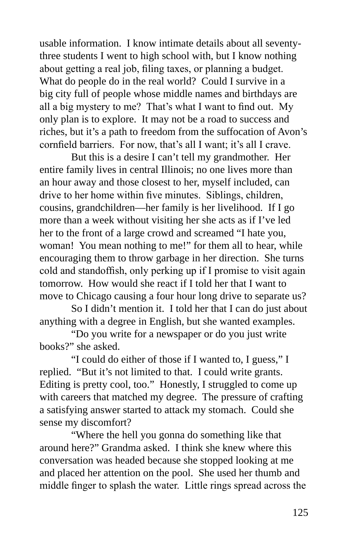usable information. I know intimate details about all seventythree students I went to high school with, but I know nothing about getting a real job, filing taxes, or planning a budget. What do people do in the real world? Could I survive in a big city full of people whose middle names and birthdays are all a big mystery to me? That's what I want to find out. My only plan is to explore. It may not be a road to success and riches, but it's a path to freedom from the suffocation of Avon's cornfield barriers. For now, that's all I want; it's all I crave.

But this is a desire I can't tell my grandmother. Her entire family lives in central Illinois; no one lives more than an hour away and those closest to her, myself included, can drive to her home within five minutes. Siblings, children, cousins, grandchildren—her family is her livelihood. If I go more than a week without visiting her she acts as if I've led her to the front of a large crowd and screamed "I hate you, woman! You mean nothing to me!" for them all to hear, while encouraging them to throw garbage in her direction. She turns cold and standoffish, only perking up if I promise to visit again tomorrow. How would she react if I told her that I want to move to Chicago causing a four hour long drive to separate us?

So I didn't mention it. I told her that I can do just about anything with a degree in English, but she wanted examples.

"Do you write for a newspaper or do you just write books?" she asked.

"I could do either of those if I wanted to, I guess," I replied. "But it's not limited to that. I could write grants. Editing is pretty cool, too." Honestly, I struggled to come up with careers that matched my degree. The pressure of crafting a satisfying answer started to attack my stomach. Could she sense my discomfort?

"Where the hell you gonna do something like that around here?" Grandma asked. I think she knew where this conversation was headed because she stopped looking at me and placed her attention on the pool. She used her thumb and middle finger to splash the water. Little rings spread across the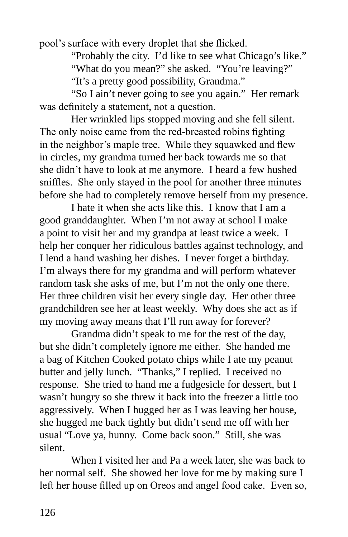pool's surface with every droplet that she flicked.

"Probably the city. I'd like to see what Chicago's like."

"What do you mean?" she asked. "You're leaving?"

"It's a pretty good possibility, Grandma."

"So I ain't never going to see you again." Her remark was definitely a statement, not a question.

Her wrinkled lips stopped moving and she fell silent. The only noise came from the red-breasted robins fighting in the neighbor's maple tree. While they squawked and flew in circles, my grandma turned her back towards me so that she didn't have to look at me anymore. I heard a few hushed sniffles. She only stayed in the pool for another three minutes before she had to completely remove herself from my presence.

I hate it when she acts like this. I know that I am a good granddaughter. When I'm not away at school I make a point to visit her and my grandpa at least twice a week. I help her conquer her ridiculous battles against technology, and I lend a hand washing her dishes. I never forget a birthday. I'm always there for my grandma and will perform whatever random task she asks of me, but I'm not the only one there. Her three children visit her every single day. Her other three grandchildren see her at least weekly. Why does she act as if my moving away means that I'll run away for forever?

Grandma didn't speak to me for the rest of the day, but she didn't completely ignore me either. She handed me a bag of Kitchen Cooked potato chips while I ate my peanut butter and jelly lunch. "Thanks," I replied. I received no response. She tried to hand me a fudgesicle for dessert, but I wasn't hungry so she threw it back into the freezer a little too aggressively. When I hugged her as I was leaving her house, she hugged me back tightly but didn't send me off with her usual "Love ya, hunny. Come back soon." Still, she was silent.

When I visited her and Pa a week later, she was back to her normal self. She showed her love for me by making sure I left her house filled up on Oreos and angel food cake. Even so,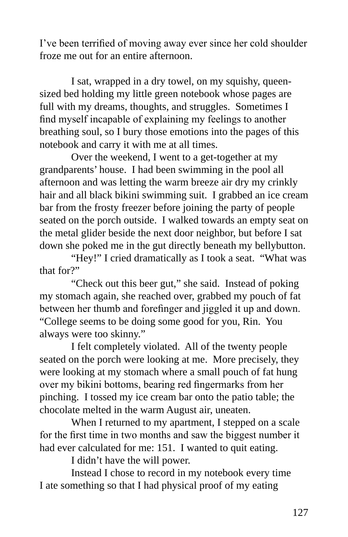I've been terrified of moving away ever since her cold shoulder froze me out for an entire afternoon.

I sat, wrapped in a dry towel, on my squishy, queensized bed holding my little green notebook whose pages are full with my dreams, thoughts, and struggles. Sometimes I find myself incapable of explaining my feelings to another breathing soul, so I bury those emotions into the pages of this notebook and carry it with me at all times.

Over the weekend, I went to a get-together at my grandparents' house. I had been swimming in the pool all afternoon and was letting the warm breeze air dry my crinkly hair and all black bikini swimming suit. I grabbed an ice cream bar from the frosty freezer before joining the party of people seated on the porch outside. I walked towards an empty seat on the metal glider beside the next door neighbor, but before I sat down she poked me in the gut directly beneath my bellybutton.

"Hey!" I cried dramatically as I took a seat. "What was that for?"

"Check out this beer gut," she said. Instead of poking my stomach again, she reached over, grabbed my pouch of fat between her thumb and forefinger and jiggled it up and down. "College seems to be doing some good for you, Rin. You always were too skinny."

I felt completely violated. All of the twenty people seated on the porch were looking at me. More precisely, they were looking at my stomach where a small pouch of fat hung over my bikini bottoms, bearing red fingermarks from her pinching. I tossed my ice cream bar onto the patio table; the chocolate melted in the warm August air, uneaten.

When I returned to my apartment, I stepped on a scale for the first time in two months and saw the biggest number it had ever calculated for me: 151. I wanted to quit eating.

I didn't have the will power.

Instead I chose to record in my notebook every time I ate something so that I had physical proof of my eating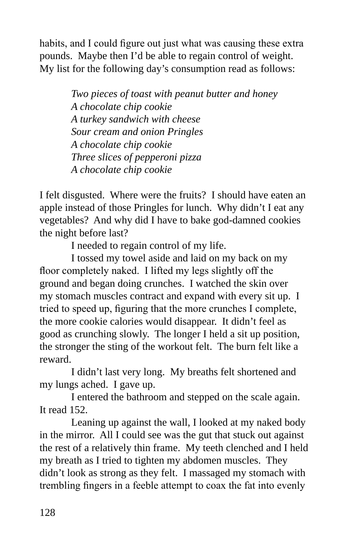habits, and I could figure out just what was causing these extra pounds. Maybe then I'd be able to regain control of weight. My list for the following day's consumption read as follows:

> *Two pieces of toast with peanut butter and honey A chocolate chip cookie A turkey sandwich with cheese Sour cream and onion Pringles A chocolate chip cookie Three slices of pepperoni pizza A chocolate chip cookie*

I felt disgusted. Where were the fruits? I should have eaten an apple instead of those Pringles for lunch. Why didn't I eat any vegetables? And why did I have to bake god-damned cookies the night before last?

I needed to regain control of my life.

I tossed my towel aside and laid on my back on my floor completely naked. I lifted my legs slightly off the ground and began doing crunches. I watched the skin over my stomach muscles contract and expand with every sit up. I tried to speed up, figuring that the more crunches I complete, the more cookie calories would disappear. It didn't feel as good as crunching slowly. The longer I held a sit up position, the stronger the sting of the workout felt. The burn felt like a reward.

I didn't last very long. My breaths felt shortened and my lungs ached. I gave up.

I entered the bathroom and stepped on the scale again. It read 152.

Leaning up against the wall, I looked at my naked body in the mirror. All I could see was the gut that stuck out against the rest of a relatively thin frame. My teeth clenched and I held my breath as I tried to tighten my abdomen muscles. They didn't look as strong as they felt. I massaged my stomach with trembling fingers in a feeble attempt to coax the fat into evenly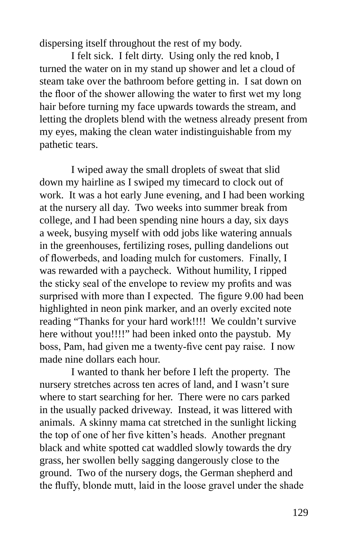dispersing itself throughout the rest of my body.

I felt sick. I felt dirty. Using only the red knob, I turned the water on in my stand up shower and let a cloud of steam take over the bathroom before getting in. I sat down on the floor of the shower allowing the water to first wet my long hair before turning my face upwards towards the stream, and letting the droplets blend with the wetness already present from my eyes, making the clean water indistinguishable from my pathetic tears.

I wiped away the small droplets of sweat that slid down my hairline as I swiped my timecard to clock out of work. It was a hot early June evening, and I had been working at the nursery all day. Two weeks into summer break from college, and I had been spending nine hours a day, six days a week, busying myself with odd jobs like watering annuals in the greenhouses, fertilizing roses, pulling dandelions out of flowerbeds, and loading mulch for customers. Finally, I was rewarded with a paycheck. Without humility, I ripped the sticky seal of the envelope to review my profits and was surprised with more than I expected. The figure 9.00 had been highlighted in neon pink marker, and an overly excited note reading "Thanks for your hard work!!!! We couldn't survive here without you!!!!" had been inked onto the paystub. My boss, Pam, had given me a twenty-five cent pay raise. I now made nine dollars each hour.

I wanted to thank her before I left the property. The nursery stretches across ten acres of land, and I wasn't sure where to start searching for her. There were no cars parked in the usually packed driveway. Instead, it was littered with animals. A skinny mama cat stretched in the sunlight licking the top of one of her five kitten's heads. Another pregnant black and white spotted cat waddled slowly towards the dry grass, her swollen belly sagging dangerously close to the ground. Two of the nursery dogs, the German shepherd and the fluffy, blonde mutt, laid in the loose gravel under the shade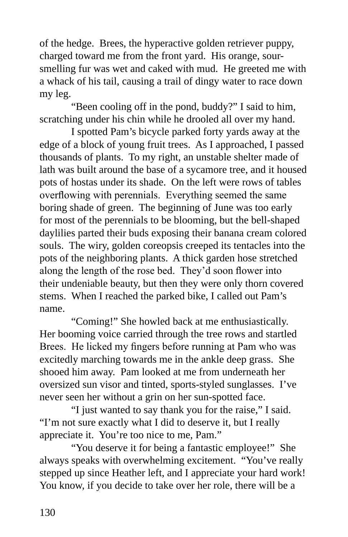of the hedge. Brees, the hyperactive golden retriever puppy, charged toward me from the front yard. His orange, soursmelling fur was wet and caked with mud. He greeted me with a whack of his tail, causing a trail of dingy water to race down my leg.

"Been cooling off in the pond, buddy?" I said to him, scratching under his chin while he drooled all over my hand.

I spotted Pam's bicycle parked forty yards away at the edge of a block of young fruit trees. As I approached, I passed thousands of plants. To my right, an unstable shelter made of lath was built around the base of a sycamore tree, and it housed pots of hostas under its shade. On the left were rows of tables overflowing with perennials. Everything seemed the same boring shade of green. The beginning of June was too early for most of the perennials to be blooming, but the bell-shaped daylilies parted their buds exposing their banana cream colored souls. The wiry, golden coreopsis creeped its tentacles into the pots of the neighboring plants. A thick garden hose stretched along the length of the rose bed. They'd soon flower into their undeniable beauty, but then they were only thorn covered stems. When I reached the parked bike, I called out Pam's name.

"Coming!" She howled back at me enthusiastically. Her booming voice carried through the tree rows and startled Brees. He licked my fingers before running at Pam who was excitedly marching towards me in the ankle deep grass. She shooed him away. Pam looked at me from underneath her oversized sun visor and tinted, sports-styled sunglasses. I've never seen her without a grin on her sun-spotted face.

"I just wanted to say thank you for the raise," I said. "I'm not sure exactly what I did to deserve it, but I really appreciate it. You're too nice to me, Pam."

"You deserve it for being a fantastic employee!" She always speaks with overwhelming excitement. "You've really stepped up since Heather left, and I appreciate your hard work! You know, if you decide to take over her role, there will be a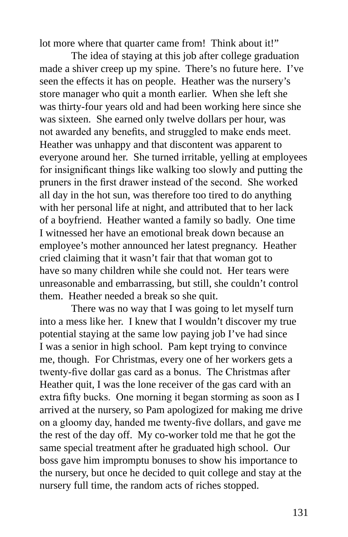lot more where that quarter came from! Think about it!"

The idea of staying at this job after college graduation made a shiver creep up my spine. There's no future here. I've seen the effects it has on people. Heather was the nursery's store manager who quit a month earlier. When she left she was thirty-four years old and had been working here since she was sixteen. She earned only twelve dollars per hour, was not awarded any benefits, and struggled to make ends meet. Heather was unhappy and that discontent was apparent to everyone around her. She turned irritable, yelling at employees for insignificant things like walking too slowly and putting the pruners in the first drawer instead of the second. She worked all day in the hot sun, was therefore too tired to do anything with her personal life at night, and attributed that to her lack of a boyfriend. Heather wanted a family so badly. One time I witnessed her have an emotional break down because an employee's mother announced her latest pregnancy. Heather cried claiming that it wasn't fair that that woman got to have so many children while she could not. Her tears were unreasonable and embarrassing, but still, she couldn't control them. Heather needed a break so she quit.

There was no way that I was going to let myself turn into a mess like her. I knew that I wouldn't discover my true potential staying at the same low paying job I've had since I was a senior in high school. Pam kept trying to convince me, though. For Christmas, every one of her workers gets a twenty-five dollar gas card as a bonus. The Christmas after Heather quit, I was the lone receiver of the gas card with an extra fifty bucks. One morning it began storming as soon as I arrived at the nursery, so Pam apologized for making me drive on a gloomy day, handed me twenty-five dollars, and gave me the rest of the day off. My co-worker told me that he got the same special treatment after he graduated high school. Our boss gave him impromptu bonuses to show his importance to the nursery, but once he decided to quit college and stay at the nursery full time, the random acts of riches stopped.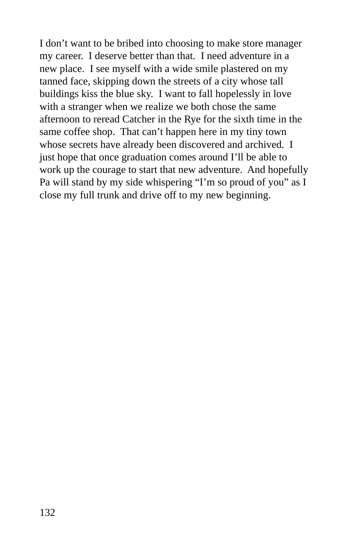I don't want to be bribed into choosing to make store manager my career. I deserve better than that. I need adventure in a new place. I see myself with a wide smile plastered on my tanned face, skipping down the streets of a city whose tall buildings kiss the blue sky. I want to fall hopelessly in love with a stranger when we realize we both chose the same afternoon to reread Catcher in the Rye for the sixth time in the same coffee shop. That can't happen here in my tiny town whose secrets have already been discovered and archived. I just hope that once graduation comes around I'll be able to work up the courage to start that new adventure. And hopefully Pa will stand by my side whispering "I'm so proud of you" as I close my full trunk and drive off to my new beginning.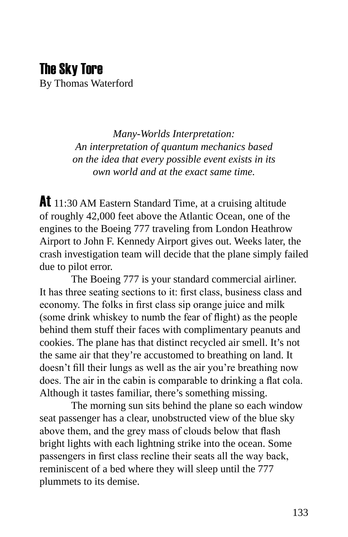#### The Sky Tore By Thomas Waterford

*Many-Worlds Interpretation: An interpretation of quantum mechanics based on the idea that every possible event exists in its own world and at the exact same time.*

At 11:30 AM Eastern Standard Time, at a cruising altitude of roughly 42,000 feet above the Atlantic Ocean, one of the engines to the Boeing 777 traveling from London Heathrow Airport to John F. Kennedy Airport gives out. Weeks later, the crash investigation team will decide that the plane simply failed due to pilot error.

The Boeing 777 is your standard commercial airliner. It has three seating sections to it: first class, business class and economy. The folks in first class sip orange juice and milk (some drink whiskey to numb the fear of flight) as the people behind them stuff their faces with complimentary peanuts and cookies. The plane has that distinct recycled air smell. It's not the same air that they're accustomed to breathing on land. It doesn't fill their lungs as well as the air you're breathing now does. The air in the cabin is comparable to drinking a flat cola. Although it tastes familiar, there's something missing.

The morning sun sits behind the plane so each window seat passenger has a clear, unobstructed view of the blue sky above them, and the grey mass of clouds below that flash bright lights with each lightning strike into the ocean. Some passengers in first class recline their seats all the way back, reminiscent of a bed where they will sleep until the 777 plummets to its demise.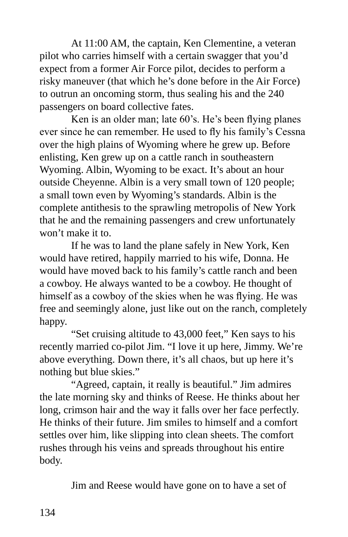At 11:00 AM, the captain, Ken Clementine, a veteran pilot who carries himself with a certain swagger that you'd expect from a former Air Force pilot, decides to perform a risky maneuver (that which he's done before in the Air Force) to outrun an oncoming storm, thus sealing his and the 240 passengers on board collective fates.

Ken is an older man; late 60's. He's been flying planes ever since he can remember. He used to fly his family's Cessna over the high plains of Wyoming where he grew up. Before enlisting, Ken grew up on a cattle ranch in southeastern Wyoming. Albin, Wyoming to be exact. It's about an hour outside Cheyenne. Albin is a very small town of 120 people; a small town even by Wyoming's standards. Albin is the complete antithesis to the sprawling metropolis of New York that he and the remaining passengers and crew unfortunately won't make it to.

If he was to land the plane safely in New York, Ken would have retired, happily married to his wife, Donna. He would have moved back to his family's cattle ranch and been a cowboy. He always wanted to be a cowboy. He thought of himself as a cowboy of the skies when he was flying. He was free and seemingly alone, just like out on the ranch, completely happy.

"Set cruising altitude to 43,000 feet," Ken says to his recently married co-pilot Jim. "I love it up here, Jimmy. We're above everything. Down there, it's all chaos, but up here it's nothing but blue skies."

"Agreed, captain, it really is beautiful." Jim admires the late morning sky and thinks of Reese. He thinks about her long, crimson hair and the way it falls over her face perfectly. He thinks of their future. Jim smiles to himself and a comfort settles over him, like slipping into clean sheets. The comfort rushes through his veins and spreads throughout his entire body.

Jim and Reese would have gone on to have a set of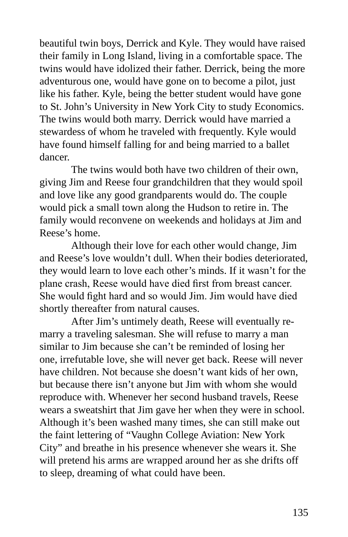beautiful twin boys, Derrick and Kyle. They would have raised their family in Long Island, living in a comfortable space. The twins would have idolized their father. Derrick, being the more adventurous one, would have gone on to become a pilot, just like his father. Kyle, being the better student would have gone to St. John's University in New York City to study Economics. The twins would both marry. Derrick would have married a stewardess of whom he traveled with frequently. Kyle would have found himself falling for and being married to a ballet dancer.

The twins would both have two children of their own, giving Jim and Reese four grandchildren that they would spoil and love like any good grandparents would do. The couple would pick a small town along the Hudson to retire in. The family would reconvene on weekends and holidays at Jim and Reese's home.

Although their love for each other would change, Jim and Reese's love wouldn't dull. When their bodies deteriorated, they would learn to love each other's minds. If it wasn't for the plane crash, Reese would have died first from breast cancer. She would fight hard and so would Jim. Jim would have died shortly thereafter from natural causes.

After Jim's untimely death, Reese will eventually remarry a traveling salesman. She will refuse to marry a man similar to Jim because she can't be reminded of losing her one, irrefutable love, she will never get back. Reese will never have children. Not because she doesn't want kids of her own, but because there isn't anyone but Jim with whom she would reproduce with. Whenever her second husband travels, Reese wears a sweatshirt that Jim gave her when they were in school. Although it's been washed many times, she can still make out the faint lettering of "Vaughn College Aviation: New York City" and breathe in his presence whenever she wears it. She will pretend his arms are wrapped around her as she drifts off to sleep, dreaming of what could have been.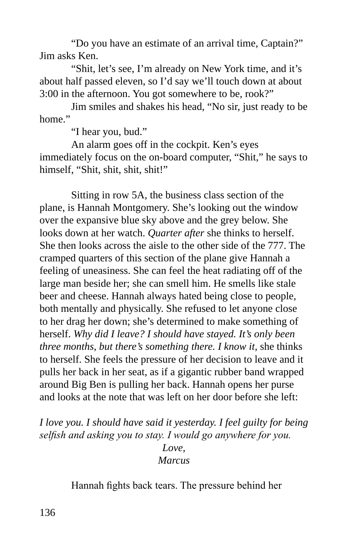"Do you have an estimate of an arrival time, Captain?" Jim asks Ken.

"Shit, let's see, I'm already on New York time, and it's about half passed eleven, so I'd say we'll touch down at about 3:00 in the afternoon. You got somewhere to be, rook?"

Jim smiles and shakes his head, "No sir, just ready to be home"

"I hear you, bud."

An alarm goes off in the cockpit. Ken's eyes immediately focus on the on-board computer, "Shit," he says to himself, "Shit, shit, shit, shit!"

Sitting in row 5A, the business class section of the plane, is Hannah Montgomery. She's looking out the window over the expansive blue sky above and the grey below. She looks down at her watch. *Quarter after* she thinks to herself. She then looks across the aisle to the other side of the 777. The cramped quarters of this section of the plane give Hannah a feeling of uneasiness. She can feel the heat radiating off of the large man beside her; she can smell him. He smells like stale beer and cheese. Hannah always hated being close to people, both mentally and physically. She refused to let anyone close to her drag her down; she's determined to make something of herself. *Why did I leave? I should have stayed. It's only been three months, but there's something there. I know it,* she thinks to herself. She feels the pressure of her decision to leave and it pulls her back in her seat, as if a gigantic rubber band wrapped around Big Ben is pulling her back. Hannah opens her purse and looks at the note that was left on her door before she left:

*I love you. I should have said it yesterday. I feel guilty for being selfish and asking you to stay. I would go anywhere for you.*

> *Love, Marcus*

Hannah fights back tears. The pressure behind her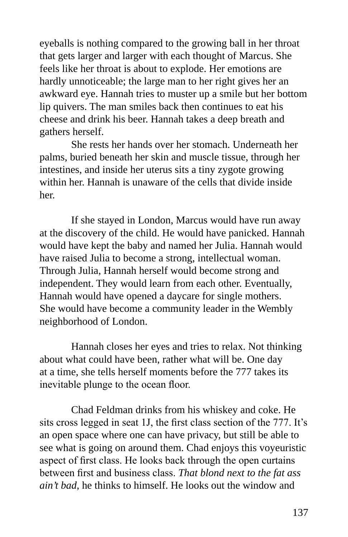eyeballs is nothing compared to the growing ball in her throat that gets larger and larger with each thought of Marcus. She feels like her throat is about to explode. Her emotions are hardly unnoticeable; the large man to her right gives her an awkward eye. Hannah tries to muster up a smile but her bottom lip quivers. The man smiles back then continues to eat his cheese and drink his beer. Hannah takes a deep breath and gathers herself.

She rests her hands over her stomach. Underneath her palms, buried beneath her skin and muscle tissue, through her intestines, and inside her uterus sits a tiny zygote growing within her. Hannah is unaware of the cells that divide inside her.

If she stayed in London, Marcus would have run away at the discovery of the child. He would have panicked. Hannah would have kept the baby and named her Julia. Hannah would have raised Julia to become a strong, intellectual woman. Through Julia, Hannah herself would become strong and independent. They would learn from each other. Eventually, Hannah would have opened a daycare for single mothers. She would have become a community leader in the Wembly neighborhood of London.

Hannah closes her eyes and tries to relax. Not thinking about what could have been, rather what will be. One day at a time, she tells herself moments before the 777 takes its inevitable plunge to the ocean floor.

Chad Feldman drinks from his whiskey and coke. He sits cross legged in seat 1J, the first class section of the 777. It's an open space where one can have privacy, but still be able to see what is going on around them. Chad enjoys this voyeuristic aspect of first class. He looks back through the open curtains between first and business class. *That blond next to the fat ass ain't bad*, he thinks to himself. He looks out the window and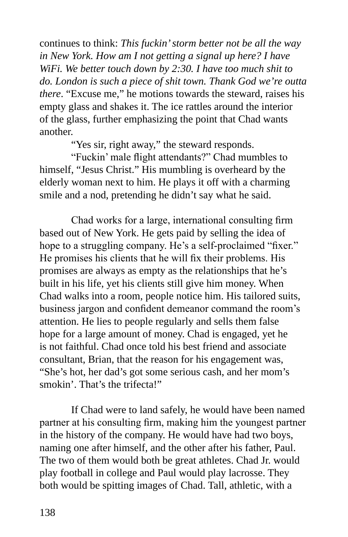continues to think: *This fuckin' storm better not be all the way in New York. How am I not getting a signal up here? I have WiFi. We better touch down by 2:30. I have too much shit to do. London is such a piece of shit town. Thank God we're outta there*. "Excuse me," he motions towards the steward, raises his empty glass and shakes it. The ice rattles around the interior of the glass, further emphasizing the point that Chad wants another.

"Yes sir, right away," the steward responds.

"Fuckin' male flight attendants?" Chad mumbles to himself, "Jesus Christ." His mumbling is overheard by the elderly woman next to him. He plays it off with a charming smile and a nod, pretending he didn't say what he said.

Chad works for a large, international consulting firm based out of New York. He gets paid by selling the idea of hope to a struggling company. He's a self-proclaimed "fixer." He promises his clients that he will fix their problems. His promises are always as empty as the relationships that he's built in his life, yet his clients still give him money. When Chad walks into a room, people notice him. His tailored suits, business jargon and confident demeanor command the room's attention. He lies to people regularly and sells them false hope for a large amount of money. Chad is engaged, yet he is not faithful. Chad once told his best friend and associate consultant, Brian, that the reason for his engagement was, "She's hot, her dad's got some serious cash, and her mom's smokin'. That's the trifecta!"

If Chad were to land safely, he would have been named partner at his consulting firm, making him the youngest partner in the history of the company. He would have had two boys, naming one after himself, and the other after his father, Paul. The two of them would both be great athletes. Chad Jr. would play football in college and Paul would play lacrosse. They both would be spitting images of Chad. Tall, athletic, with a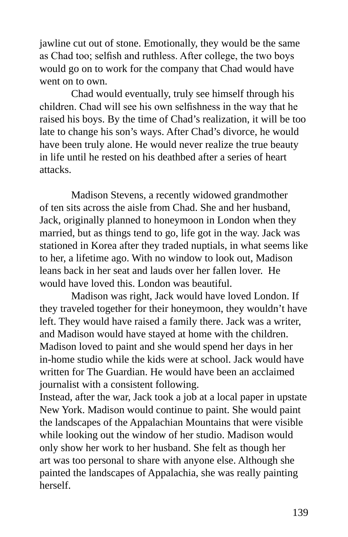jawline cut out of stone. Emotionally, they would be the same as Chad too; selfish and ruthless. After college, the two boys would go on to work for the company that Chad would have went on to own.

Chad would eventually, truly see himself through his children. Chad will see his own selfishness in the way that he raised his boys. By the time of Chad's realization, it will be too late to change his son's ways. After Chad's divorce, he would have been truly alone. He would never realize the true beauty in life until he rested on his deathbed after a series of heart attacks.

Madison Stevens, a recently widowed grandmother of ten sits across the aisle from Chad. She and her husband, Jack, originally planned to honeymoon in London when they married, but as things tend to go, life got in the way. Jack was stationed in Korea after they traded nuptials, in what seems like to her, a lifetime ago. With no window to look out, Madison leans back in her seat and lauds over her fallen lover. He would have loved this. London was beautiful.

Madison was right, Jack would have loved London. If they traveled together for their honeymoon, they wouldn't have left. They would have raised a family there. Jack was a writer, and Madison would have stayed at home with the children. Madison loved to paint and she would spend her days in her in-home studio while the kids were at school. Jack would have written for The Guardian. He would have been an acclaimed journalist with a consistent following.

Instead, after the war, Jack took a job at a local paper in upstate New York. Madison would continue to paint. She would paint the landscapes of the Appalachian Mountains that were visible while looking out the window of her studio. Madison would only show her work to her husband. She felt as though her art was too personal to share with anyone else. Although she painted the landscapes of Appalachia, she was really painting herself.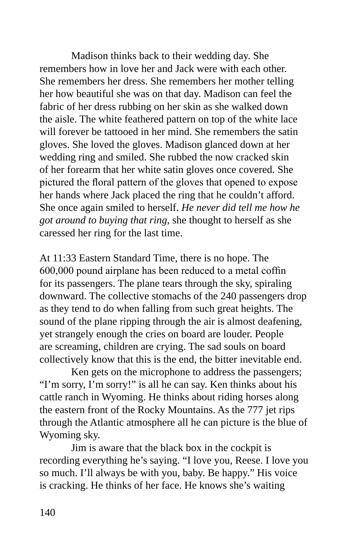Madison thinks back to their wedding day. She remembers how in love her and Jack were with each other. She remembers her dress. She remembers her mother telling her how beautiful she was on that day. Madison can feel the fabric of her dress rubbing on her skin as she walked down the aisle. The white feathered pattern on top of the white lace will forever be tattooed in her mind. She remembers the satin gloves. She loved the gloves. Madison glanced down at her wedding ring and smiled. She rubbed the now cracked skin of her forearm that her white satin gloves once covered. She pictured the floral pattern of the gloves that opened to expose her hands where Jack placed the ring that he couldn't afford. She once again smiled to herself. *He never did tell me how he got around to buying that ring*, she thought to herself as she caressed her ring for the last time.

At 11:33 Eastern Standard Time, there is no hope. The 600,000 pound airplane has been reduced to a metal coffin for its passengers. The plane tears through the sky, spiraling downward. The collective stomachs of the 240 passengers drop as they tend to do when falling from such great heights. The sound of the plane ripping through the air is almost deafening, yet strangely enough the cries on board are louder. People are screaming, children are crying. The sad souls on board collectively know that this is the end, the bitter inevitable end.

Ken gets on the microphone to address the passengers; "I'm sorry, I'm sorry!" is all he can say. Ken thinks about his cattle ranch in Wyoming. He thinks about riding horses along the eastern front of the Rocky Mountains. As the 777 jet rips through the Atlantic atmosphere all he can picture is the blue of Wyoming sky.

Jim is aware that the black box in the cockpit is recording everything he's saying. "I love you, Reese. I love you so much. I'll always be with you, baby. Be happy." His voice is cracking. He thinks of her face. He knows she's waiting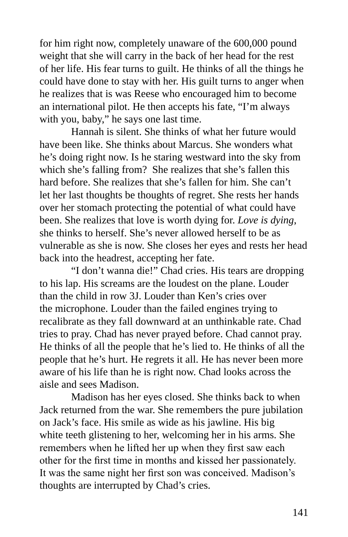for him right now, completely unaware of the 600,000 pound weight that she will carry in the back of her head for the rest of her life. His fear turns to guilt. He thinks of all the things he could have done to stay with her. His guilt turns to anger when he realizes that is was Reese who encouraged him to become an international pilot. He then accepts his fate, "I'm always with you, baby," he says one last time.

Hannah is silent. She thinks of what her future would have been like. She thinks about Marcus. She wonders what he's doing right now. Is he staring westward into the sky from which she's falling from? She realizes that she's fallen this hard before. She realizes that she's fallen for him. She can't let her last thoughts be thoughts of regret. She rests her hands over her stomach protecting the potential of what could have been. She realizes that love is worth dying for. *Love is dying*, she thinks to herself. She's never allowed herself to be as vulnerable as she is now. She closes her eyes and rests her head back into the headrest, accepting her fate.

"I don't wanna die!" Chad cries. His tears are dropping to his lap. His screams are the loudest on the plane. Louder than the child in row 3J. Louder than Ken's cries over the microphone. Louder than the failed engines trying to recalibrate as they fall downward at an unthinkable rate. Chad tries to pray. Chad has never prayed before. Chad cannot pray. He thinks of all the people that he's lied to. He thinks of all the people that he's hurt. He regrets it all. He has never been more aware of his life than he is right now. Chad looks across the aisle and sees Madison.

Madison has her eyes closed. She thinks back to when Jack returned from the war. She remembers the pure jubilation on Jack's face. His smile as wide as his jawline. His big white teeth glistening to her, welcoming her in his arms. She remembers when he lifted her up when they first saw each other for the first time in months and kissed her passionately. It was the same night her first son was conceived. Madison's thoughts are interrupted by Chad's cries.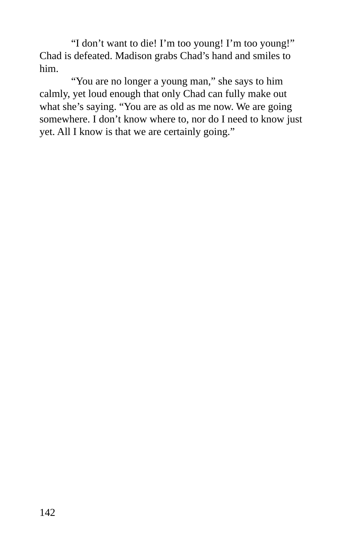"I don't want to die! I'm too young! I'm too young!" Chad is defeated. Madison grabs Chad's hand and smiles to him.

"You are no longer a young man," she says to him calmly, yet loud enough that only Chad can fully make out what she's saying. "You are as old as me now. We are going somewhere. I don't know where to, nor do I need to know just yet. All I know is that we are certainly going."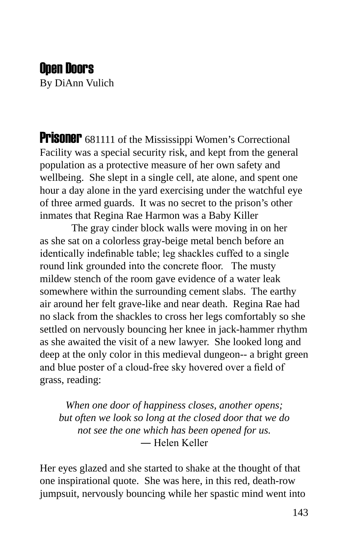#### Open Doors

By DiAnn Vulich

**Prisoner** 681111 of the Mississippi Women's Correctional Facility was a special security risk, and kept from the general population as a protective measure of her own safety and wellbeing. She slept in a single cell, ate alone, and spent one hour a day alone in the yard exercising under the watchful eye of three armed guards. It was no secret to the prison's other inmates that Regina Rae Harmon was a Baby Killer

The gray cinder block walls were moving in on her as she sat on a colorless gray-beige metal bench before an identically indefinable table; leg shackles cuffed to a single round link grounded into the concrete floor. The musty mildew stench of the room gave evidence of a water leak somewhere within the surrounding cement slabs. The earthy air around her felt grave-like and near death. Regina Rae had no slack from the shackles to cross her legs comfortably so she settled on nervously bouncing her knee in jack-hammer rhythm as she awaited the visit of a new lawyer. She looked long and deep at the only color in this medieval dungeon-- a bright green and blue poster of a cloud-free sky hovered over a field of grass, reading:

*When one door of happiness closes, another opens; but often we look so long at the closed door that we do not see the one which has been opened for us.* ― Helen Keller

Her eyes glazed and she started to shake at the thought of that one inspirational quote. She was here, in this red, death-row jumpsuit, nervously bouncing while her spastic mind went into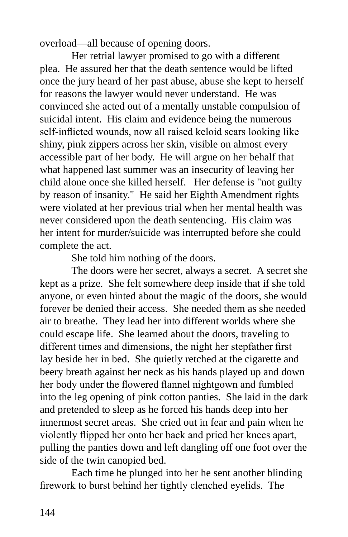overload—all because of opening doors.

Her retrial lawyer promised to go with a different plea. He assured her that the death sentence would be lifted once the jury heard of her past abuse, abuse she kept to herself for reasons the lawyer would never understand. He was convinced she acted out of a mentally unstable compulsion of suicidal intent. His claim and evidence being the numerous self-inflicted wounds, now all raised keloid scars looking like shiny, pink zippers across her skin, visible on almost every accessible part of her body. He will argue on her behalf that what happened last summer was an insecurity of leaving her child alone once she killed herself. Her defense is "not guilty by reason of insanity." He said her Eighth Amendment rights were violated at her previous trial when her mental health was never considered upon the death sentencing. His claim was her intent for murder/suicide was interrupted before she could complete the act.

She told him nothing of the doors.

The doors were her secret, always a secret. A secret she kept as a prize. She felt somewhere deep inside that if she told anyone, or even hinted about the magic of the doors, she would forever be denied their access. She needed them as she needed air to breathe. They lead her into different worlds where she could escape life. She learned about the doors, traveling to different times and dimensions, the night her stepfather first lay beside her in bed. She quietly retched at the cigarette and beery breath against her neck as his hands played up and down her body under the flowered flannel nightgown and fumbled into the leg opening of pink cotton panties. She laid in the dark and pretended to sleep as he forced his hands deep into her innermost secret areas. She cried out in fear and pain when he violently flipped her onto her back and pried her knees apart, pulling the panties down and left dangling off one foot over the side of the twin canopied bed.

Each time he plunged into her he sent another blinding firework to burst behind her tightly clenched eyelids. The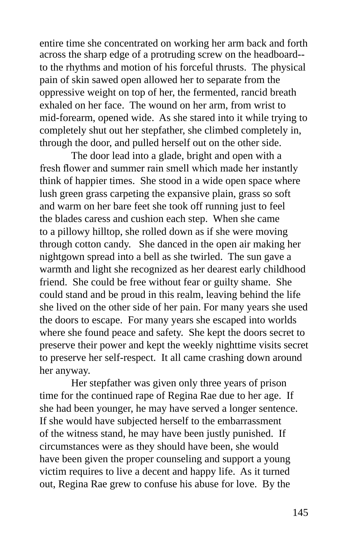across the sharp edge of a protruding screw on the headboard- to the rhythms and motion of his forceful thrusts. The physical pain of skin sawed open allowed her to separate from the oppressive weight on top of her, the fermented, rancid breath exhaled on her face. The wound on her arm, from wrist to mid-forearm, opened wide. As she stared into it while trying to completely shut out her stepfather, she climbed completely in, through the door, and pulled herself out on the other side. entire time she concentrated on working her arm back and forth

The door lead into a glade, bright and open with a fresh flower and summer rain smell which made her instantly think of happier times. She stood in a wide open space where lush green grass carpeting the expansive plain, grass so soft and warm on her bare feet she took off running just to feel the blades caress and cushion each step. When she came to a pillowy hilltop, she rolled down as if she were moving through cotton candy. She danced in the open air making her nightgown spread into a bell as she twirled. The sun gave a warmth and light she recognized as her dearest early childhood friend. She could be free without fear or guilty shame. She could stand and be proud in this realm, leaving behind the life she lived on the other side of her pain. For many years she used the doors to escape. For many years she escaped into worlds where she found peace and safety. She kept the doors secret to preserve their power and kept the weekly nighttime visits secret to preserve her self-respect. It all came crashing down around her anyway.

Her stepfather was given only three years of prison time for the continued rape of Regina Rae due to her age. If she had been younger, he may have served a longer sentence. If she would have subjected herself to the embarrassment of the witness stand, he may have been justly punished. If circumstances were as they should have been, she would have been given the proper counseling and support a young victim requires to live a decent and happy life. As it turned out, Regina Rae grew to confuse his abuse for love. By the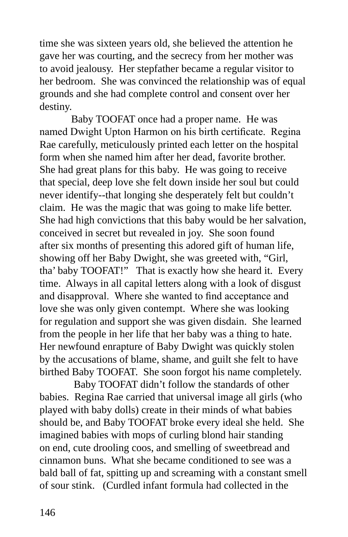time she was sixteen years old, she believed the attention he gave her was courting, and the secrecy from her mother was to avoid jealousy. Her stepfather became a regular visitor to her bedroom. She was convinced the relationship was of equal grounds and she had complete control and consent over her destiny.

Baby TOOFAT once had a proper name. He was named Dwight Upton Harmon on his birth certificate. Regina Rae carefully, meticulously printed each letter on the hospital form when she named him after her dead, favorite brother. She had great plans for this baby. He was going to receive that special, deep love she felt down inside her soul but could never identify--that longing she desperately felt but couldn't claim. He was the magic that was going to make life better. She had high convictions that this baby would be her salvation, conceived in secret but revealed in joy. She soon found after six months of presenting this adored gift of human life, showing off her Baby Dwight, she was greeted with, "Girl, tha' baby TOOFAT!" That is exactly how she heard it. Every time. Always in all capital letters along with a look of disgust and disapproval. Where she wanted to find acceptance and love she was only given contempt. Where she was looking for regulation and support she was given disdain. She learned from the people in her life that her baby was a thing to hate. Her newfound enrapture of Baby Dwight was quickly stolen by the accusations of blame, shame, and guilt she felt to have birthed Baby TOOFAT. She soon forgot his name completely.

 Baby TOOFAT didn't follow the standards of other babies. Regina Rae carried that universal image all girls (who played with baby dolls) create in their minds of what babies should be, and Baby TOOFAT broke every ideal she held. She imagined babies with mops of curling blond hair standing on end, cute drooling coos, and smelling of sweetbread and cinnamon buns. What she became conditioned to see was a bald ball of fat, spitting up and screaming with a constant smell of sour stink. (Curdled infant formula had collected in the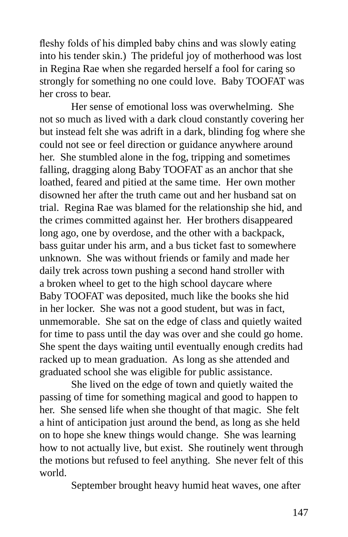fleshy folds of his dimpled baby chins and was slowly eating into his tender skin.) The prideful joy of motherhood was lost in Regina Rae when she regarded herself a fool for caring so strongly for something no one could love. Baby TOOFAT was her cross to bear.

Her sense of emotional loss was overwhelming. She not so much as lived with a dark cloud constantly covering her but instead felt she was adrift in a dark, blinding fog where she could not see or feel direction or guidance anywhere around her. She stumbled alone in the fog, tripping and sometimes falling, dragging along Baby TOOFAT as an anchor that she loathed, feared and pitied at the same time. Her own mother disowned her after the truth came out and her husband sat on trial. Regina Rae was blamed for the relationship she hid, and the crimes committed against her. Her brothers disappeared long ago, one by overdose, and the other with a backpack, bass guitar under his arm, and a bus ticket fast to somewhere unknown. She was without friends or family and made her daily trek across town pushing a second hand stroller with a broken wheel to get to the high school daycare where Baby TOOFAT was deposited, much like the books she hid in her locker. She was not a good student, but was in fact, unmemorable. She sat on the edge of class and quietly waited for time to pass until the day was over and she could go home. She spent the days waiting until eventually enough credits had racked up to mean graduation. As long as she attended and graduated school she was eligible for public assistance.

She lived on the edge of town and quietly waited the passing of time for something magical and good to happen to her. She sensed life when she thought of that magic. She felt a hint of anticipation just around the bend, as long as she held on to hope she knew things would change. She was learning how to not actually live, but exist. She routinely went through the motions but refused to feel anything. She never felt of this world.

September brought heavy humid heat waves, one after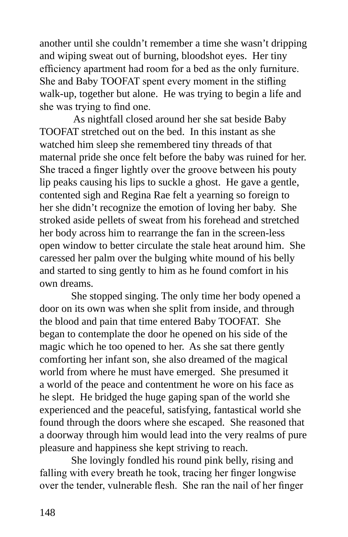another until she couldn't remember a time she wasn't dripping and wiping sweat out of burning, bloodshot eyes. Her tiny efficiency apartment had room for a bed as the only furniture. She and Baby TOOFAT spent every moment in the stifling walk-up, together but alone. He was trying to begin a life and she was trying to find one.

 As nightfall closed around her she sat beside Baby TOOFAT stretched out on the bed. In this instant as she watched him sleep she remembered tiny threads of that maternal pride she once felt before the baby was ruined for her. She traced a finger lightly over the groove between his pouty lip peaks causing his lips to suckle a ghost. He gave a gentle, contented sigh and Regina Rae felt a yearning so foreign to her she didn't recognize the emotion of loving her baby. She stroked aside pellets of sweat from his forehead and stretched her body across him to rearrange the fan in the screen-less open window to better circulate the stale heat around him. She caressed her palm over the bulging white mound of his belly and started to sing gently to him as he found comfort in his own dreams.

She stopped singing. The only time her body opened a door on its own was when she split from inside, and through the blood and pain that time entered Baby TOOFAT. She began to contemplate the door he opened on his side of the magic which he too opened to her. As she sat there gently comforting her infant son, she also dreamed of the magical world from where he must have emerged. She presumed it a world of the peace and contentment he wore on his face as he slept. He bridged the huge gaping span of the world she experienced and the peaceful, satisfying, fantastical world she found through the doors where she escaped. She reasoned that a doorway through him would lead into the very realms of pure pleasure and happiness she kept striving to reach.

She lovingly fondled his round pink belly, rising and falling with every breath he took, tracing her finger longwise over the tender, vulnerable flesh. She ran the nail of her finger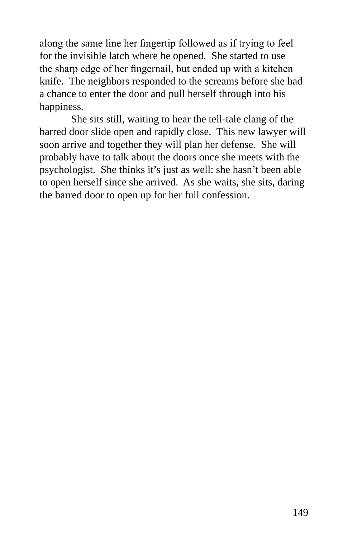along the same line her fingertip followed as if trying to feel for the invisible latch where he opened. She started to use the sharp edge of her fingernail, but ended up with a kitchen knife. The neighbors responded to the screams before she had a chance to enter the door and pull herself through into his happiness.

She sits still, waiting to hear the tell-tale clang of the barred door slide open and rapidly close. This new lawyer will soon arrive and together they will plan her defense. She will probably have to talk about the doors once she meets with the psychologist. She thinks it's just as well: she hasn't been able to open herself since she arrived. As she waits, she sits, daring the barred door to open up for her full confession.